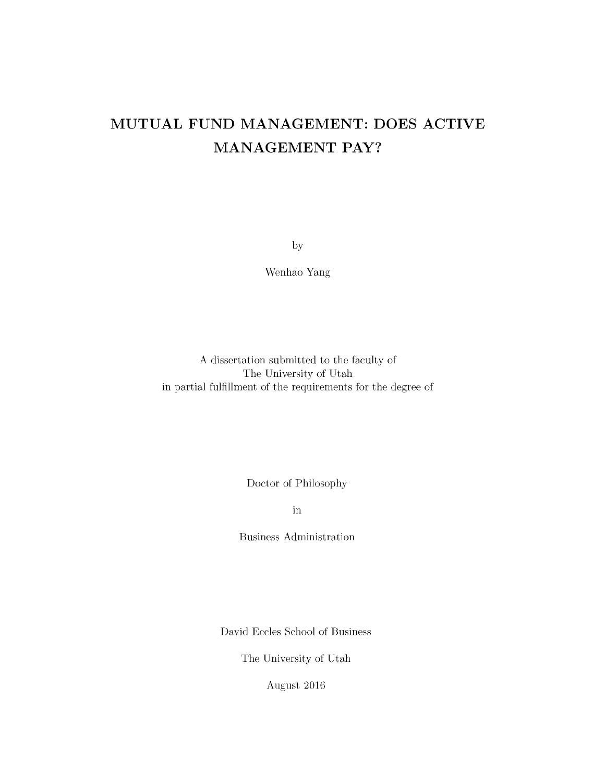# **MUTUAL FUND MANAGEMENT: DOES ACTIVE MANAGEMENT PAY?**

by

Wenhao Yang

A dissertation submitted to the faculty of The University of Utah in partial fulfillment of the requirements for the degree of

Doctor of Philosophy

in

Business Administration

David Eccles School of Business

The University of Utah

August 2016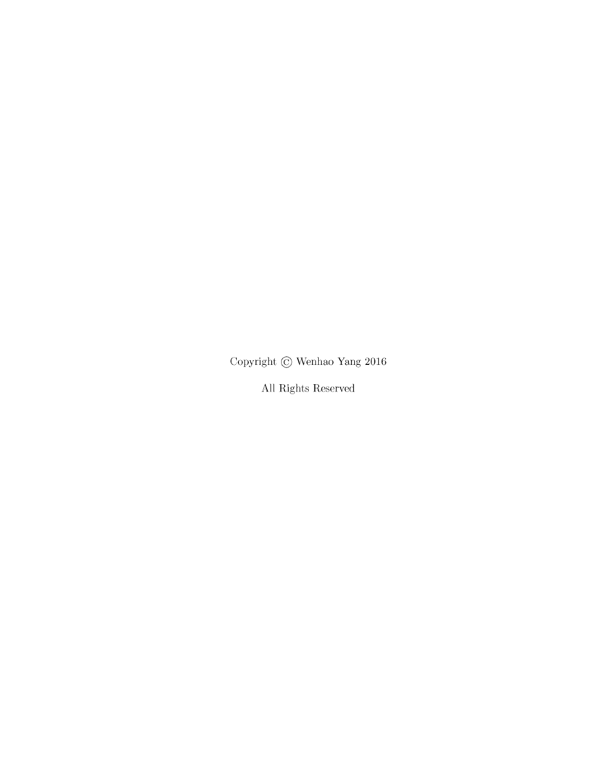Copyright  $\copyright$  Wenhao Yang 2016

All Rights Reserved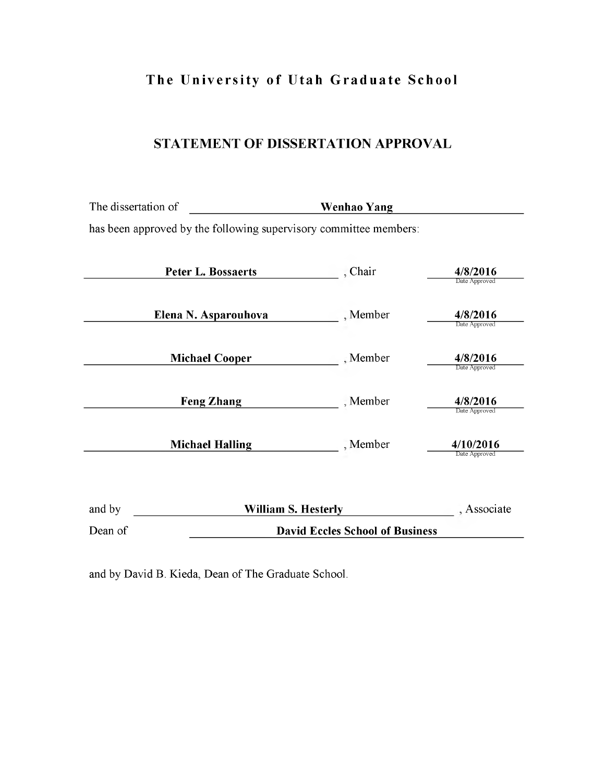# **The University of Utah Graduate School**

## **STATEMENT OF DISSERTATION APPROVAL**

| The dissertation of                                               | Wenhao Yang                            |                            |
|-------------------------------------------------------------------|----------------------------------------|----------------------------|
| has been approved by the following supervisory committee members: |                                        |                            |
| <b>Peter L. Bossaerts</b>                                         | , Chair                                | 4/8/2016<br>Date Approved  |
| Elena N. Asparouhova                                              | , Member                               | 4/8/2016<br>Date Approved  |
| <b>Michael Cooper</b>                                             | , Member                               | 4/8/2016<br>Date Approved  |
| <b>Feng Zhang</b>                                                 | , Member                               | 4/8/2016<br>Date Approved  |
| <b>Michael Halling</b>                                            | , Member                               | 4/10/2016<br>Date Approved |
| and by                                                            | <b>William S. Hesterly</b>             | , Associate                |
| Dean of                                                           | <b>David Eccles School of Business</b> |                            |

and by David B. Kieda, Dean of The Graduate School.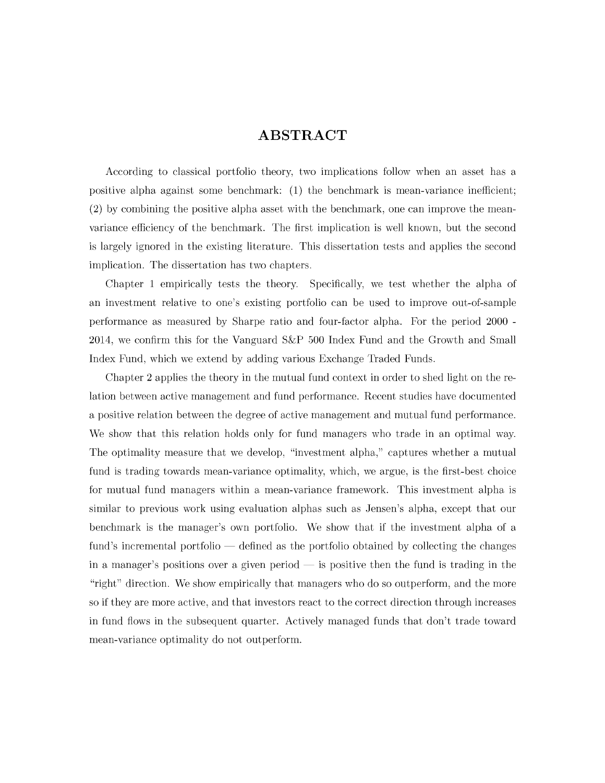## **ABSTRACT**

According to classical portfolio theory, two implications follow when an asset has a positive alpha against some benchmark:  $(1)$  the benchmark is mean-variance inefficient; (2) by combining the positive alpha asset with the benchmark, one can improve the meanvariance efficiency of the benchmark. The first implication is well known, but the second is largely ignored in the existing literature. This dissertation tests and applies the second implication. The dissertation has two chapters.

Chapter 1 empirically tests the theory. Specifically, we test whether the alpha of an investment relative to one's existing portfolio can be used to improve out-of-sample performance as m easured by Sharpe ratio and four-factor alpha. For the period 2000 - 2014, we confirm this for the Vanguard S&P 500 Index Fund and the Growth and Small Index Fund, which we extend by adding various Exchange Traded Funds.

Chapter 2 applies the theory in the mutual fund context in order to shed light on the relation between active management and fund performance. Recent studies have documented a positive relation between the degree of active management and mutual fund performance. We show that this relation holds only for fund managers who trade in an optimal way. The optimality measure that we develop, "investment alpha," captures whether a mutual fund is trading towards mean-variance optimality, which, we argue, is the first-best choice for mutual fund managers within a mean-variance framework. This investment alpha is similar to previous work using evaluation alphas such as Jensen's alpha, except that our benchmark is the manager's own portfolio. We show that if the investment alpha of a fund's incremental portfolio — defined as the portfolio obtained by collecting the changes in a manager's positions over a given period  $\frac{1}{10}$  is positive then the fund is trading in the "right" direction. We show empirically that managers who do so outperform, and the more so if they are more active, and that investors react to the correct direction through increases in fund flows in the subsequent quarter. Actively managed funds that don't trade toward mean-variance optimality do not outperform.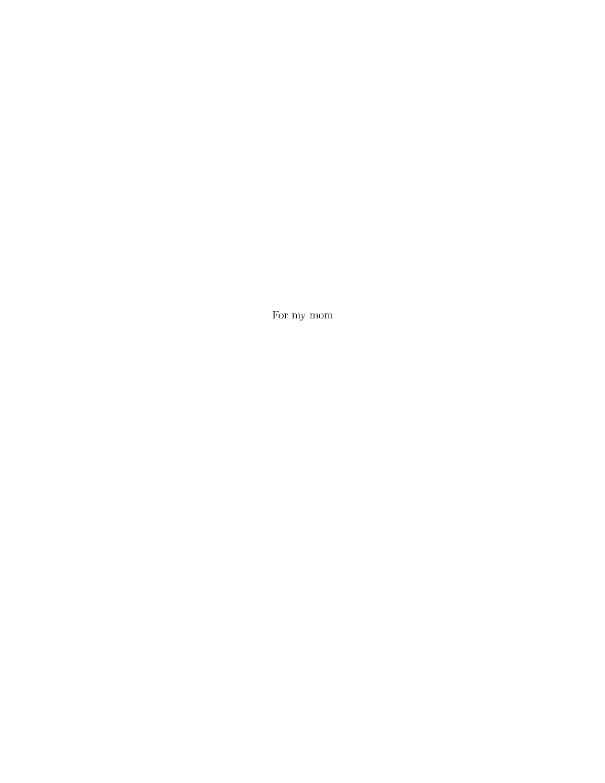For my mom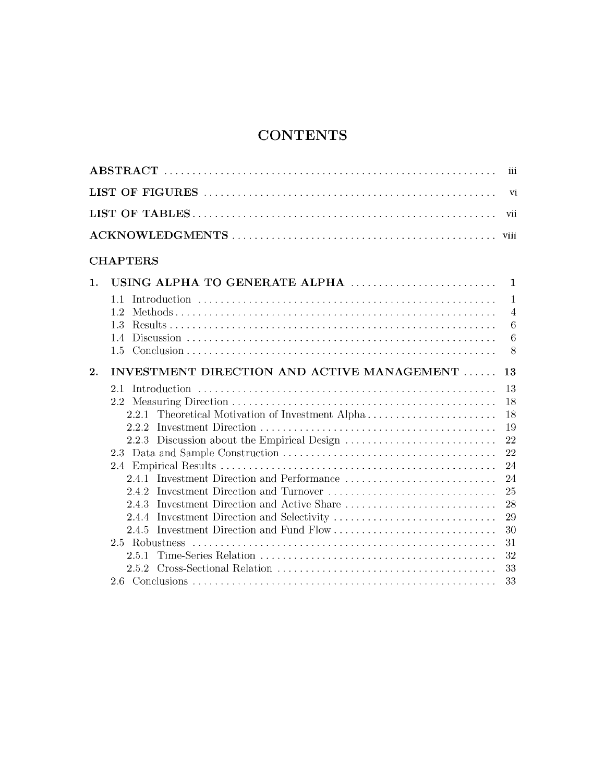# **CONTENTS**

|    |                                                  | iii            |
|----|--------------------------------------------------|----------------|
|    |                                                  | vi             |
|    |                                                  | vii            |
|    |                                                  | viii           |
|    | <b>CHAPTERS</b>                                  |                |
| 1. | USING ALPHA TO GENERATE ALPHA                    | $\mathbf{1}$   |
|    | 1.1                                              | $\mathbf{1}$   |
|    | 1.2                                              | $\overline{4}$ |
|    | 1.3                                              | $\,6\,$        |
|    |                                                  | 6              |
|    |                                                  | 8              |
| 2. | INVESTMENT DIRECTION AND ACTIVE MANAGEMENT       | 13             |
|    | 2.1<br>Introduction                              | 13             |
|    |                                                  | 18             |
|    | 2.2.1 Theoretical Motivation of Investment Alpha | 18             |
|    | 2.2.2                                            | 19             |
|    | 2.2.3 Discussion about the Empirical Design      | 22             |
|    |                                                  | 22             |
|    |                                                  | 24             |
|    | 2.4.1 Investment Direction and Performance       | 24             |
|    | 2.4.2 Investment Direction and Turnover          | 25             |
|    | 2.4.3 Investment Direction and Active Share      | 28             |
|    | 2.4.4 Investment Direction and Selectivity       | 29             |
|    | 2.4.5 Investment Direction and Fund Flow         | 30             |
|    |                                                  | 31             |
|    | 2.5.1                                            | 32             |
|    |                                                  | 33             |
|    |                                                  | 33             |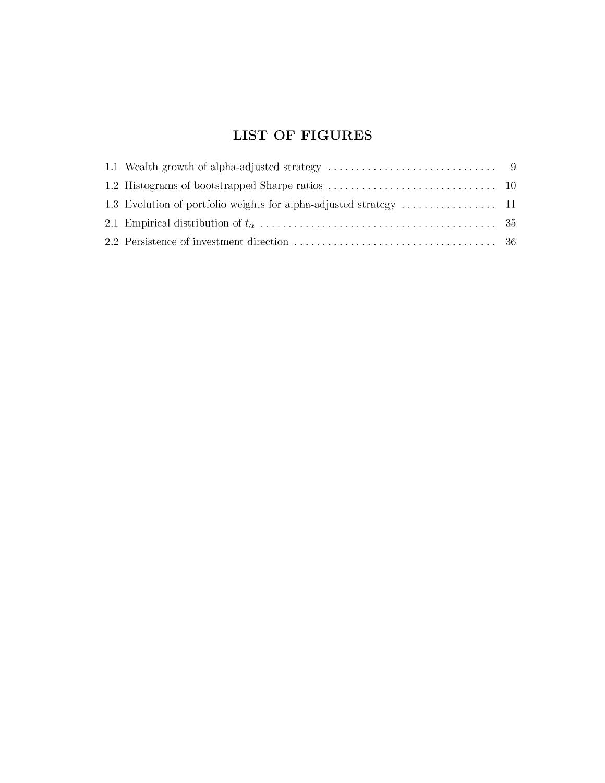# **LIST OF FIGURES**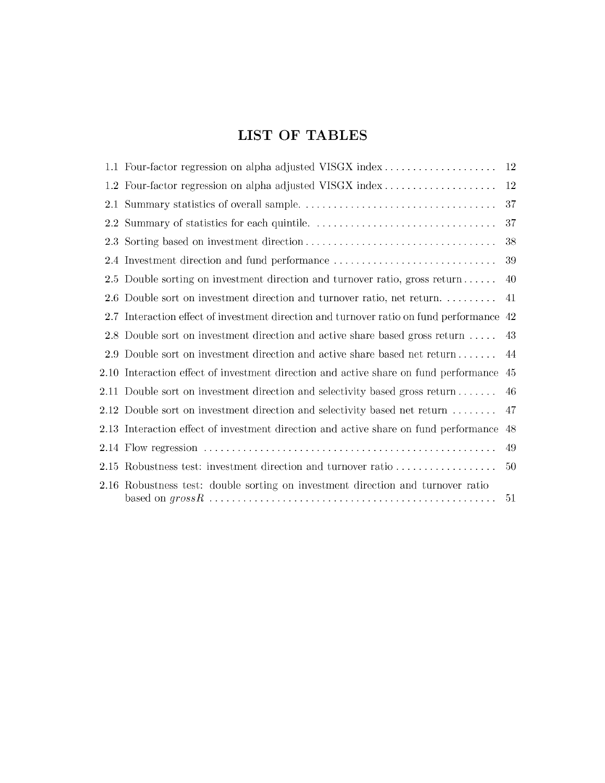# **LIST OF TABLES**

|                  | 1.1 Four-factor regression on alpha adjusted VISGX index                                  | 12 |
|------------------|-------------------------------------------------------------------------------------------|----|
|                  | 1.2 Four-factor regression on alpha adjusted VISGX index                                  | 12 |
| 2.1              |                                                                                           | 37 |
| $2.2^{\circ}$    |                                                                                           | 37 |
| 2.3 <sub>1</sub> |                                                                                           | 38 |
|                  | 2.4 Investment direction and fund performance                                             | 39 |
|                  | 2.5 Double sorting on investment direction and turnover ratio, gross return               | 40 |
| 2.6              | Double sort on investment direction and turnover ratio, net return                        | 41 |
|                  | 2.7 Interaction effect of investment direction and turnover ratio on fund performance     | 42 |
|                  | 2.8 Double sort on investment direction and active share based gross return               | 43 |
|                  | 2.9 Double sort on investment direction and active share based net return                 | 44 |
|                  | 2.10 Interaction effect of investment direction and active share on fund performance      | 45 |
|                  | 2.11 Double sort on investment direction and selectivity based gross return $\dots \dots$ | 46 |
|                  | 2.12 Double sort on investment direction and selectivity based net return $\dots \dots$   | 47 |
|                  | 2.13 Interaction effect of investment direction and active share on fund performance      | 48 |
|                  |                                                                                           | 49 |
|                  | 2.15 Robustness test: investment direction and turnover ratio                             | 50 |
|                  | 2.16 Robustness test: double sorting on investment direction and turnover ratio           | 51 |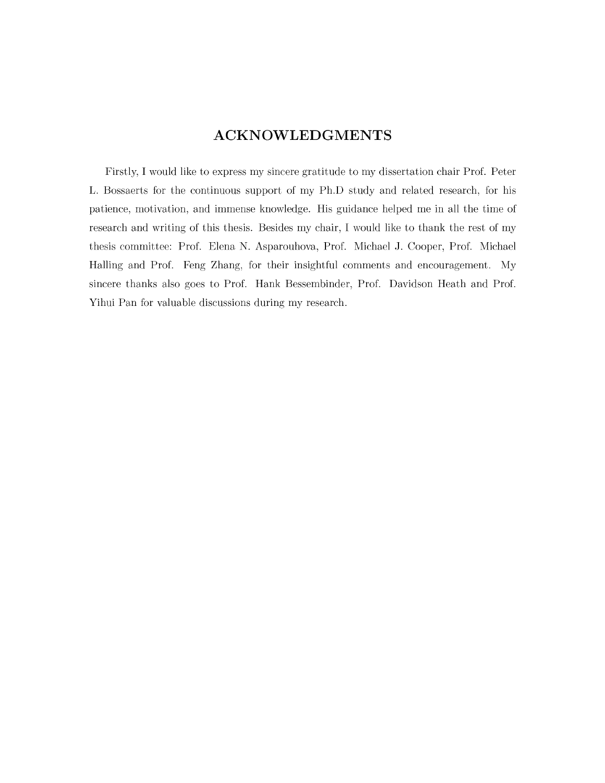## **ACKNOWLEDGMENTS**

Firstly, I would like to express my sincere gratitude to my dissertation chair Prof. Peter L. Bossaerts for the continuous support of my Ph.D study and related research, for his patience, motivation, and immense knowledge. His guidance helped me in all the time of research and writing of this thesis. Besides my chair, I would like to thank the rest of my thesis committee: Prof. Elena N. Asparouhova, Prof. Michael J. Cooper, Prof. Michael Halling and Prof. Feng Zhang, for their insightful comments and encouragement. My sincere thanks also goes to Prof. Hank Bessembinder, Prof. Davidson Heath and Prof. Yihui Pan for valuable discussions during my research.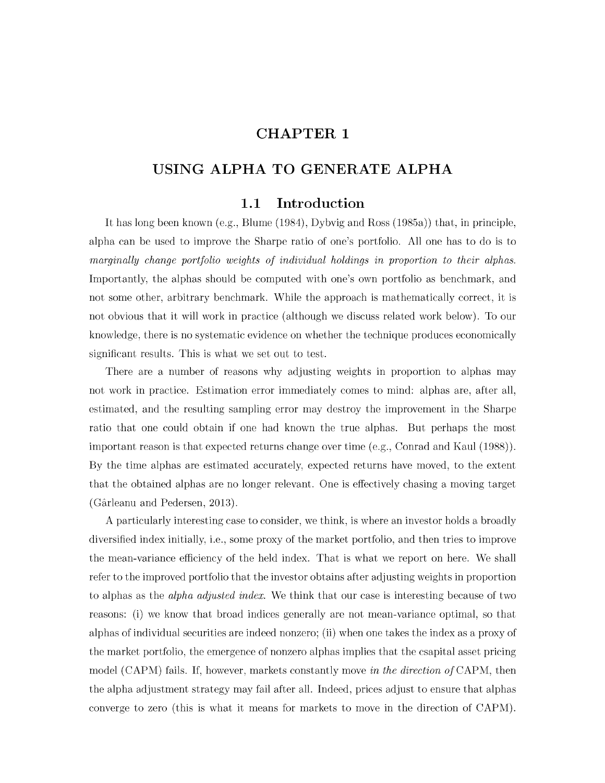## **CHAPTER 1**

## **USING ALPHA TO GENERATE ALPHA**

### **1.1 Introduction**

It has long been known (e.g., Blume  $(1984)$ , Dybvig and Ross  $(1985a)$ ) that, in principle, alpha can be used to improve the Sharpe ratio of one's portfolio. All one has to do is to *marginally change portfolio weights of individual holdings in proportion to their alphas.* Importantly, the alphas should be computed with one's own portfolio as benchmark, and not some other, arbitrary benchmark. While the approach is mathematically correct, it is not obvious that it will work in practice (although we discuss related work below). To our knowledge, there is no systematic evidence on whether the technique produces economically significant results. This is what we set out to test.

There are a number of reasons why adjusting weights in proportion to alphas may not work in practice. Estimation error immediately comes to mind: alphas are, after all, estim ated, and the resulting sampling error may destroy the improvement in the Sharpe ratio that one could obtain if one had known the true alphas. But perhaps the most important reason is that expected returns change over time  $(e.g.,$  Conrad and Kaul  $(1988)$ ). By the time alphas are estimated accurately, expected returns have moved, to the extent that the obtained alphas are no longer relevant. One is effectively chasing a moving target (Garleanu and Pedersen, 2013).

A particularly interesting case to consider, we think, is where an investor holds a broadly diversified index initially, i.e., some proxy of the market portfolio, and then tries to improve the mean-variance efficiency of the held index. That is what we report on here. We shall refer to the improved portfolio that the investor obtains after adjusting weights in proportion to alphas as the *alpha adjusted index*. We think that our case is interesting because of two reasons: (i) we know that broad indices generally are not mean-variance optimal, so that alphas of individual securities are indeed nonzero; (ii) when one takes the index as a proxy of the market portfolio, the emergence of nonzero alphas implies that the csapital asset pricing model (CAPM) fails. If, however, markets constantly move *in the direction of* CAPM, then the alpha adjustment strategy may fail after all. Indeed, prices adjust to ensure that alphas converge to zero (this is what it means for markets to move in the direction of CAPM).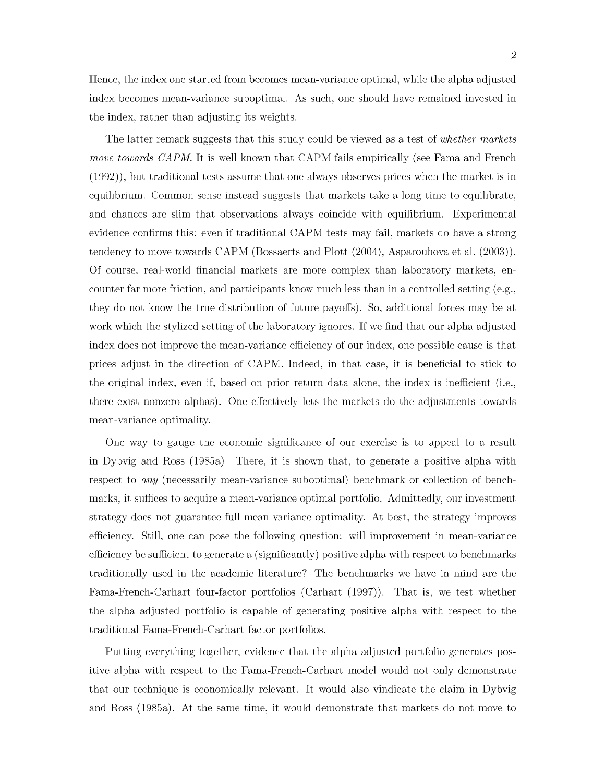Hence, the index one started from becomes mean-variance optimal, while the alpha adjusted index becomes mean-variance suboptimal. As such, one should have remained invested in the index, rather than adjusting its weights.

The latter remark suggests that this study could be viewed as a test of *whether markets move towards CAPM*. It is well known that CAPM fails empirically (see Fama and French  $(1992)$ , but traditional tests assume that one always observes prices when the market is in equilibrium. Common sense instead suggests that markets take a long time to equilibrate, and chances are slim that observations always coincide with equilibrium. Experimental evidence confirms this: even if traditional CAPM tests may fail, markets do have a strong tendency to move towards CAPM (Bossaerts and Plott (2004), Asparouhova et al. (2003)). Of course, real-world financial markets are more complex than laboratory markets, encounter far more friction, and participants know much less than in a controlled setting (e.g., they do not know the true distribution of future payoffs). So, additional forces may be at work which the stylized setting of the laboratory ignores. If we find that our alpha adjusted index does not improve the mean-variance efficiency of our index, one possible cause is that prices adjust in the direction of CAPM. Indeed, in that case, it is beneficial to stick to the original index, even if, based on prior return data alone, the index is inefficient (i.e., there exist nonzero alphas). One effectively lets the markets do the adjustments towards mean-variance optimality.

One way to gauge the economic significance of our exercise is to appeal to a result in Dybvig and Ross  $(1985a)$ . There, it is shown that, to generate a positive alpha with respect to *any* (necessarily mean-variance suboptimal) benchmark or collection of benchmarks, it suffices to acquire a mean-variance optimal portfolio. Admittedly, our investment strategy does not guarantee full mean-variance optimality. At best, the strategy improves efficiency. Still, one can pose the following question: will improvement in mean-variance efficiency be sufficient to generate a (significantly) positive alpha with respect to benchmarks traditionally used in the academic literature? The benchmarks we have in mind are the Fama-French-Carhart four-factor portfolios (Carhart (1997)). That is, we test whether the alpha adjusted portfolio is capable of generating positive alpha with respect to the traditional Fama-French-Carhart factor portfolios.

Putting everything together, evidence that the alpha adjusted portfolio generates positive alpha with respect to the Fama-French-Carhart model would not only demonstrate that our technique is economically relevant. It would also vindicate the claim in Dybvig and Ross (1985a). At the same time, it would demonstrate that markets do not move to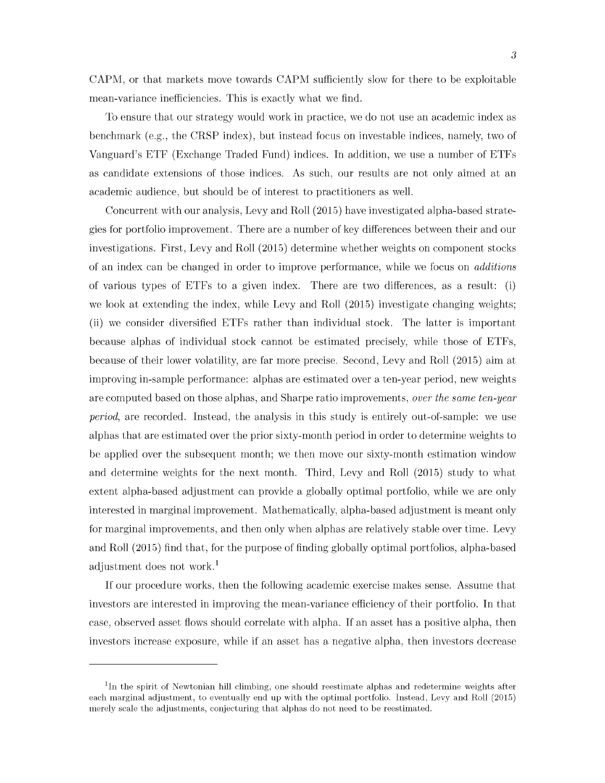CAPM, or that markets move towards CAPM sufficiently slow for there to be exploitable mean-variance inefficiencies. This is exactly what we find.

To ensure that our strategy would work in practice, we do not use an academic index as benchm ark (e.g., the CRSP index), but instead focus on investable indices, namely, two of Vanguard's ETF (Exchange Traded Fund) indices. In addition, we use a number of ETFs as candidate extensions of those indices. As such, our results are not only aimed at an academic audience, but should be of interest to practitioners as well.

Concurrent with our analysis, Levy and Roll (2015) have investigated alpha-based strategies for portfolio improvement. There are a num ber of key differences between their and our investigations. First, Levy and Roll (2015) determine whether weights on component stocks of an index can be changed in order to improve performance, while we focus on *additions* of various types of ETFs to a given index. There are two differences, as a result: (i) we look at extending the index, while Levy and Roll (2015) investigate changing weights; (ii) we consider diversified ETFs rather than individual stock. The latter is important because alphas of individual stock cannot be estim ated precisely, while those of ETFs, because of their lower volatility, are far more precise. Second, Levy and Roll (2015) aim at improving in-sample performance: alphas are estim ated over a ten-year period, new weights are com puted based on those alphas, and Sharpe ratio improvements, *over the same ten-year period,* are recorded. Instead, the analysis in this study is entirely out-of-sample: we use alphas that are estimated over the prior sixty-month period in order to determine weights to be applied over the subsequent month; we then move our sixty-month estimation window and determine weights for the next month. Third, Levy and Roll (2015) study to what extent alpha-based adjustment can provide a globally optimal portfolio, while we are only interested in marginal improvement. Mathematically, alpha-based adjustment is meant only for marginal improvements, and then only when alphas are relatively stable over time. Levy and Roll (2015) find that, for the purpose of finding globally optimal portfolios, alpha-based adjustment does not work.<sup>1</sup>

If our procedure works, then the following academic exercise makes sense. Assume that investors are interested in improving the mean-variance efficiency of their portfolio. In that case, observed asset flows should correlate with alpha. If an asset has a positive alpha, then investors increase exposure, while if an asset has a negative alpha, then investors decrease

 $1$ In the spirit of Newtonian hill climbing, one should reestimate alphas and redetermine weights after each marginal adjustment, to eventually end up with the optimal portfolio. Instead, Levy and Roll (2015) merely scale the adjustments, conjecturing that alphas do not need to be reestimated.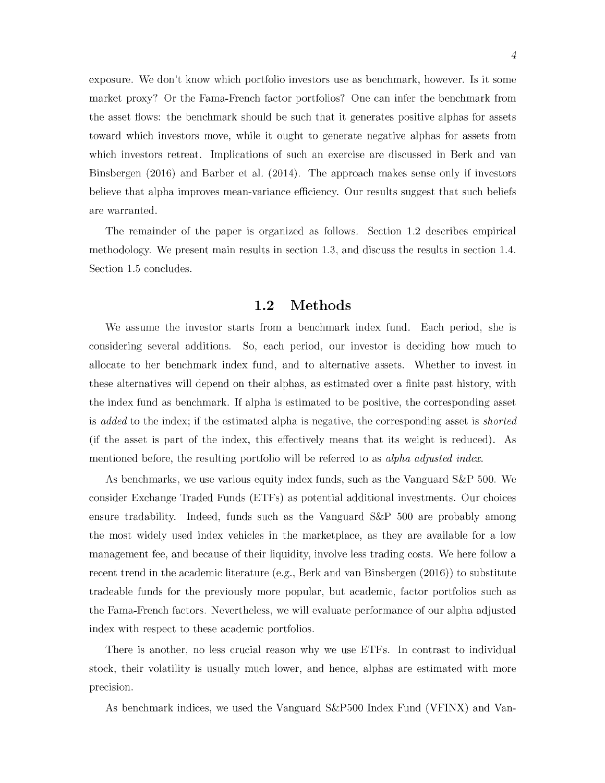exposure. We don't know which portfolio investors use as benchmark, however. Is it some market proxy? Or the Fama-French factor portfolios? One can infer the benchmark from the asset flows: the benchmark should be such that it generates positive alphas for assets toward which investors move, while it ought to generate negative alphas for assets from which investors retreat. Implications of such an exercise are discussed in Berk and van Binsbergen (2016) and Barber et al. (2014). The approach makes sense only if investors believe that alpha improves mean-variance efficiency. Our results suggest that such beliefs are warranted.

<span id="page-12-0"></span>The remainder of the paper is organized as follows. Section 1.2 describes empirical methodology. We present main results in section 1.3, and discuss the results in section 1.4. Section 1.5 concludes.

### **1.2 Methods**

We assume the investor starts from a benchmark index fund. Each period, she is considering several additions. So, each period, our investor is deciding how much to allocate to her benchmark index fund, and to alternative assets. Whether to invest in these alternatives will depend on their alphas, as estim ated over a finite past history, with the index fund as benchmark. If alpha is estim ated to be positive, the corresponding asset is *added* to the index; if the estim ated alpha is negative, the corresponding asset is *shorted* (if the asset is part of the index, this effectively means that its weight is reduced). As mentioned before, the resulting portfolio will be referred to as *alpha adjusted index*.

As benchmarks, we use various equity index funds, such as the Vanguard S&P 500. We consider Exchange Traded Funds (ETFs) as potential additional investments. Our choices ensure tradability. Indeed, funds such as the Vanguard S&P 500 are probably among the most widely used index vehicles in the marketplace, as they are available for a low m anagement fee, and because of their liquidity, involve less trading costs. We here follow a recent trend in the academic literature (e.g., Berk and van Binsbergen (2016)) to substitute tradeable funds for the previously more popular, but academic, factor portfolios such as the Fama-French factors. Nevertheless, we will evaluate performance of our alpha adjusted index with respect to these academic portfolios.

There is another, no less crucial reason why we use ETFs. In contrast to individual stock, their volatility is usually much lower, and hence, alphas are estimated with more precision.

As benchmark indices, we used the Vanguard S&P500 Index Fund (VFINX) and Van-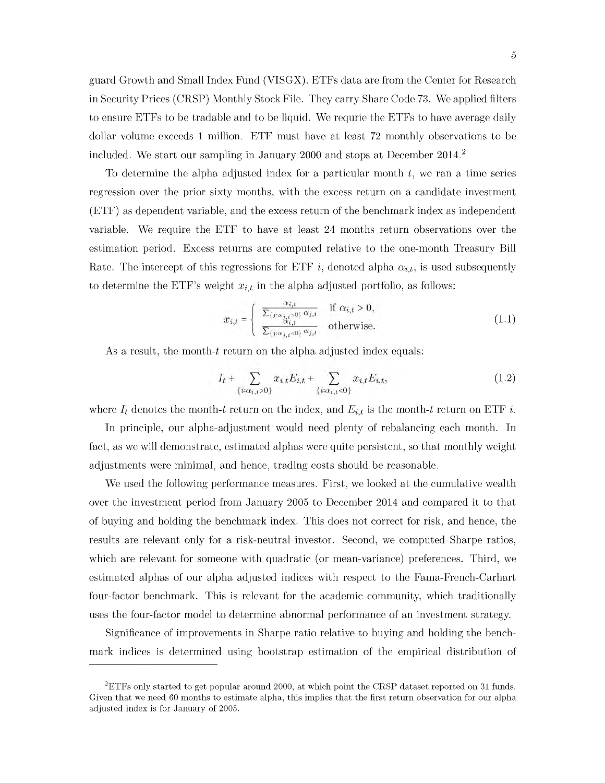guard Growth and Small Index Fund (VISGX). ETFs data are from the Center for Research in Security Prices (CRSP) Monthly Stock File. They carry Share Code 73. We applied filters to ensure ETFs to be tradable and to be liquid. We requrie the ETFs to have average daily dollar volume exceeds 1 million. ETF must have at least 72 monthly observations to be included. We start our sampling in January 2000 and stops at December  $2014<sup>2</sup>$ 

To determine the alpha adjusted index for a particular month  $t$ , we ran a time series regression over the prior sixty months, with the excess return on a candidate investment (ETF) as dependent variable, and the excess return of the benchm ark index as independent variable. We require the ETF to have at least 24 months return observations over the estimation period. Excess returns are computed relative to the one-month Treasury Bill Rate. The intercept of this regressions for ETF i, denoted alpha  $\alpha_{i,t}$ , is used subsequently to determine the ETF's weight  $x_{i,t}$  in the alpha adjusted portfolio, as follows:

$$
x_{i,t} = \begin{cases} \frac{\alpha_{i,t}}{\sum_{\{j:\alpha_{j,t}>0\}} \alpha_{j,t}} & \text{if } \alpha_{i,t} > 0, \\ \frac{\alpha_{i,t}}{\sum_{\{j:\alpha_{j,t}<0\}} \alpha_{j,t}} & \text{otherwise.} \end{cases}
$$
(1.1)

As a result, the month-t return on the alpha adjusted index equals:

$$
I_t + \sum_{\{i:\alpha_{i,t}>0\}} x_{i,t} E_{i,t} + \sum_{\{i:\alpha_{i,t}<0\}} x_{i,t} E_{i,t},\tag{1.2}
$$

where  $I_t$  denotes the month-t return on the index, and  $E_{i,t}$  is the month-t return on ETF i.

fact, as we will demonstrate, estimated alphas were quite persistent, so that monthly weight adjustments were minimal, and hence, trading costs should be reasonable. In principle, our alpha-adjustment would need plenty of rebalancing each month. In

We used the following performance measures. First, we looked at the cumulative wealth over the investment period from January 2005 to December 2014 and compared it to that of buying and holding the benchm ark index. This does not correct for risk, and hence, the results are relevant only for a risk-neutral investor. Second, we computed Sharpe ratios, which are relevant for someone with quadratic (or mean-variance) preferences. Third, we estimated alphas of our alpha adjusted indices with respect to the Fama-French-Carhart four-factor benchmark. This is relevant for the academic community, which traditionally uses the four-factor model to determine abnormal performance of an investment strategy.

Significance of improvements in Sharpe ratio relative to buying and holding the benchmark indices is determined using bootstrap estimation of the empirical distribution of

 ${}^{2}$ ETFs only started to get popular around 2000, at which point the CRSP dataset reported on 31 funds. Given that we need 60 months to estimate alpha, this implies that the first return observation for our alpha adjusted index is for January of 2005.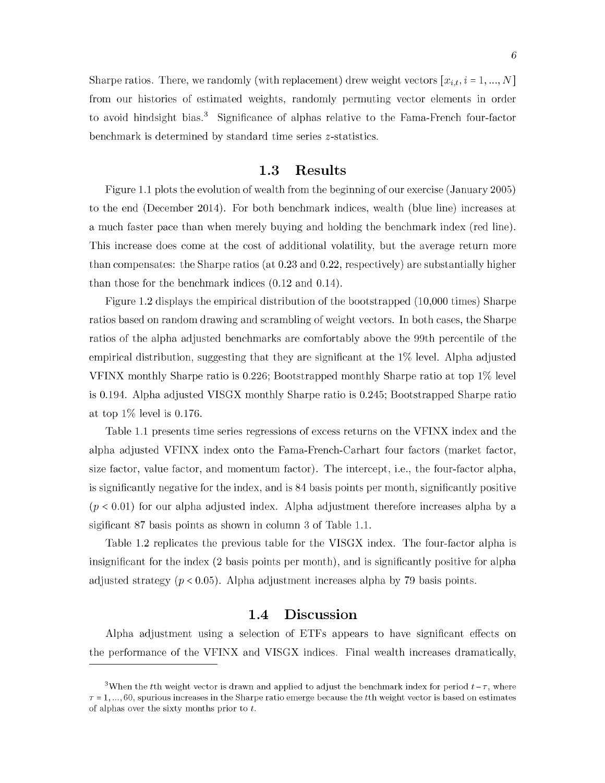Sharpe ratios. There, we randomly (with replacement) drew weight vectors  $[x_{i,t}, i = 1, ..., N]$ from our histories of estimated weights, randomly permuting vector elements in order to avoid hindsight bias.<sup>3</sup> Significance of alphas relative to the Fama-French four-factor benchmark is determined by standard time series  $z$ -statistics.

### **1.3 Results**

<span id="page-14-0"></span>Figure 1.1 plots the evolution of wealth from the beginning of our exercise (January 2005) to the end (December 2014). For both benchmark indices, wealth (blue line) increases at a much faster pace than when merely buying and holding the benchmark index (red line). This increase does come at the cost of additional volatility, but the average return more than compensates: the Sharpe ratios (at  $0.23$  and  $0.22$ , respectively) are substantially higher than those for the benchmark indices  $(0.12 \text{ and } 0.14)$ .

Figure 1.2 displays the empirical distribution of the bootstrapped (10,000 times) Sharpe ratios based on random drawing and scrambling of weight vectors. In both cases, the Sharpe ratios of the alpha adjusted benchmarks are comfortably above the 99th percentile of the empirical distribution, suggesting that they are significant at the  $1\%$  level. Alpha adjusted VFINX monthly Sharpe ratio is  $0.226$ ; Bootstrapped monthly Sharpe ratio at top  $1\%$  level is 0.194. Alpha adjusted VISGX monthly Sharpe ratio is 0.245; Bootstrapped Sharpe ratio at top  $1\%$  level is 0.176.

Table 1.1 presents time series regressions of excess returns on the VFINX index and the alpha adjusted VFINX index onto the Fama-French-Carhart four factors (market factor, size factor, value factor, and momentum factor). The intercept, i.e., the four-factor alpha, is significantly negative for the index, and is 84 basis points per month, significantly positive  $(p < 0.01)$  for our alpha adjusted index. Alpha adjustment therefore increases alpha by a sigificant 87 basis points as shown in column 3 of Table 1.1.

Table 1.2 replicates the previous table for the VISGX index. The four-factor alpha is insignificant for the index  $(2 \text{ basis points per month})$ , and is significantly positive for alpha adjusted strategy  $(p < 0.05)$ . Alpha adjustment increases alpha by 79 basis points.

## **1.4 Discussion**

<span id="page-14-1"></span>Alpha adjustment using a selection of ETFs appears to have significant effects on the performance of the VFINX and VISGX indices. Final wealth increases dram atically,

<sup>&</sup>lt;sup>3</sup>When the tth weight vector is drawn and applied to adjust the benchmark index for period  $t - \tau$ , where  $\tau = 1, ..., 60$ , spurious increases in the Sharpe ratio emerge because the tth weight vector is based on estimates of alphas over the sixty months prior to  $t$ .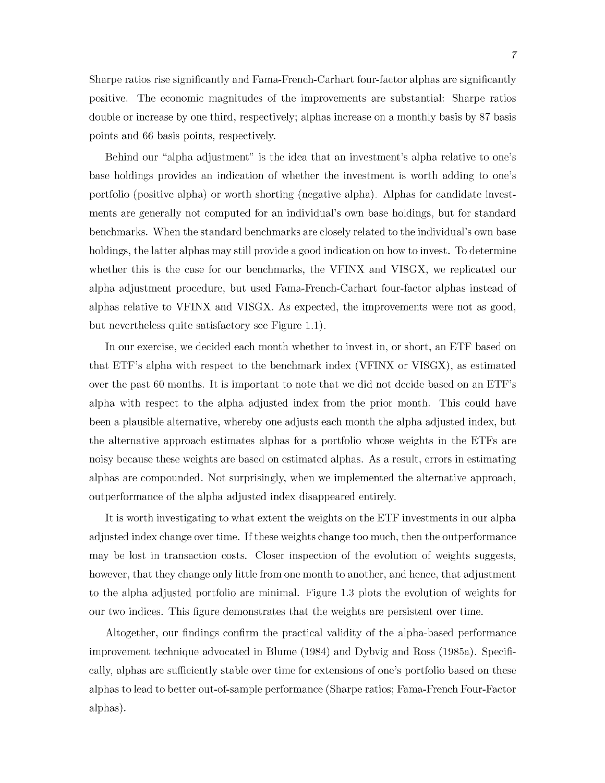7

Sharpe ratios rise significantly and Fama-French-Carhart four-factor alphas are significantly positive. The economic m agnitudes of the improvements are substantial: Sharpe ratios double or increase by one third, respectively; alphas increase on a monthly basis by 87 basis points and 66 basis points, respectively.

Behind our "alpha adjustment" is the idea that an investment's alpha relative to one's base holdings provides an indication of whether the investment is worth adding to one's portfolio (positive alpha) or worth shorting (negative alpha). Alphas for candidate investments are generally not computed for an individual's own base holdings, but for standard benchmarks. W hen the standard benchmarks are closely related to the individual's own base holdings, the latter alphas may still provide a good indication on how to invest. To determine whether this is the case for our benchmarks, the VFINX and VISGX, we replicated our alpha adjustment procedure, but used Fama-French-Carhart four-factor alphas instead of alphas relative to VFINX and VISGX. As expected, the improvements were not as good, but nevertheless quite satisfactory see Figure 1.1).

In our exercise, we decided each month whether to invest in, or short, an ETF based on that ETF's alpha with respect to the benchmark index (VFINX or VISGX), as estimated over the past 60 months. It is important to note that we did not decide based on an  $ETF's$ alpha with respect to the alpha adjusted index from the prior month. This could have been a plausible alternative, whereby one adjusts each month the alpha adjusted index, but the alternative approach estimates alphas for a portfolio whose weights in the ETFs are noisy because these weights are based on estimated alphas. As a result, errors in estimating alphas are compounded. Not surprisingly, when we implemented the alternative approach, outperformance of the alpha adjusted index disappeared entirely.

It is worth investigating to what extent the weights on the ETF investments in our alpha adjusted index change over time. If these weights change too much, then the outperformance may be lost in transaction costs. Closer inspection of the evolution of weights suggests, however, that they change only little from one month to another, and hence, that adjustment to the alpha adjusted portfolio are minimal. Figure 1.3 plots the evolution of weights for our two indices. This figure demonstrates that the weights are persistent over time.

Altogether, our findings confirm the practical validity of the alpha-based performance improvement technique advocated in Blume (1984) and Dybvig and Ross (1985a). Specifically, alphas are sufficiently stable over time for extensions of one's portfolio based on these alphas to lead to better out-of-sample performance (Sharpe ratios; Fama-French Four-Factor alphas).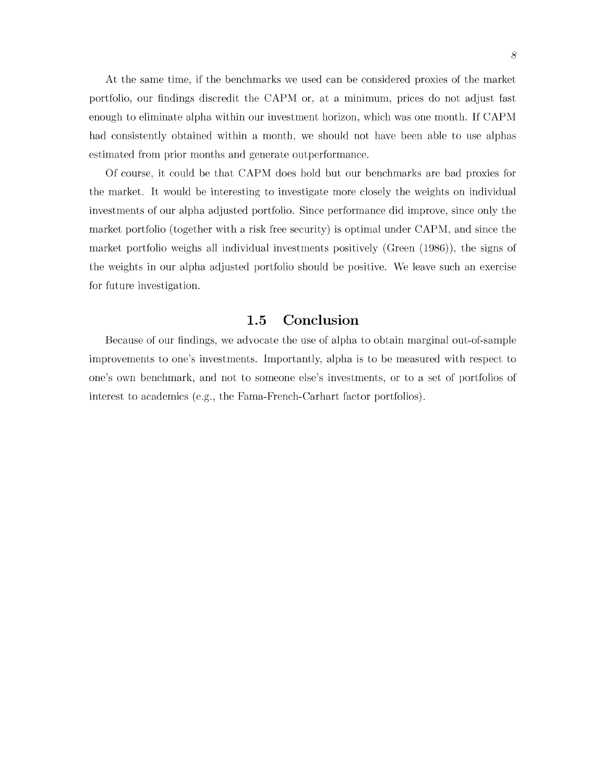At the same time, if the benchmarks we used can be considered proxies of the market portfolio, our findings discredit the CAPM or, at a minimum, prices do not adjust fast enough to eliminate alpha within our investment horizon, which was one month. If CAPM had consistently obtained within a month, we should not have been able to use alphas estimated from prior months and generate outperformance.

Of course, it could be that CAPM does hold but our benchmarks are bad proxies for the market. It would be interesting to investigate more closely the weights on individual investments of our alpha adjusted portfolio. Since performance did improve, since only the market portfolio (together with a risk free security) is optimal under CAPM, and since the market portfolio weighs all individual investments positively (Green (1986)), the signs of the weights in our alpha adjusted portfolio should be positive. We leave such an exercise for future investigation.

### **1.5 Conclusion**

<span id="page-16-0"></span>Because of our findings, we advocate the use of alpha to obtain marginal out-of-sample improvements to one's investments. Im portantly, alpha is to be measured w ith respect to one's own benchmark, and not to someone else's investments, or to a set of portfolios of interest to academics (e.g., the Fama-French-Carhart factor portfolios).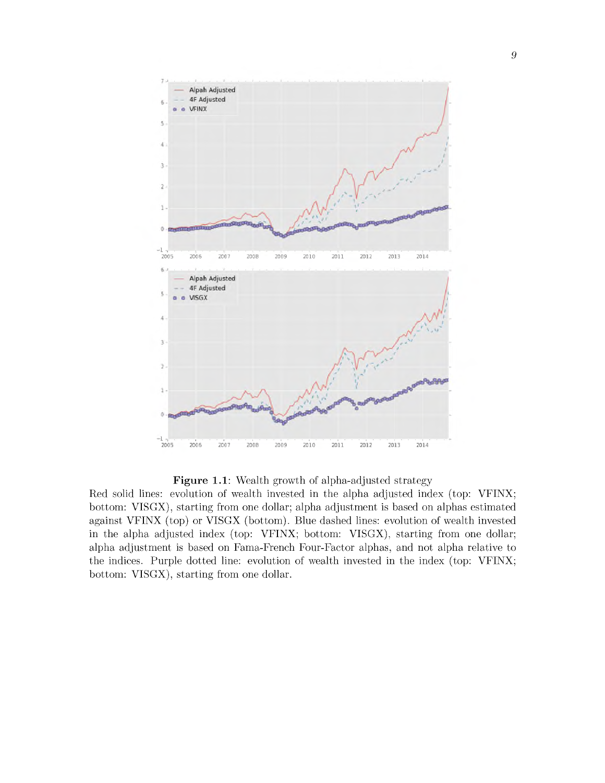

Figure 1.1: Wealth growth of alpha-adjusted strategy

Red solid lines: evolution of wealth invested in the alpha adjusted index (top: VFINX; bottom: VISGX), starting from one dollar; alpha adjustment is based on alphas estimated against VFINX (top) or VISGX (bottom). Blue dashed lines: evolution of wealth invested in the alpha adjusted index (top: VFINX; bottom: VISGX), starting from one dollar; alpha adjustm ent is based on Fama-French Four-Factor alphas, and not alpha relative to the indices. Purple dotted line: evolution of wealth invested in the index (top: VFINX; bottom: VISGX), starting from one dollar.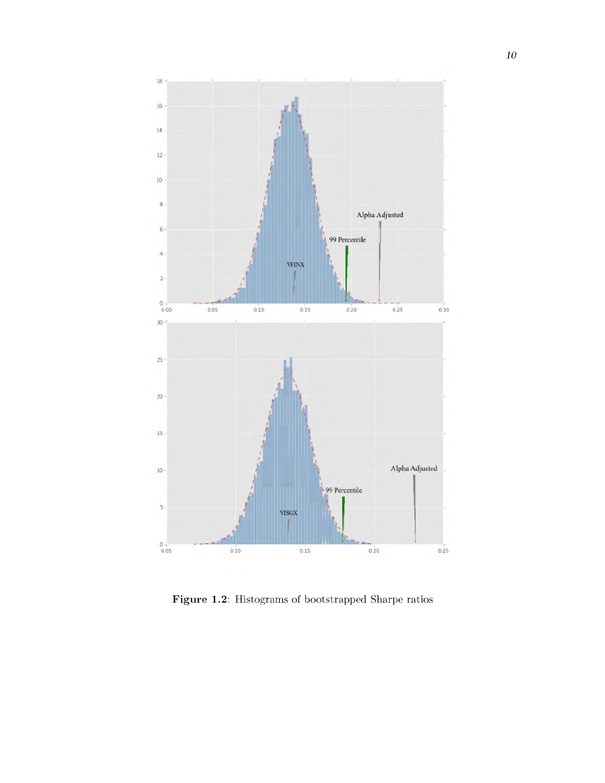

Figure 1.2: Histograms of bootstrapped Sharpe ratios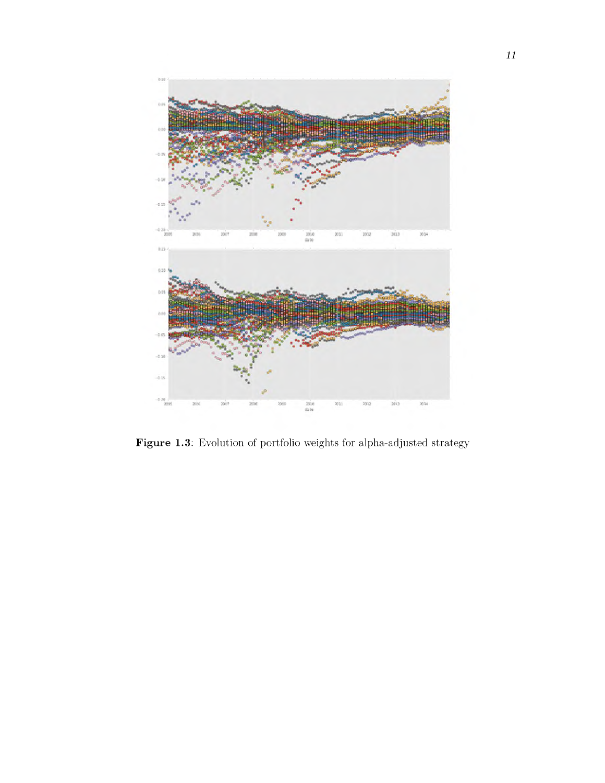

Figure 1.3: Evolution of portfolio weights for alpha-adjusted strategy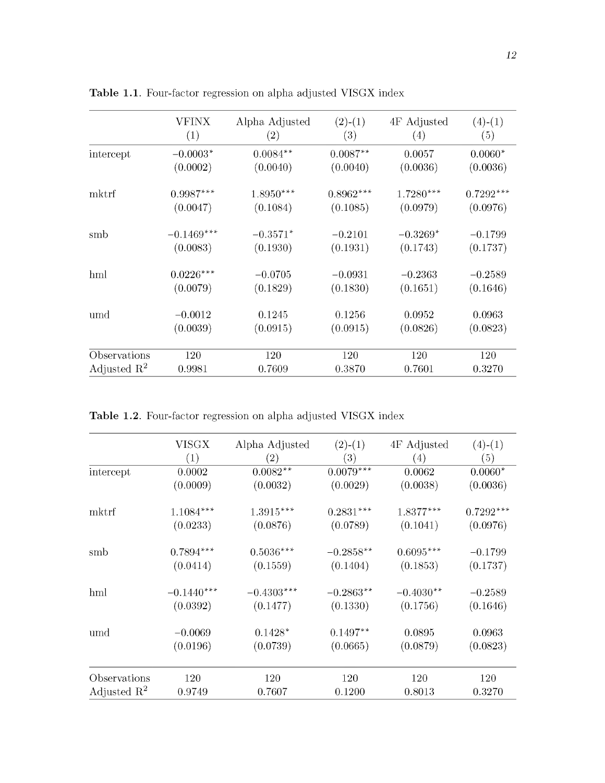|                         | VFINX        | Alpha Adjusted | $(2)-(1)$   | 4F Adjusted | $(4)-(1)$   |
|-------------------------|--------------|----------------|-------------|-------------|-------------|
|                         | (1)          | (2)            | (3)         | (4)         | (5)         |
| intercept               | $-0.0003*$   | $0.0084**$     | $0.0087**$  | 0.0057      | $0.0060*$   |
|                         | (0.0002)     | (0.0040)       | (0.0040)    | (0.0036)    | (0.0036)    |
| mktrf                   | $0.9987***$  | $1.8950***$    | $0.8962***$ | $1.7280***$ | $0.7292***$ |
|                         | (0.0047)     | (0.1084)       | (0.1085)    | (0.0979)    | (0.0976)    |
| smb                     | $-0.1469***$ | $-0.3571*$     | $-0.2101$   | $-0.3269*$  | $-0.1799$   |
|                         | (0.0083)     | (0.1930)       | (0.1931)    | (0.1743)    | (0.1737)    |
| hml                     | $0.0226***$  | $-0.0705$      | $-0.0931$   | $-0.2363$   | $-0.2589$   |
|                         | (0.0079)     | (0.1829)       | (0.1830)    | (0.1651)    | (0.1646)    |
| umd                     | $-0.0012$    | 0.1245         | 0.1256      | 0.0952      | 0.0963      |
|                         | (0.0039)     | (0.0915)       | (0.0915)    | (0.0826)    | (0.0823)    |
| Observations            | 120          | 120            | 120         | 120         | 120         |
| Adjusted $\mathbb{R}^2$ | 0.9981       | 0.7609         | 0.3870      | 0.7601      | 0.3270      |

Table 1.1. Four-factor regression on alpha adjusted VISGX index

Table 1.2. Four-factor regression on alpha adjusted VISGX index

|                         | VISGX<br>(1) | Alpha Adjusted<br>$\left( 2\right)$ | $(2)-(1)$<br>$\left( 3\right)$ | 4F Adjusted<br>$\left( 4\right)$ | $(4)-(1)$<br>(5) |
|-------------------------|--------------|-------------------------------------|--------------------------------|----------------------------------|------------------|
| intercept               | 0.0002       | $0.0082**$                          | $0.0079***$                    | 0.0062                           | $0.0060*$        |
|                         | (0.0009)     | (0.0032)                            | (0.0029)                       | (0.0038)                         | (0.0036)         |
| mktrf                   | $1.1084***$  | $1.3915***$                         | $0.2831***$                    | $1.8377***$                      | $0.7292***$      |
|                         | (0.0233)     | (0.0876)                            | (0.0789)                       | (0.1041)                         | (0.0976)         |
| smb                     | $0.7894***$  | $0.5036***$                         | $-0.2858**$                    | $0.6095***$                      | $-0.1799$        |
|                         | (0.0414)     | (0.1559)                            | (0.1404)                       | (0.1853)                         | (0.1737)         |
| hml                     | $-0.1440***$ | $-0.4303***$                        | $-0.2863**$                    | $-0.4030**$                      | $-0.2589$        |
|                         | (0.0392)     | (0.1477)                            | (0.1330)                       | (0.1756)                         | (0.1646)         |
| umd                     | $-0.0069$    | $0.1428*$                           | $0.1497**$                     | 0.0895                           | 0.0963           |
|                         | (0.0196)     | (0.0739)                            | (0.0665)                       | (0.0879)                         | (0.0823)         |
| Observations            | 120          | 120                                 | 120                            | 120                              | 120              |
| Adjusted $\mathbb{R}^2$ | 0.9749       | 0.7607                              | 0.1200                         | 0.8013                           | 0.3270           |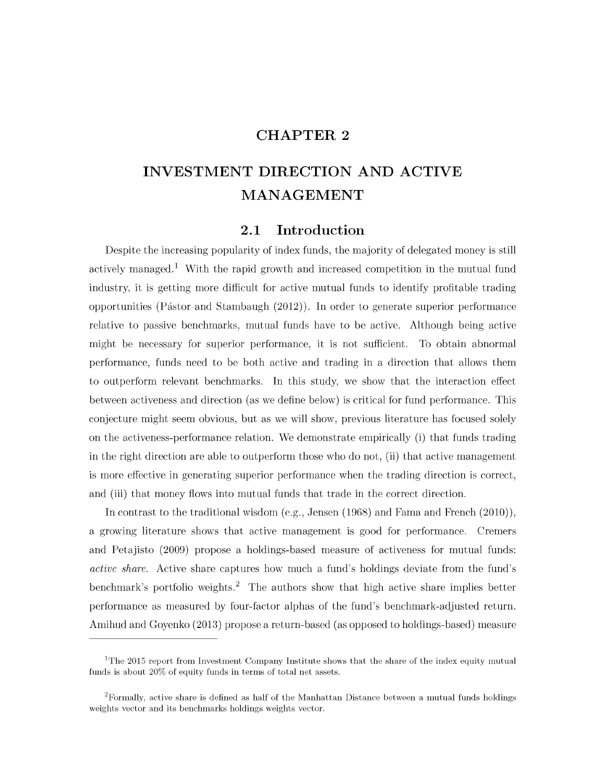## **CHAPTER 2**

# <span id="page-21-0"></span>**INVESTMENT DIRECTION AND ACTIVE MANAGEMENT**

### **2.1 Introduction**

Despite the increasing popularity of index funds, the majority of delegated money is still actively managed.<sup>1</sup> With the rapid growth and increased competition in the mutual fund industry, it is getting more difficult for active mutual funds to identify profitable trading opportunities (Pástor and Stambaugh  $(2012)$ ). In order to generate superior performance relative to passive benchmarks, mutual funds have to be active. Although being active might be necessary for superior performance, it is not sufficient. To obtain abnormal performance, funds need to be both active and trading in a direction that allows them to outperform relevant benchmarks. In this study, we show that the interaction effect between activeness and direction (as we define below) is critical for fund performance. This conjecture might seem obvious, but as we will show, previous literature has focused solely on the activeness-performance relation. We demonstrate empirically (i) that funds trading in the right direction are able to outperform those who do not,  $(ii)$  that active management is more effective in generating superior performance when the trading direction is correct, and (iii) that money flows into mutual funds that trade in the correct direction.

In contrast to the traditional wisdom (e.g., Jensen  $(1968)$  and Frama and French  $(2010)$ ), a growing literature shows that active management is good for performance. Cremers and Petajisto (2009) propose a holdings-based measure of activeness for mutual funds: *active share.* Active share captures how much a fund's holdings deviate from the fund's benchmark's portfolio weights.<sup>2</sup> The authors show that high active share implies better performance as measured by four-factor alphas of the fund's benchmark-adjusted return. Amihud and Goyenko (2013) propose a return-based (as opposed to holdings-based) measure

<sup>&</sup>lt;sup>1</sup>The 2015 report from Investment Company Institute shows that the share of the index equity mutual funds is about  $20\%$  of equity funds in terms of total net assets.

 ${}^{2}$ Formally, active share is defined as half of the Manhattan Distance between a mutual funds holdings weights vector and its benchmarks holdings weights vector.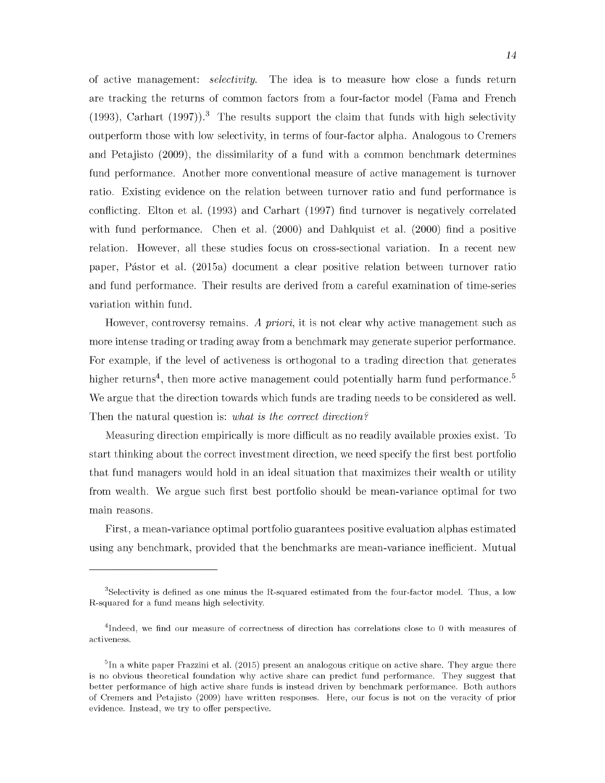of active management: *selectivity*. The idea is to measure how close a funds return are tracking the returns of common factors from a four-factor model (Fama and French (1993), Carhart (1997)).<sup>3</sup> The results support the claim that funds with high selectivity outperform those with low selectivity, in term s of four-factor alpha. Analogous to Cremers and Petajisto (2009), the dissimilarity of a fund with a common benchmark determines fund performance. Another more conventional measure of active management is turnover ratio. Existing evidence on the relation between turnover ratio and fund performance is conflicting. Elton et al. (1993) and Carhart (1997) find turnover is negatively correlated with fund performance. Chen et al.  $(2000)$  and Dahlquist et al.  $(2000)$  find a positive relation. However, all these studies focus on cross-sectional variation. In a recent new paper, Pástor et al. (2015a) document a clear positive relation between turnover ratio and fund performance. Their results are derived from a careful examination of time-series variation within fund.

However, controversy remains. A priori, it is not clear why active management such as more intense trading or trading away from a benchmark may generate superior performance. For example, if the level of activeness is orthogonal to a trading direction that generates higher returns<sup>4</sup>, then more active management could potentially harm fund performance.<sup>5</sup> We argue that the direction towards which funds are trading needs to be considered as well. Then the natural question is: *what is the correct direction?*

M easuring direction empirically is more difficult as no readily available proxies exist. To start thinking about the correct investment direction, we need specify the first best portfolio that fund managers would hold in an ideal situation that maximizes their wealth or utility from wealth. We argue such first best portfolio should be mean-variance optimal for two main reasons.

First, a mean-variance optimal portfolio guarantees positive evaluation alphas estimated using any benchmark, provided that the benchmarks are mean-variance inefficient. Mutual

 ${}^{3}$ Selectivity is defined as one minus the R-squared estimated from the four-factor model. Thus, a low R-squared for a fund means high selectivity.

 $^{4}$ Indeed, we find our measure of correctness of direction has correlations close to 0 with measures of activeness.

 ${}^{5}$ In a white paper Frazzini et al. (2015) present an analogous critique on active share. They argue there is no obvious theoretical foundation why active share can predict fund performance. They suggest that better performance of high active share funds is instead driven by benchmark performance. Both authors of Cremers and Petajisto (2009) have written responses. Here, our focus is not on the veracity of prior evidence. Instead, we try to offer perspective.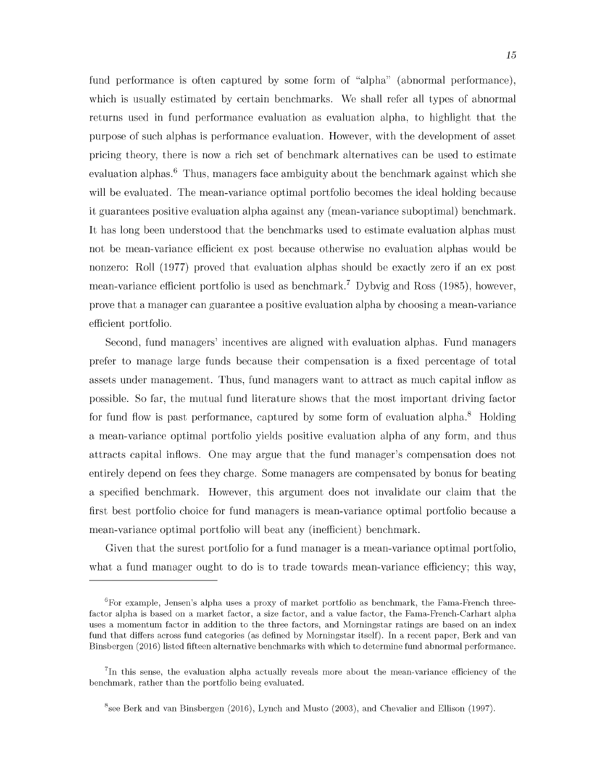fund performance is often captured by some form of "alpha" (abnormal performance), which is usually estimated by certain benchmarks. We shall refer all types of abnormal returns used in fund performance evaluation as evaluation alpha, to highlight that the purpose of such alphas is performance evaluation. However, with the development of asset pricing theory, there is now a rich set of benchmark alternatives can be used to estimate evaluation alphas.<sup>6</sup> Thus, managers face ambiguity about the benchmark against which she will be evaluated. The mean-variance optimal portfolio becomes the ideal holding because it guarantees positive evaluation alpha against any (mean-variance suboptimal) benchmark. It has long been understood that the benchmarks used to estimate evaluation alphas must not be mean-variance efficient ex post because otherwise no evaluation alphas would be nonzero: Roll (1977) proved that evaluation alphas should be exactly zero if an ex post mean-variance efficient portfolio is used as benchmark.<sup>7</sup> Dybvig and Ross (1985), however, prove that a manager can guarantee a positive evaluation alpha by choosing a mean-variance efficient portfolio.

Second, fund managers' incentives are aligned with evaluation alphas. Fund managers prefer to manage large funds because their com pensation is a fixed percentage of total assets under management. Thus, fund managers want to attract as much capital inflow as possible. So far, the mutual fund literature shows that the most important driving factor for fund flow is past performance, captured by some form of evaluation alpha.<sup>8</sup> Holding a mean-variance optimal portfolio yields positive evaluation alpha of any form, and thus attracts capital inflows. One may argue that the fund manager's compensation does not entirely depend on fees they charge. Some managers are compensated by bonus for beating a specified benchmark. However, this argument does not invalidate our claim that the first best portfolio choice for fund managers is mean-variance optimal portfolio because a mean-variance optimal portfolio will beat any (inefficient) benchmark.

Given that the surest portfolio for a fund manager is a mean-variance optimal portfolio, what a fund manager ought to do is to trade towards mean-variance efficiency; this way,

 $6$ For example, Jensen's alpha uses a proxy of market portfolio as benchmark, the Fama-French threefactor alpha is based on a market factor, a size factor, and a value factor, the Fama-French-Carhart alpha uses a momentum factor in addition to the three factors, and Morningstar ratings are based on an index fund that differs across fund categories (as defined by Morningstar itself). In a recent paper, Berk and van Binsbergen (2016) listed fifteen alternative benchmarks with which to determine fund abnormal performance.

 ${}^{7}$ In this sense, the evaluation alpha actually reveals more about the mean-variance efficiency of the benchmark, rather than the portfolio being evaluated.

 ${}^{8}$ see Berk and van Binsbergen (2016), Lynch and Musto (2003), and Chevalier and Ellison (1997).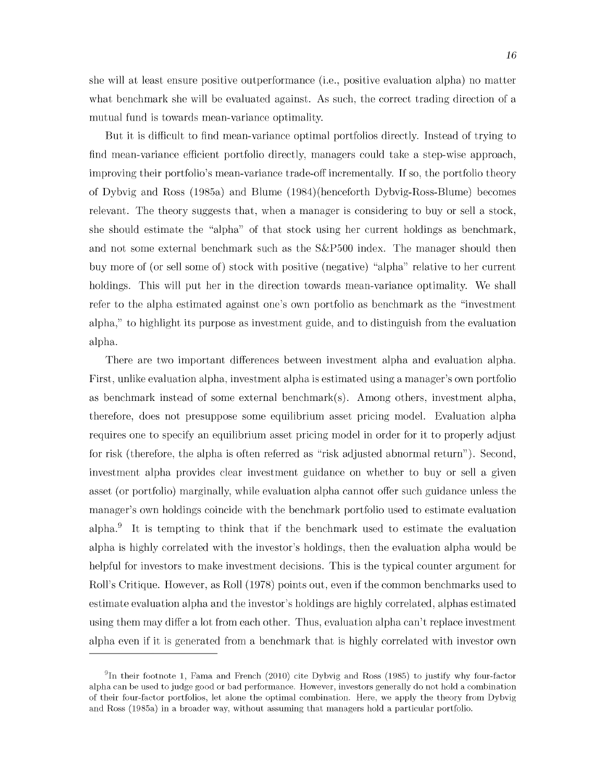she will at least ensure positive outperformance (i.e., positive evaluation alpha) no matter what benchmark she will be evaluated against. As such, the correct trading direction of a mutual fund is towards mean-variance optimality.

But it is difficult to find mean-variance optimal portfolios directly. Instead of trying to find mean-variance efficient portfolio directly, managers could take a step-wise approach, improving their portfolio's mean-variance trade-off incrementally. If so, the portfolio theory of Dybvig and Ross (1985a) and Blume (1984)(henceforth Dybvig-Ross-Blume) becomes relevant. The theory suggests that, when a manager is considering to buy or sell a stock, she should estimate the "alpha" of that stock using her current holdings as benchmark, and not some external benchmark such as the  $S\&P500$  index. The manager should then buy more of (or sell some of) stock with positive (negative) "alpha" relative to her current holdings. This will put her in the direction towards mean-variance optimality. We shall refer to the alpha estimated against one's own portfolio as benchmark as the "investment" alpha," to highlight its purpose as investment guide, and to distinguish from the evaluation alpha.

There are two important differences between investment alpha and evaluation alpha. First, unlike evaluation alpha, investment alpha is estimated using a manager's own portfolio as benchmark instead of some external benchmark $(s)$ . Among others, investment alpha, therefore, does not presuppose some equilibrium asset pricing model. Evaluation alpha requires one to specify an equilibrium asset pricing model in order for it to properly adjust for risk (therefore, the alpha is often referred as "risk adjusted abnormal return"). Second, investment alpha provides clear investment guidance on whether to buy or sell a given asset (or portfolio) marginally, while evaluation alpha cannot offer such guidance unless the manager's own holdings coincide with the benchmark portfolio used to estimate evaluation alpha. $9$  It is tempting to think that if the benchmark used to estimate the evaluation alpha is highly correlated with the investor's holdings, then the evaluation alpha would be helpful for investors to make investment decisions. This is the typical counter argument for Roll's Critique. However, as Roll (1978) points out, even if the common benchmarks used to estimate evaluation alpha and the investor's holdings are highly correlated, alphas estimated using them may differ a lot from each other. Thus, evaluation alpha can't replace investment alpha even if it is generated from a benchmark that is highly correlated with investor own

 $9$ In their footnote 1, Fama and French (2010) cite Dybvig and Ross (1985) to justify why four-factor alpha can be used to judge good or bad performance. However, investors generally do not hold a combination of their four-factor portfolios, let alone the optimal combination. Here, we apply the theory from Dybvig and Ross (1985a) in a broader way, without assuming that managers hold a particular portfolio.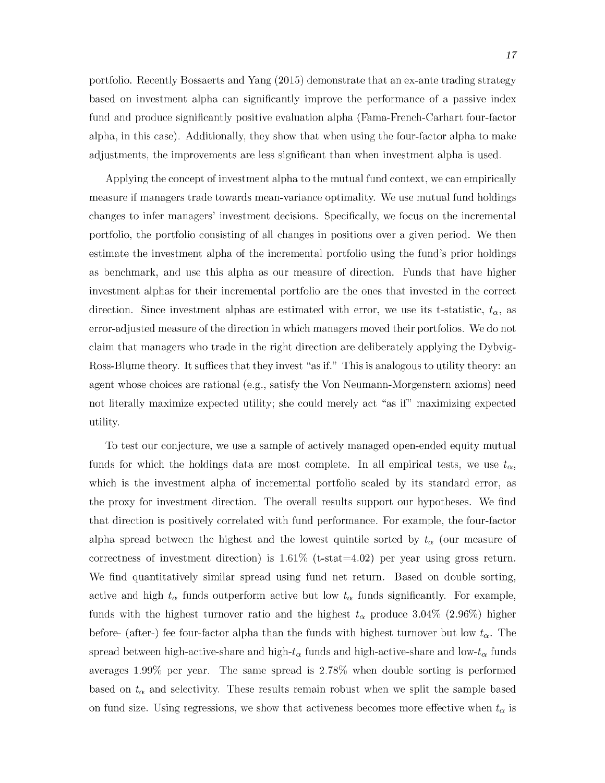portfolio. Recently Bossaerts and Yang (2015) demonstrate that an ex-ante trading strategy based on investment alpha can significantly improve the performance of a passive index fund and produce significantly positive evaluation alpha (Fama-French-Carhart four-factor alpha, in this case). Additionally, they show that when using the four-factor alpha to make adjustments, the improvements are less significant than when investment alpha is used.

Applying the concept of investment alpha to the mutual fund context, we can empirically measure if managers trade towards mean-variance optimality. We use mutual fund holdings changes to infer managers' investment decisions. Specifically, we focus on the incremental portfolio, the portfolio consisting of all changes in positions over a given period. We then estim ate the investment alpha of the incremental portfolio using the fund's prior holdings as benchmark, and use this alpha as our measure of direction. Funds that have higher investment alphas for their incremental portfolio are the ones that invested in the correct direction. Since investment alphas are estimated with error, we use its t-statistic,  $t_{\alpha}$ , as error-adjusted measure of the direction in which managers moved their portfolios. We do not claim that managers who trade in the right direction are deliberately applying the Dybyig-Ross-Blume theory. It suffices that they invest "as if." This is analogous to utility theory: an agent whose choices are rational (e.g., satisfy the Von Neumann-Morgenstern axioms) need not literally maximize expected utility; she could merely act "as if" maximizing expected utility.

To test our conjecture, we use a sample of actively managed open-ended equity m utual funds for which the holdings data are most complete. In all empirical tests, we use  $t_{\alpha}$ , which is the investment alpha of incremental portfolio scaled by its standard error, as the proxy for investment direction. The overall results support our hypotheses. We find that direction is positively correlated with fund performance. For example, the four-factor alpha spread between the highest and the lowest quintile sorted by  $t_{\alpha}$  (our measure of correctness of investment direction) is  $1.61\%$  (t-stat=4.02) per year using gross return. We find quantitatively similar spread using fund net return. Based on double sorting, active and high  $t_{\alpha}$  funds outperform active but low  $t_{\alpha}$  funds significantly. For example, funds with the highest turnover ratio and the highest  $t_{\alpha}$  produce 3.04\% (2.96\%) higher before- (after-) fee four-factor alpha than the funds with highest turnover but low  $t_{\alpha}$ . The spread between high-active-share and high- $t_{\alpha}$  funds and high-active-share and low- $t_{\alpha}$  funds averages 1.99% per year. The same spread is 2.78% when double sorting is performed based on  $t_{\alpha}$  and selectivity. These results remain robust when we split the sample based on fund size. Using regressions, we show that activeness becomes more effective when  $t_{\alpha}$  is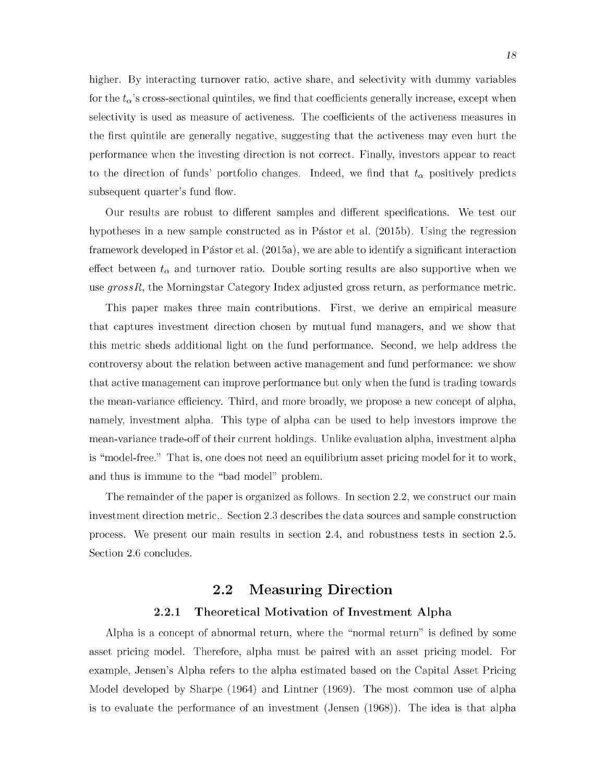higher. By interacting turnover ratio, active share, and selectivity with dummy variables for the  $t_{\alpha}$ 's cross-sectional quintiles, we find that coefficients generally increase, except when selectivity is used as measure of activeness. The coefficients of the activeness measures in the first quintile are generally negative, suggesting that the activeness may even hurt the performance when the investing direction is not correct. Finally, investors appear to react to the direction of funds' portfolio changes. Indeed, we find that  $t_{\alpha}$  positively predicts subsequent quarter's fund flow.

Our results are robust to different samples and different specifications. We test our hypotheses in a new sample constructed as in Pástor et al.  $(2015b)$ . Using the regression framework developed in Pástor et al.  $(2015a)$ , we are able to identify a significant interaction effect between  $t_{\alpha}$  and turnover ratio. Double sorting results are also supportive when we use *grossR*, the Morningstar Category Index adjusted gross return, as performance metric.

This paper makes three main contributions. First, we derive an empirical measure that captures investment direction chosen by mutual fund managers, and we show that this m etric sheds additional light on the fund performance. Second, we help address the controversy about the relation between active management and fund performance: we show that active management can improve performance but only when the fund is trading towards the mean-variance efficiency. Third, and more broadly, we propose a new concept of alpha, namely, investment alpha. This type of alpha can be used to help investors improve the mean-variance trade-off of their current holdings. Unlike evaluation alpha, investment alpha is "model-free." That is, one does not need an equilibrium asset pricing model for it to work, and thus is immune to the "bad model" problem.

<span id="page-26-0"></span>The remainder of the paper is organized as follows. In section 2.2, we construct our main investment direction metric,. Section 2.3 describes the data sources and sample construction process. We present our main results in section 2.4, and robustness tests in section 2.5. Section 2.6 concludes.

## **2.2 Measuring Direction**

#### **2.2.1 Theoretical Motivation of Investment Alpha**

<span id="page-26-1"></span>Alpha is a concept of abnormal return, where the "normal return" is defined by some asset pricing model. Therefore, alpha must be paired with an asset pricing model. For example, Jensen's Alpha refers to the alpha estimated based on the Capital Asset Pricing Model developed by Sharpe (1964) and Lintner (1969). The most common use of alpha is to evaluate the performance of an investment (Jensen (1968)). The idea is that alpha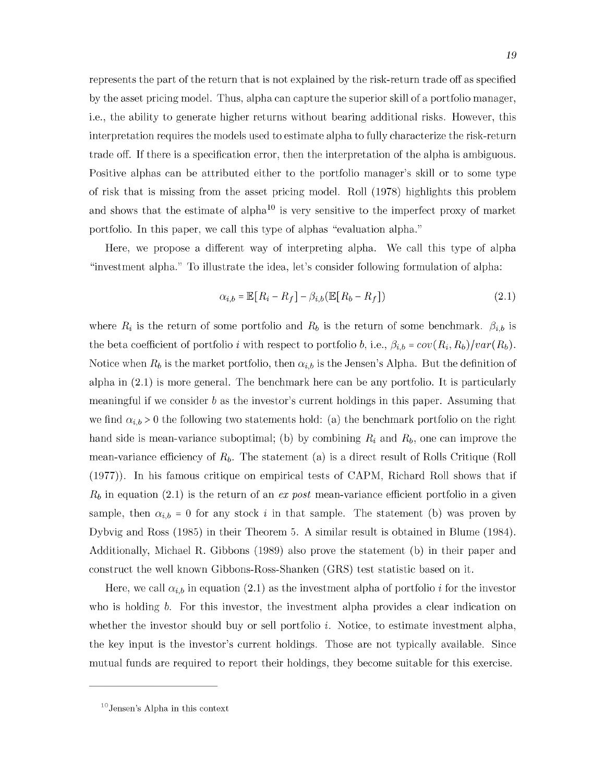represents the part of the return that is not explained by the risk-return trade off as specified by the asset pricing model. Thus, alpha can capture the superior skill of a portfolio manager, i.e., the ability to generate higher returns w ithout bearing additional risks. However, this interpretation requires the models used to estim ate alpha to fully characterize the risk-return trade off. If there is a specification error, then the interpretation of the alpha is ambiguous. Positive alphas can be attributed either to the portfolio manager's skill or to some type of risk that is missing from the asset pricing model. Roll (1978) highlights this problem and shows that the estimate of alpha<sup>10</sup> is very sensitive to the imperfect proxy of market portfolio. In this paper, we call this type of alphas "evaluation alpha."

Here, we propose a different way of interpreting alpha. We call this type of alpha "investment alpha." To illustrate the idea, let's consider following formulation of alpha:

$$
\alpha_{i,b} = \mathbb{E}[R_i - R_f] - \beta_{i,b}(\mathbb{E}[R_b - R_f])
$$
\n(2.1)

where  $R_i$  is the return of some portfolio and  $R_b$  is the return of some benchmark.  $\beta_{i,b}$  is the beta coefficient of portfolio i with respect to portfolio b, i.e.,  $\beta_{i,b} = cov(R_i, R_b)/var(R_b)$ . Notice when  $R_b$  is the market portfolio, then  $\alpha_{i,b}$  is the Jensen's Alpha. But the definition of alpha in  $(2.1)$  is more general. The benchmark here can be any portfolio. It is particularly meaningful if we consider b as the investor's current holdings in this paper. Assuming that we find  $\alpha_{i,b} > 0$  the following two statements hold: (a) the benchmark portfolio on the right hand side is mean-variance suboptimal; (b) by combining  $R_i$  and  $R_b$ , one can improve the mean-variance efficiency of  $R_b$ . The statement (a) is a direct result of Rolls Critique (Roll  $(1977)$ ). In his famous critique on empirical tests of CAPM, Richard Roll shows that if  $R_b$  in equation (2.1) is the return of an  $ex$  post mean-variance efficient portfolio in a given sample, then  $\alpha_{i,b} = 0$  for any stock i in that sample. The statement (b) was proven by Dybvig and Ross (1985) in their Theorem 5. A similar result is obtained in Blume (1984). Additionally, Michael R. Gibbons (1989) also prove the statement (b) in their paper and construct the well known Gibbons-Ross-Shanken (GRS) test statistic based on it.

Here, we call  $\alpha_{i,b}$  in equation (2.1) as the investment alpha of portfolio i for the investor who is holding *b*. For this investor, the investment alpha provides a clear indication on whether the investor should buy or sell portfolio  $i$ . Notice, to estimate investment alpha, the key input is the investor's current holdings. Those are not typically available. Since mutual funds are required to report their holdings, they become suitable for this exercise.

 $10$  Jensen's Alpha in this context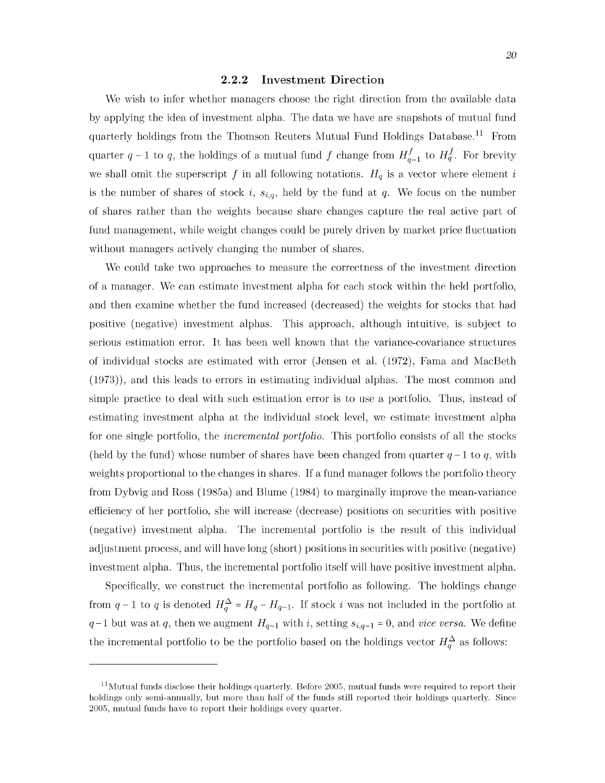#### **2.2.2** Investment Direction

<span id="page-28-0"></span>We wish to infer whether managers choose the right direction from the available data by applying the idea of investment alpha. The data we have are snapshots of mutual fund quarterly holdings from the Thomson Reuters Mutual Fund Holdings Database.<sup>11</sup> From quarter  $q-1$  to q, the holdings of a mutual fund f change from  $H_{q-1}^f$  to  $H_q^f$ . For brevity we shall omit the superscript f in all following notations.  $H_q$  is a vector where element i is the number of shares of stock i,  $s_{i,q}$ , held by the fund at q. We focus on the number of shares rather than the weights because share changes capture the real active part of fund management, while weight changes could be purely driven by market price fluctuation without managers actively changing the number of shares.

We could take two approaches to measure the correctness of the investment direction of a manager. We can estimate investment alpha for each stock within the held portfolio, and then examine whether the fund increased (decreased) the weights for stocks that had positive (negative) investment alphas. This approach, although intuitive, is subject to serious estimation error. It has been well known that the variance-covariance structures of individual stocks are estimated with error (Jensen et al. (1972), Fama and MacBeth  $(1973)$ , and this leads to errors in estimating individual alphas. The most common and simple practice to deal with such estim ation error is to use a portfolio. Thus, instead of estimating investment alpha at the individual stock level, we estimate investment alpha for one single portfolio, the *incremental portfolio.* This portfolio consists of all the stocks (held by the fund) whose number of shares have been changed from quarter  $q-1$  to q, with weights proportional to the changes in shares. If a fund manager follows the portfolio theory from Dybvig and Ross (1985a) and Blume (1984) to marginally improve the mean-variance efficiency of her portfolio, she will increase (decrease) positions on securities with positive (negative) investment alpha. The incremental portfolio is the result of this individual adjustment process, and will have long (short) positions in securities with positive (negative) investment alpha. Thus, the incremental portfolio itself will have positive investment alpha.

Specifically, we construct the incremental portfolio as following. The holdings change from  $q - 1$  to q is denoted  $H_q^{\Delta} = H_q - H_{q-1}$ . If stock i was not included in the portfolio at  $q-1$  but was at q, then we augment  $H_{q-1}$  with i, setting  $s_{i,q-1} = 0$ , and *vice versa*. We define the incremental portfolio to be the portfolio based on the holdings vector  $H_q^{\Delta}$  as follows:

 $11$ Mutual funds disclose their holdings quarterly. Before 2005, mutual funds were required to report their holdings only semi-annually, but more than half of the funds still reported their holdings quarterly. Since 2005, mutual funds have to report their holdings every quarter.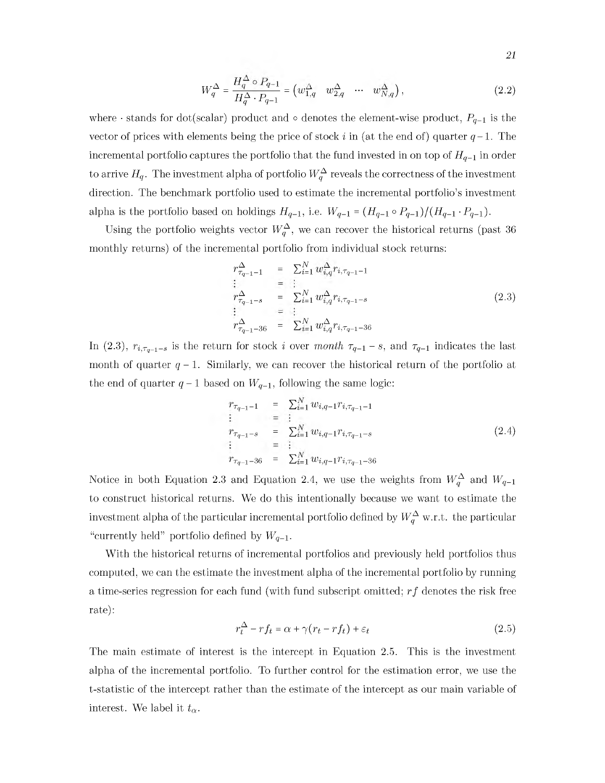$$
W_q^{\Delta} = \frac{H_q^{\Delta} \circ P_{q-1}}{H_q^{\Delta} \cdot P_{q-1}} = \left( w_{1,q}^{\Delta} \quad w_{2,q}^{\Delta} \quad \cdots \quad w_{N,q}^{\Delta} \right),\tag{2.2}
$$

where  $\cdot$  stands for dot(scalar) product and  $\circ$  denotes the element-wise product,  $P_{q-1}$  is the vector of prices with elements being the price of stock i in (at the end of) quarter  $q-1$ . The incremental portfolio captures the portfolio that the fund invested in on top of  $H_{q-1}$  in order to arrive  $H_q$ . The investment alpha of portfolio  $W_q^{\Delta}$  reveals the correctness of the investment direction. The benchmark portfolio used to estimate the incremental portfolio's investment alpha is the portfolio based on holdings  $H_{q-1}$ , i.e.  $W_{q-1} = (H_{q-1} \circ P_{q-1})/(H_{q-1} \cdot P_{q-1}).$ 

Using the portfolio weights vector  $W_q^{\Delta}$ , we can recover the historical returns (past 36 monthly returns) of the incremental portfolio from individual stock returns:

$$
r_{\tau_{q-1}-1}^{\Delta} = \sum_{i=1}^{N} w_{i,q}^{\Delta} r_{i,\tau_{q-1}-1}
$$
  
\n
$$
\vdots = \vdots
$$
  
\n
$$
r_{\tau_{q-1}-s}^{\Delta} = \sum_{i=1}^{N} w_{i,q}^{\Delta} r_{i,\tau_{q-1}-s}
$$
  
\n
$$
\vdots = \vdots
$$
  
\n
$$
r_{\tau_{q-1}-36}^{\Delta} = \sum_{i=1}^{N} w_{i,q}^{\Delta} r_{i,\tau_{q-1}-36}
$$
  
\n(2.3)

In (2.3),  $r_{i, \tau_{q-1}-s}$  is the return for stock i over *month*  $\tau_{q-1}-s$ , and  $\tau_{q-1}$  indicates the last month of quarter  $q - 1$ . Similarly, we can recover the historical return of the portfolio at the end of quarter  $q-1$  based on  $W_{q-1}$ , following the same logic:

$$
r_{\tau_{q-1}-1} = \sum_{i=1}^{N} w_{i,q-1} r_{i,\tau_{q-1}-1}
$$
  
\n
$$
\vdots = \vdots
$$
  
\n
$$
r_{\tau_{q-1}-s} = \sum_{i=1}^{N} w_{i,q-1} r_{i,\tau_{q-1}-s}
$$
  
\n
$$
\vdots = \vdots
$$
  
\n
$$
r_{\tau_{q-1}-36} = \sum_{i=1}^{N} w_{i,q-1} r_{i,\tau_{q-1}-36}
$$
\n(2.4)

Notice in both Equation 2.3 and Equation 2.4, we use the weights from  $W_q^{\Delta}$  and  $W_{q-1}$ to construct historical returns. We do this intentionally because we want to estimate the investment alpha of the particular incremental portfolio defined by  $W_q^{\Delta}$  w.r.t. the particular "currently held" portfolio defined by  $W_{q-1}$ .

With the historical returns of incremental portfolios and previously held portfolios thus computed, we can the estimate the investment alpha of the incremental portfolio by running a time-series regression for each fund (with fund subscript om itted; *r f* denotes the risk free rate):

$$
r_t^{\Delta} - rf_t = \alpha + \gamma (r_t - rf_t) + \varepsilon_t \tag{2.5}
$$

The main estimate of interest is the intercept in Equation 2.5. This is the investment alpha of the incremental portfolio. To further control for the estimation error, we use the t-statistic of the intercept rather than the estimate of the intercept as our main variable of interest. We label it  $t_{\alpha}$ .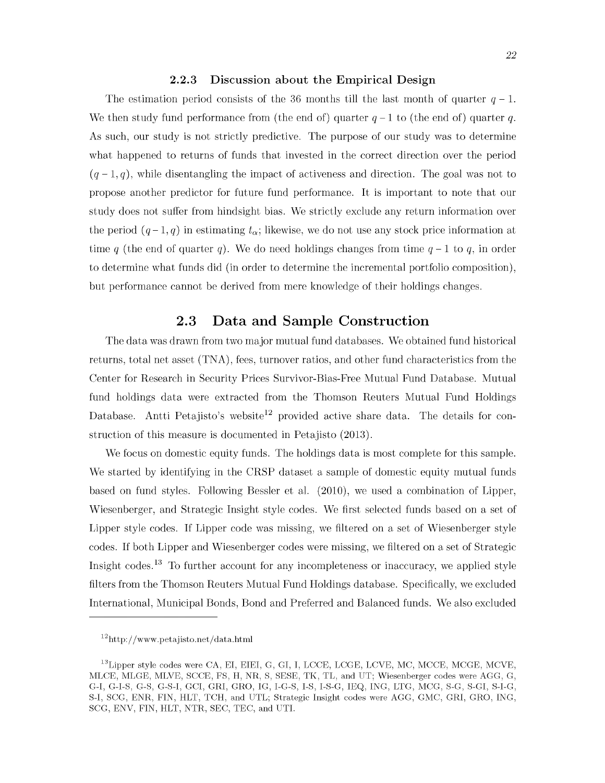#### **2.2.3** Discussion about the Empirical Design

<span id="page-30-0"></span>The estimation period consists of the 36 months till the last month of quarter  $q-1$ . We then study fund performance from (the end of) quarter  $q-1$  to (the end of) quarter q. As such, our study is not strictly predictive. The purpose of our study was to determine what happened to returns of funds that invested in the correct direction over the period  $(q-1,q)$ , while disentangling the impact of activeness and direction. The goal was not to propose another predictor for future fund performance. It is important to note that our study does not suffer from hindsight bias. We strictly exclude any return information over the period  $(q-1, q)$  in estimating  $t_{\alpha}$ ; likewise, we do not use any stock price information at time q (the end of quarter q). We do need holdings changes from time  $q-1$  to q, in order to determine what funds did (in order to determine the incremental portfolio composition), but performance cannot be derived from mere knowledge of their holdings changes.

## **2.3 Data and Sample Construction**

<span id="page-30-1"></span>The data was drawn from two major mutual fund databases. We obtained fund historical returns, total net asset (TNA), fees, turnover ratios, and other fund characteristics from the Center for Research in Security Prices Survivor-Bias-Free Mutual Fund Database. Mutual fund holdings data were extracted from the Thomson Reuters Mutual Fund Holdings Database. Antti Petajisto's website<sup>12</sup> provided active share data. The details for construction of this measure is documented in Petajisto (2013).

We focus on domestic equity funds. The holdings data is most complete for this sample. We started by identifying in the CRSP dataset a sample of domestic equity mutual funds based on fund styles. Following Bessler et al. (2010), we used a combination of Lipper, Wiesenberger, and Strategic Insight style codes. We first selected funds based on a set of Lipper style codes. If Lipper code was missing, we filtered on a set of Wiesenberger style codes. If both Lipper and Wiesenberger codes were missing, we filtered on a set of Strategic Insight codes.<sup>13</sup> To further account for any incompleteness or inaccuracy, we applied style filters from the Thomson Reuters Mutual Fund Holdings database. Specifically, we excluded International, Municipal Bonds, Bond and Preferred and Balanced funds. We also excluded

 $12$ http://www.petajisto.net/data.html

 $^{13}$ Lipper style codes were CA, EI, EIEI, G, GI, I, LCCE, LCGE, LCVE, MC, MCCE, MCGE, MCVE, MLCE, MLGE, MLVE, SCCE, FS, H, NR, S, SESE, TK, TL, and UT; Wiesenberger codes were AGG, G, G-I, G-I-S, G-S, G-S-I, GCI, GRI, GRO, IG, I-G-S, I-S, I-S-G, IEQ, ING, LTG, MCG, S-G, S-GI, S-I-G, S-I, SCG, ENR, FIN, HLT, TCH, and UTL; Strategic Insight codes were AGG, GMC, GRI, GRO, ING, SCG, ENV, FIN, HLT, NTR, SEC, TEC, and UTI.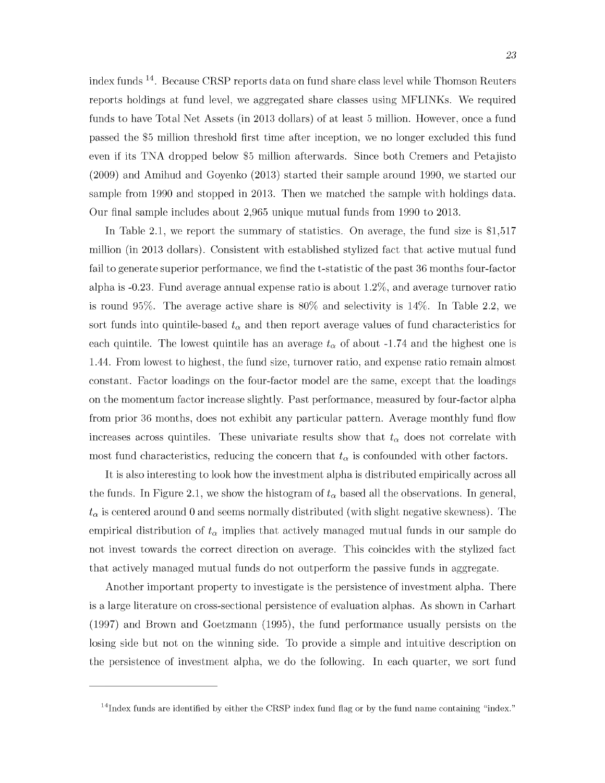index funds <sup>14</sup>. Because CRSP reports data on fund share class level while Thomson Reuters reports holdings at fund level, we aggregated share classes using MFLINKs. We required funds to have Total Net Assets (in 2013 dollars) of at least 5 million. However, once a fund passed the \$5 million threshold first time after inception, we no longer excluded this fund even if its TNA dropped below \$5 million afterwards. Since both Cremers and Petajisto (2009) and Amihud and Goyenko (2013) started their sample around 1990, we started our sample from 1990 and stopped in 2013. Then we matched the sample with holdings data. Our final sample includes about 2,965 unique mutual funds from 1990 to 2013.

In Table 2.1, we report the summary of statistics. On average, the fund size is  $$1,517$ million (in 2013 dollars). Consistent with established stylized fact that active mutual fund fail to generate superior performance, we find the t-statistic of the past 36 months four-factor alpha is -0.23. Fund average annual expense ratio is about 1.2%, and average turnover ratio is round 95%. The average active share is 80% and selectivity is 14%. In Table 2.2, we sort funds into quintile-based  $t_{\alpha}$  and then report average values of fund characteristics for each quintile. The lowest quintile has an average  $t_{\alpha}$  of about -1.74 and the highest one is 1.44. From lowest to highest, the fund size, turnover ratio, and expense ratio remain almost constant. Factor loadings on the four-factor model are the same, except that the loadings on the momentum factor increase slightly. Past performance, measured by four-factor alpha from prior 36 months, does not exhibit any particular pattern. Average monthly fund flow increases across quintiles. These univariate results show that  $t_{\alpha}$  does not correlate with most fund characteristics, reducing the concern that  $t_{\alpha}$  is confounded with other factors.

It is also interesting to look how the investment alpha is distributed empirically across all the funds. In Figure 2.1, we show the histogram of  $t_{\alpha}$  based all the observations. In general,  $t_{\alpha}$  is centered around 0 and seems normally distributed (with slight negative skewness). The empirical distribution of  $t_{\alpha}$  implies that actively managed mutual funds in our sample do not invest towards the correct direction on average. This coincides with the stylized fact that actively managed mutual funds do not outperform the passive funds in aggregate.

Another im portant property to investigate is the persistence of investment alpha. There is a large literature on cross-sectional persistence of evaluation alphas. As shown in Carhart  $(1997)$  and Brown and Goetzmann  $(1995)$ , the fund performance usually persists on the losing side but not on the winning side. To provide a simple and intuitive description on the persistence of investment alpha, we do the following. In each quarter, we sort fund

 $14$ Index funds are identified by either the CRSP index fund flag or by the fund name containing "index."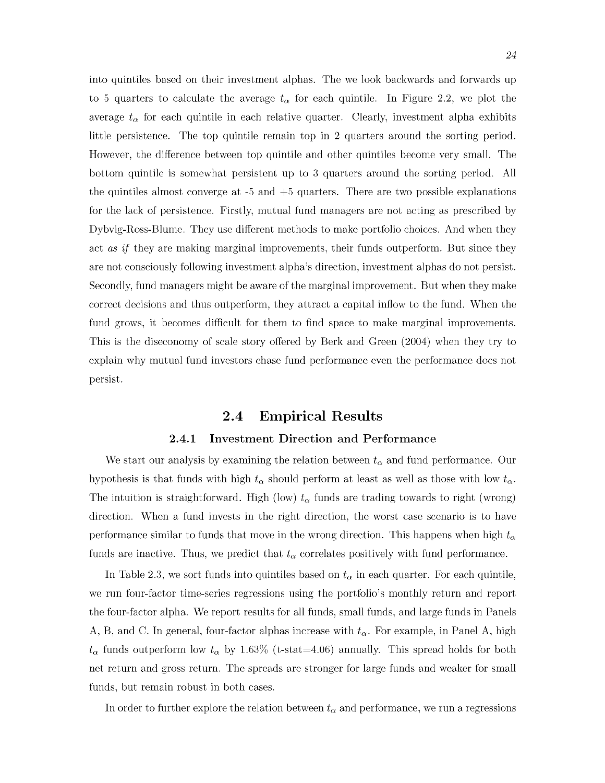into quintiles based on their investment alphas. The we look backwards and forwards up to 5 quarters to calculate the average  $t_{\alpha}$  for each quintile. In Figure 2.2, we plot the average  $t_{\alpha}$  for each quintile in each relative quarter. Clearly, investment alpha exhibits little persistence. The top quintile remain top in 2 quarters around the sorting period. However, the difference between top quintile and other quintiles become very small. The bottom quintile is somewhat persistent up to 3 quarters around the sorting period. All the quintiles almost converge at  $-5$  and  $+5$  quarters. There are two possible explanations for the lack of persistence. Firstly, mutual fund managers are not acting as prescribed by Dybvig-Ross-Blume. They use different methods to make portfolio choices. And when they act *as if* they are making marginal improvements, their funds outperform. But since they are not consciously following investment alpha's direction, investment alphas do not persist. Secondly, fund managers might be aware of the marginal improvement. But when they make correct decisions and thus outperform, they attract a capital inflow to the fund. When the fund grows, it becomes difficult for them to find space to make marginal improvements. This is the diseconomy of scale story offered by Berk and Green (2004) when they try to explain why mutual fund investors chase fund performance even the performance does not persist.

## **2.4 Empirical Results**

#### **2.4.1 Investment Direction and Performance**

<span id="page-32-1"></span><span id="page-32-0"></span>We start our analysis by examining the relation between  $t_{\alpha}$  and fund performance. Our hypothesis is that funds with high  $t_{\alpha}$  should perform at least as well as those with low  $t_{\alpha}$ . The intuition is straightforward. High (low)  $t_{\alpha}$  funds are trading towards to right (wrong) direction. W hen a fund invests in the right direction, the worst case scenario is to have performance similar to funds that move in the wrong direction. This happens when high  $t_{\alpha}$ funds are inactive. Thus, we predict that  $t_{\alpha}$  correlates positively with fund performance.

In Table 2.3, we sort funds into quintiles based on  $t_{\alpha}$  in each quarter. For each quintile, we run four-factor time-series regressions using the portfolio's monthly return and report the four-factor alpha. We report results for all funds, small funds, and large funds in Panels A, B, and C. In general, four-factor alphas increase with  $t_{\alpha}$ . For example, in Panel A, high  $t_{\alpha}$  funds outperform low  $t_{\alpha}$  by 1.63% (t-stat=4.06) annually. This spread holds for both net return and gross return. The spreads are stronger for large funds and weaker for small funds, but remain robust in both cases.

In order to further explore the relation between  $t_{\alpha}$  and performance, we run a regressions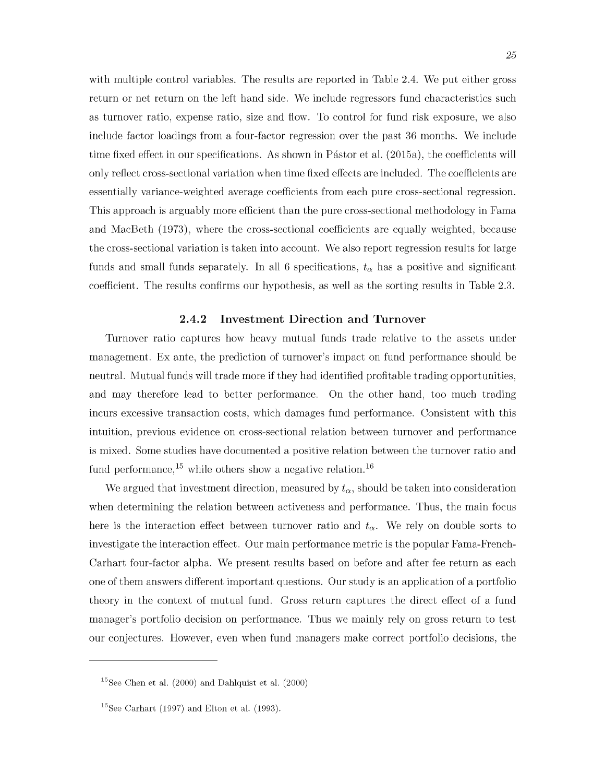with multiple control variables. The results are reported in Table 2.4. We put either gross return or net return on the left hand side. We include regressors fund characteristics such as turnover ratio, expense ratio, size and flow. To control for fund risk exposure, we also include factor loadings from a four-factor regression over the past 36 months. We include time fixed effect in our specifications. As shown in Pástor et al. (2015a), the coefficients will only reflect cross-sectional variation when time fixed effects are included. The coefficients are essentially variance-weighted average coefficients from each pure cross-sectional regression. This approach is arguably more efficient than the pure cross-sectional methodology in Fama and MacBeth (1973), where the cross-sectional coefficients are equally weighted, because the cross-sectional variation is taken into account. We also report regression results for large funds and small funds separately. In all 6 specifications,  $t_{\alpha}$  has a positive and significant coefficient. The results confirms our hypothesis, as well as the sorting results in Table 2.3.

#### **2.4.2** Investment Direction and Turnover

<span id="page-33-0"></span>Turnover ratio captures how heavy mutual funds trade relative to the assets under management. Ex ante, the prediction of turnover's impact on fund performance should be neutral. Mutual funds will trade more if they had identified profitable trading opportunities, and may therefore lead to better performance. On the other hand, too much trading incurs excessive transaction costs, which damages fund performance. Consistent with this intuition, previous evidence on cross-sectional relation between turnover and performance is mixed. Some studies have documented a positive relation between the turnover ratio and fund performance,  $^{15}$  while others show a negative relation.<sup>16</sup>

We argued that investment direction, measured by  $t_{\alpha}$ , should be taken into consideration when determining the relation between activeness and performance. Thus, the main focus here is the interaction effect between turnover ratio and  $t_{\alpha}$ . We rely on double sorts to investigate the interaction effect. Our main performance metric is the popular Fama-French-Carhart four-factor alpha. We present results based on before and after fee return as each one of them answers different im portant questions. Our study is an application of a portfolio theory in the context of mutual fund. Gross return captures the direct effect of a fund manager's portfolio decision on performance. Thus we mainly rely on gross return to test our conjectures. However, even when fund managers make correct portfolio decisions, the

<sup>&</sup>lt;sup>15</sup>See Chen et al.  $(2000)$  and Dahlquist et al.  $(2000)$ 

 $16$ See Carhart (1997) and Elton et al. (1993).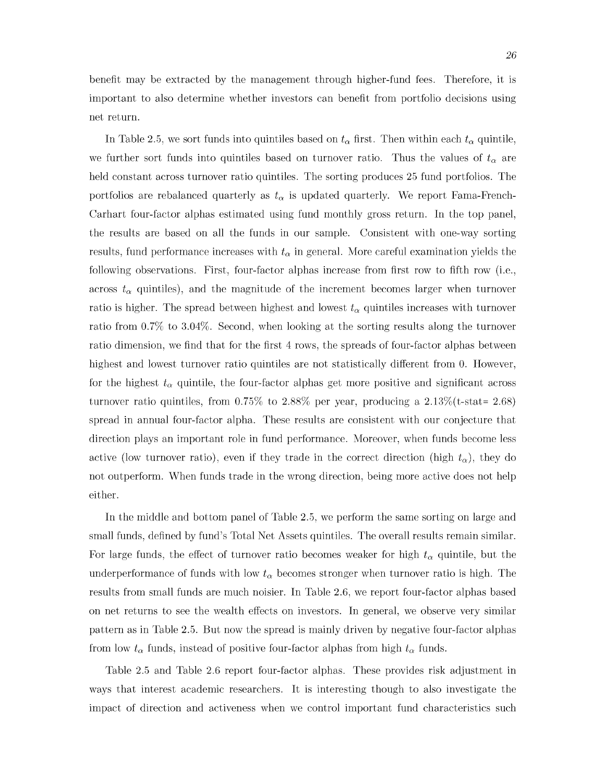benefit may be extracted by the management through higher-fund fees. Therefore, it is im portant to also determ ine whether investors can benefit from portfolio decisions using net return.

In Table 2.5, we sort funds into quintiles based on  $t_{\alpha}$  first. Then within each  $t_{\alpha}$  quintile, we further sort funds into quintiles based on turnover ratio. Thus the values of  $t_{\alpha}$  are held constant across turnover ratio quintiles. The sorting produces 25 fund portfolios. The portfolios are rebalanced quarterly as  $t_{\alpha}$  is updated quarterly. We report Fama-French-Carhart four-factor alphas estimated using fund monthly gross return. In the top panel, the results are based on all the funds in our sample. Consistent with one-way sorting results, fund performance increases with  $t_{\alpha}$  in general. More careful examination yields the following observations. First, four-factor alphas increase from first row to fifth row (i.e., across  $t_{\alpha}$  quintiles), and the magnitude of the increment becomes larger when turnover ratio is higher. The spread between highest and lowest  $t_{\alpha}$  quintiles increases with turnover ratio from 0.7% to 3.04%. Second, when looking at the sorting results along the turnover ratio dimension, we find that for the first 4 rows, the spreads of four-factor alphas between highest and lowest turnover ratio quintiles are not statistically different from 0. However, for the highest  $t_{\alpha}$  quintile, the four-factor alphas get more positive and significant across turnover ratio quintiles, from  $0.75\%$  to  $2.88\%$  per year, producing a  $2.13\%$  (t-stat= 2.68) spread in annual four-factor alpha. These results are consistent with our conjecture that direction plays an important role in fund performance. Moreover, when funds become less active (low turnover ratio), even if they trade in the correct direction (high  $t_{\alpha}$ ), they do not outperform. When funds trade in the wrong direction, being more active does not help either.

In the middle and bottom panel of Table 2.5, we perform the same sorting on large and small funds, defined by fund's Total Net Assets quintiles. The overall results remain similar. For large funds, the effect of turnover ratio becomes weaker for high  $t_{\alpha}$  quintile, but the underperformance of funds with low  $t_{\alpha}$  becomes stronger when turnover ratio is high. The results from small funds are much noisier. In Table 2.6, we report four-factor alphas based on net returns to see the wealth effects on investors. In general, we observe very similar pattern as in Table 2.5. But now the spread is mainly driven by negative four-factor alphas from low  $t_{\alpha}$  funds, instead of positive four-factor alphas from high  $t_{\alpha}$  funds.

Table 2.5 and Table 2.6 report four-factor alphas. These provides risk adjustment in ways that interest academic researchers. It is interesting though to also investigate the im pact of direction and activeness when we control im portant fund characteristics such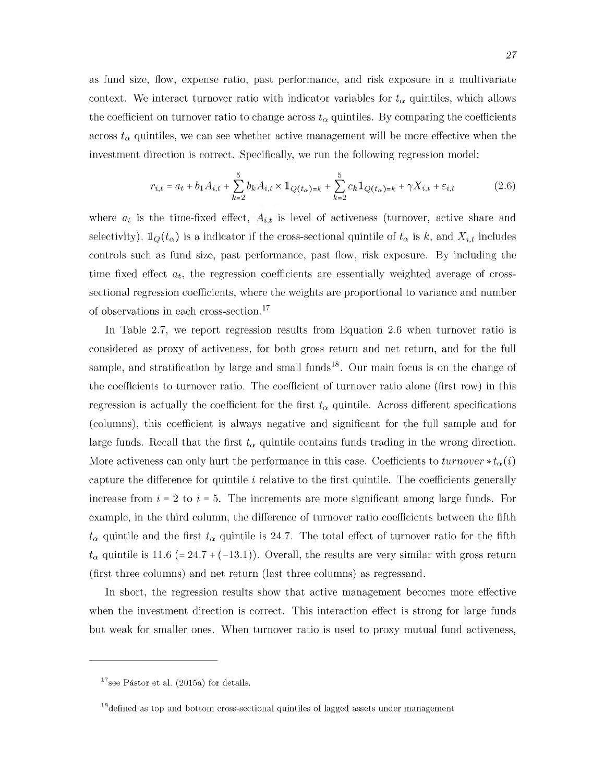as fund size, flow, expense ratio, past performance, and risk exposure in a multivariate context. We interact turnover ratio with indicator variables for  $t_{\alpha}$  quintiles, which allows the coefficient on turnover ratio to change across  $t_{\alpha}$  quintiles. By comparing the coefficients across  $t_{\alpha}$  quintiles, we can see whether active management will be more effective when the investment direction is correct. Specifically, we run the following regression model:

$$
r_{i,t} = a_t + b_1 A_{i,t} + \sum_{k=2}^{5} b_k A_{i,t} \times \mathbb{1}_{Q(t_\alpha) = k} + \sum_{k=2}^{5} c_k \mathbb{1}_{Q(t_\alpha) = k} + \gamma X_{i,t} + \varepsilon_{i,t}
$$
(2.6)

where  $a_t$  is the time-fixed effect,  $A_{i,t}$  is level of activeness (turnover, active share and selectivity),  $\mathbb{I}_Q(t_\alpha)$  is a indicator if the cross-sectional quintile of  $t_\alpha$  is k, and  $X_{i,t}$  includes controls such as fund size, past performance, past flow, risk exposure. By including the time fixed effect  $a_t$ , the regression coefficients are essentially weighted average of crosssectional regression coefficients, where the weights are proportional to variance and number of observations in each cross-section.17

In Table 2.7, we report regression results from Equation 2.6 when turnover ratio is considered as proxy of activeness, for both gross return and net return, and for the full sample, and stratification by large and small funds<sup>18</sup>. Our main focus is on the change of the coefficients to turnover ratio. The coefficient of turnover ratio alone (first row) in this regression is actually the coefficient for the first  $t_{\alpha}$  quintile. Across different specifications (columns), this coefficient is always negative and significant for the full sample and for large funds. Recall that the first  $t_{\alpha}$  quintile contains funds trading in the wrong direction. More activeness can only hurt the performance in this case. Coefficients to  $turnover * t_{\alpha}(i)$ capture the difference for quintile *i* relative to the first quintile. The coefficients generally increase from *i =* 2 to *i =* 5. The increments are more significant among large funds. For example, in the third column, the difference of turnover ratio coefficients between the fifth  $t_{\alpha}$  quintile and the first  $t_{\alpha}$  quintile is 24.7. The total effect of turnover ratio for the fifth  $t_{\alpha}$  quintile is 11.6 (= 24.7 + (-13.1)). Overall, the results are very similar with gross return (first three columns) and net return (last three columns) as regressand.

In short, the regression results show that active management becomes more effective when the investment direction is correct. This interaction effect is strong for large funds but weak for smaller ones. When turnover ratio is used to proxy mutual fund activeness,

 $17$ see Pástor et al. (2015a) for details.

<sup>&</sup>lt;sup>18</sup> defined as top and bottom cross-sectional quintiles of lagged assets under management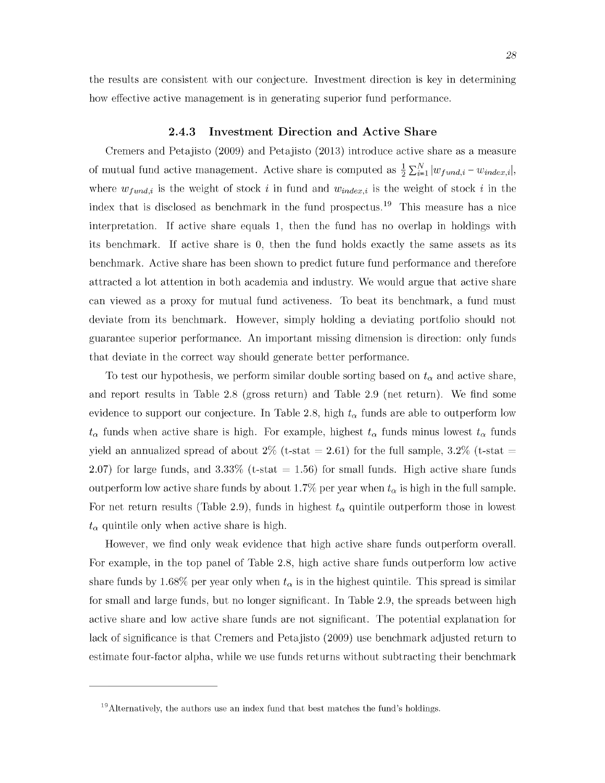<span id="page-36-0"></span>the results are consistent with our conjecture. Investment direction is key in determining how effective active management is in generating superior fund performance.

#### **2.4.3** Investment Direction and Active Share

Cremers and Petajisto (2009) and Petajisto (2013) introduce active share as a measure of mutual fund active management. Active share is computed as  $\frac{1}{2} \sum_{i=1}^{N} |w_{fund,i} - w_{index,i}|$ , where  $w_{fund,i}$  is the weight of stock i in fund and  $w_{index,i}$  is the weight of stock i in the index that is disclosed as benchmark in the fund prospectus.<sup>19</sup> This measure has a nice interpretation. If active share equals 1, then the fund has no overlap in holdings with its benchmark. If active share is 0, then the fund holds exactly the same assets as its benchmark. Active share has been shown to predict future fund performance and therefore attracted a lot attention in both academia and industry. We would argue that active share can viewed as a proxy for mutual fund activeness. To beat its benchmark, a fund must deviate from its benchmark. However, simply holding a deviating portfolio should not guarantee superior performance. An im portant missing dimension is direction: only funds that deviate in the correct way should generate better performance.

To test our hypothesis, we perform similar double sorting based on  $t_{\alpha}$  and active share, and report results in Table 2.8 (gross return) and Table 2.9 (net return). We find some evidence to support our conjecture. In Table 2.8, high  $t_{\alpha}$  funds are able to outperform low  $t_{\alpha}$  funds when active share is high. For example, highest  $t_{\alpha}$  funds minus lowest  $t_{\alpha}$  funds yield an annualized spread of about  $2\%$  (t-stat = 2.61) for the full sample, 3.2% (t-stat = 2.07) for large funds, and 3.33% (t-stat  $= 1.56$ ) for small funds. High active share funds outperform low active share funds by about 1.7% per year when  $t_{\alpha}$  is high in the full sample. For net return results (Table 2.9), funds in highest  $t_{\alpha}$  quintile outperform those in lowest  $t_{\alpha}$  quintile only when active share is high.

However, we find only weak evidence that high active share funds outperform overall. For example, in the top panel of Table 2.8, high active share funds outperform low active share funds by 1.68% per year only when  $t_{\alpha}$  is in the highest quintile. This spread is similar for small and large funds, but no longer significant. In Table 2.9, the spreads between high active share and low active share funds are not significant. The potential explanation for lack of significance is that Cremers and Petajisto (2009) use benchmark adjusted return to estimate four-factor alpha, while we use funds returns without subtracting their benchmark

 $19$ Alternatively, the authors use an index fund that best matches the fund's holdings.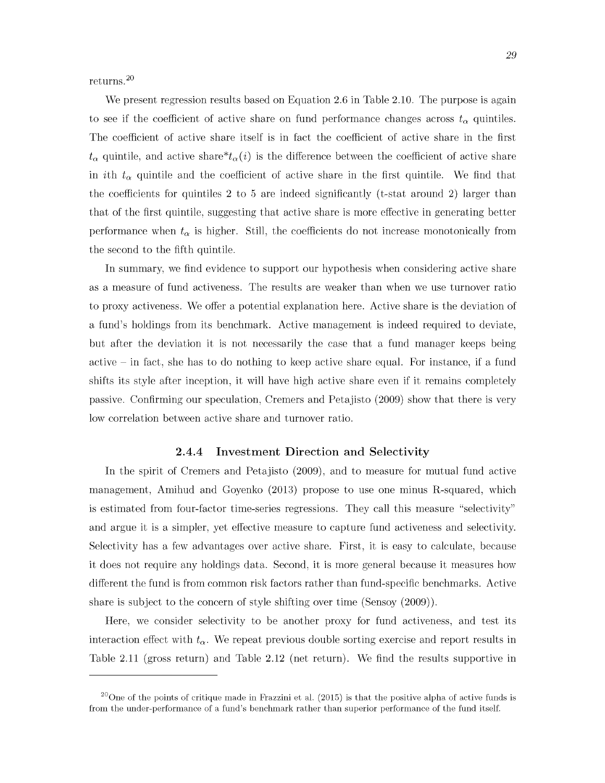returns. $^{20}$ 

We present regression results based on Equation 2.6 in Table 2.10. The purpose is again to see if the coefficient of active share on fund performance changes across  $t_{\alpha}$  quintiles. The coefficient of active share itself is in fact the coefficient of active share in the first  $t_{\alpha}$  quintile, and active share<sup>\*</sup> $t_{\alpha}(i)$  is the difference between the coefficient of active share in *i*th  $t_{\alpha}$  quintile and the coefficient of active share in the first quintile. We find that the coefficients for quintiles 2 to 5 are indeed significantly (t-stat around 2) larger than that of the first quintile, suggesting that active share is more effective in generating better performance when  $t_{\alpha}$  is higher. Still, the coefficients do not increase monotonically from the second to the fifth quintile.

In summary, we find evidence to support our hypothesis when considering active share as a measure of fund activeness. The results are weaker than when we use turnover ratio to proxy activeness. We offer a potential explanation here. Active share is the deviation of a fund's holdings from its benchmark. Active management is indeed required to deviate, but after the deviation it is not necessarily the case that a fund manager keeps being active  $-$  in fact, she has to do nothing to keep active share equal. For instance, if a fund shifts its style after inception, it will have high active share even if it remains completely passive. Confirming our speculation, Cremers and Petajisto (2009) show that there is very low correlation between active share and turnover ratio.

#### **2.4.4** Investment Direction and Selectivity

<span id="page-37-0"></span>In the spirit of Cremers and Petajisto (2009), and to measure for mutual fund active management, Amihud and Goyenko (2013) propose to use one minus R-squared, which is estimated from four-factor time-series regressions. They call this measure "selectivity" and argue it is a simpler, yet effective measure to capture fund activeness and selectivity. Selectivity has a few advantages over active share. First, it is easy to calculate, because it does not require any holdings data. Second, it is more general because it measures how different the fund is from common risk factors rather than fund-specific benchmarks. Active share is subject to the concern of style shifting over time (Sensoy (2009)).

Here, we consider selectivity to be another proxy for fund activeness, and test its interaction effect with  $t_{\alpha}$ . We repeat previous double sorting exercise and report results in Table 2.11 (gross return) and Table 2.12 (net return). We find the results supportive in

<sup>&</sup>lt;sup>20</sup>One of the points of critique made in Frazzini et al. (2015) is that the positive alpha of active funds is from the under-performance of a fund's benchmark rather than superior performance of the fund itself.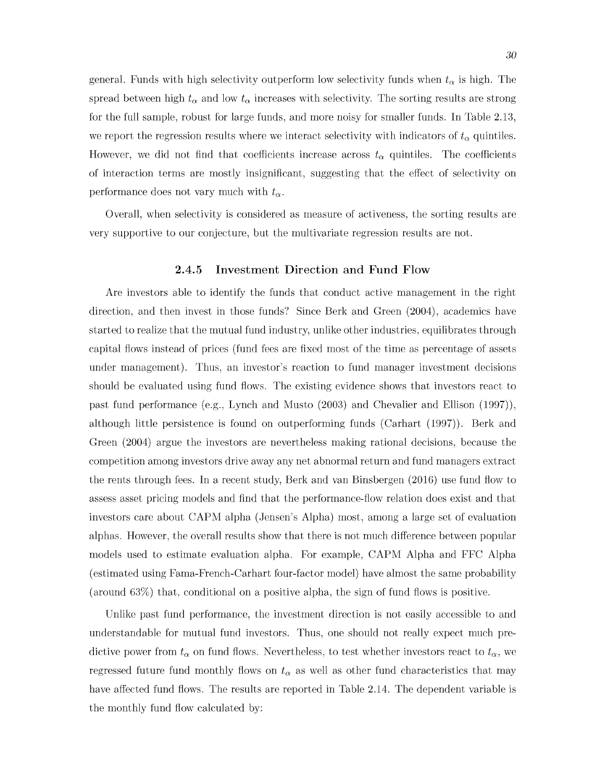general. Funds with high selectivity outperform low selectivity funds when  $t_{\alpha}$  is high. The spread between high  $t_{\alpha}$  and low  $t_{\alpha}$  increases with selectivity. The sorting results are strong for the full sample, robust for large funds, and more noisy for smaller funds. In Table 2.13, we report the regression results where we interact selectivity with indicators of  $t_{\alpha}$  quintiles. However, we did not find that coefficients increase across  $t_{\alpha}$  quintiles. The coefficients of interaction terms are mostly insignificant, suggesting that the effect of selectivity on performance does not vary much with  $t_{\alpha}$ .

<span id="page-38-0"></span>Overall, when selectivity is considered as measure of activeness, the sorting results are very supportive to our conjecture, but the multivariate regression results are not.

#### **2.4.5 Investment Direction and Fund Flow**

Are investors able to identify the funds that conduct active management in the right direction, and then invest in those funds? Since Berk and Green (2004), academics have started to realize that the mutual fund industry, unlike other industries, equilibrates through capital flows instead of prices (fund fees are fixed most of the time as percentage of assets under management). Thus, an investor's reaction to fund manager investment decisions should be evaluated using fund flows. The existing evidence shows that investors react to past fund performance (e.g., Lynch and Musto  $(2003)$  and Chevalier and Ellison  $(1997)$ ), although little persistence is found on outperforming funds (Carhart (1997)). Berk and Green (2004) argue the investors are nevertheless m aking rational decisions, because the competition among investors drive away any net abnormal return and fund managers extract the rents through fees. In a recent study, Berk and van Binsbergen (2016) use fund flow to assess asset pricing models and find that the performance-flow relation does exist and that investors care about CAPM alpha (Jensen's Alpha) most, among a large set of evaluation alphas. However, the overall results show that there is not much difference between popular models used to estimate evaluation alpha. For example, CAPM Alpha and FFC Alpha (estimated using Fama-French-Carhart four-factor model) have almost the same probability (around  $63\%$ ) that, conditional on a positive alpha, the sign of fund flows is positive.

Unlike past fund performance, the investment direction is not easily accessible to and understandable for mutual fund investors. Thus, one should not really expect much predictive power from  $t_{\alpha}$  on fund flows. Nevertheless, to test whether investors react to  $t_{\alpha}$ , we regressed future fund monthly flows on  $t_{\alpha}$  as well as other fund characteristics that may have affected fund flows. The results are reported in Table 2.14. The dependent variable is the monthly fund flow calculated by: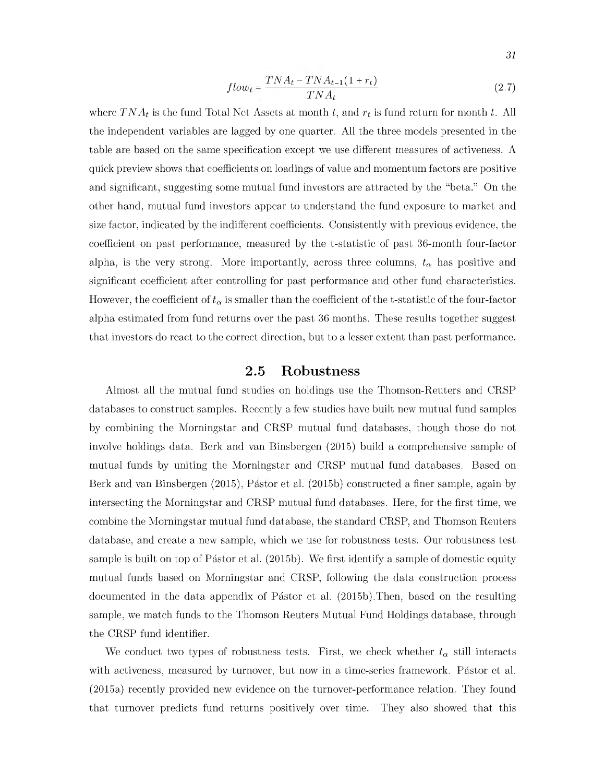$$
flow_t = \frac{TNA_t - TNA_{t-1}(1+r_t)}{TNA_t}
$$
\n
$$
(2.7)
$$

where  $T N A_t$  is the fund Total Net Assets at month t, and  $r_t$  is fund return for month t. All the independent variables are lagged by one quarter. All the three models presented in the table are based on the same specification except we use different measures of activeness. A quick preview shows that coefficients on loadings of value and momentum factors are positive and significant, suggesting some mutual fund investors are attracted by the "beta." On the other hand, mutual fund investors appear to understand the fund exposure to market and size factor, indicated by the indifferent coefficients. Consistently with previous evidence, the coefficient on past performance, measured by the t-statistic of past 36-month four-factor alpha, is the very strong. More importantly, across three columns,  $t_{\alpha}$  has positive and significant coefficient after controlling for past performance and other fund characteristics. However, the coefficient of  $t_{\alpha}$  is smaller than the coefficient of the t-statistic of the four-factor alpha estim ated from fund returns over the past 36 months. These results together suggest that investors do react to the correct direction, but to a lesser extent than past performance.

#### **2.5 Robustness**

<span id="page-39-0"></span>Almost all the mutual fund studies on holdings use the Thomson-Reuters and CRSP databases to construct samples. Recently a few studies have built new mutual fund samples by combining the Morningstar and CRSP mutual fund databases, though those do not involve holdings data. Berk and van Binsbergen (2015) build a comprehensive sample of mutual funds by uniting the Morningstar and CRSP mutual fund databases. Based on Berk and van Binsbergen (2015), Pástor et al. (2015b) constructed a finer sample, again by intersecting the Morningstar and CRSP mutual fund databases. Here, for the first time, we combine the Morningstar mutual fund database, the standard CRSP, and Thomson Reuters database, and create a new sample, which we use for robustness tests. Our robustness test sample is built on top of Pástor et al. (2015b). We first identify a sample of domestic equity mutual funds based on Morningstar and CRSP, following the data construction process docum ented in the data appendix of Pástor et al. (2015b). Then, based on the resulting sample, we match funds to the Thomson Reuters Mutual Fund Holdings database, through the CRSP fund identifier.

We conduct two types of robustness tests. First, we check whether  $t_{\alpha}$  still interacts with activeness, measured by turnover, but now in a time-series framework. Pastor et al. (2015a) recently provided new evidence on the turnover-performance relation. They found that turnover predicts fund returns positively over time. They also showed that this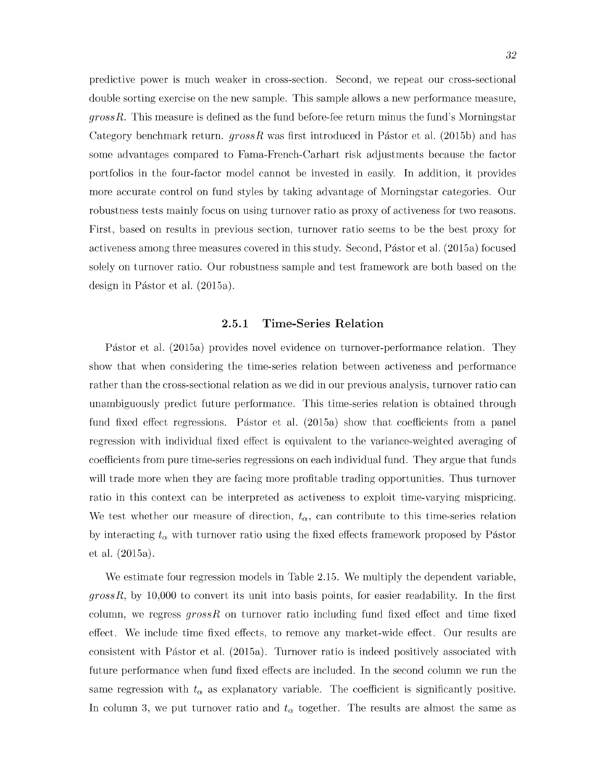predictive power is much weaker in cross-section. Second, we repeat our cross-sectional double sorting exercise on the new sample. This sample allows a new performance measure, *grossR.* This measure is defined as the fund before-fee return minus the fund's Morningstar Category benchmark return.  $grossR$  was first introduced in Pástor et al. (2015b) and has some advantages compared to Fama-French-Carhart risk adjustments because the factor portfolios in the four-factor model cannot be invested in easily. In addition, it provides more accurate control on fund styles by taking advantage of Morningstar categories. Our robustness tests mainly focus on using turnover ratio as proxy of activeness for two reasons. First, based on results in previous section, turnover ratio seems to be the best proxy for activeness among three measures covered in this study. Second, Pastor et al. (2015a) focused solely on turnover ratio. Our robustness sample and test framework are both based on the design in Pástor et al. (2015a).

#### 2.5.1 Time-Series Relation

<span id="page-40-0"></span>Pástor et al. (2015a) provides novel evidence on turnover-performance relation. They show that when considering the time-series relation between activeness and performance rather than the cross-sectional relation as we did in our previous analysis, turnover ratio can unambiguously predict future performance. This time-series relation is obtained through fund fixed effect regressions. Pástor et al.  $(2015a)$  show that coefficients from a panel regression with individual fixed effect is equivalent to the variance-weighted averaging of coefficients from pure time-series regressions on each individual fund. They argue that funds will trade more when they are facing more profitable trading opportunities. Thus turnover ratio in this context can be interpreted as activeness to exploit time-varying mispricing. We test whether our measure of direction,  $t_{\alpha}$ , can contribute to this time-series relation by interacting  $t_{\alpha}$  with turnover ratio using the fixed effects framework proposed by Pastor et al. (2015a).

We estimate four regression models in Table 2.15. We multiply the dependent variable, *grossR,* by 10,000 to convert its unit into basis points, for easier readability. In the first column, we regress  $grossR$  on turnover ratio including fund fixed effect and time fixed effect. We include time fixed effects, to remove any market-wide effect. Our results are consistent with Pástor et al. (2015a). Turnover ratio is indeed positively associated with future performance when fund fixed effects are included. In the second column we run the same regression with  $t_{\alpha}$  as explanatory variable. The coefficient is significantly positive. In column 3, we put turnover ratio and  $t_{\alpha}$  together. The results are almost the same as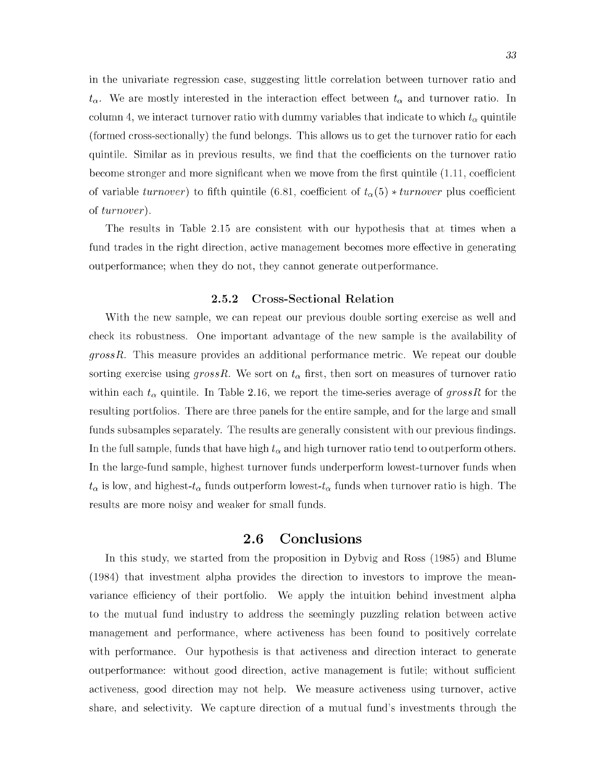in the univariate regression case, suggesting little correlation between turnover ratio and  $t_{\alpha}$ . We are mostly interested in the interaction effect between  $t_{\alpha}$  and turnover ratio. In column 4, we interact turnover ratio with dummy variables that indicate to which  $t_{\alpha}$  quintile (formed cross-sectionally) the fund belongs. This allows us to get the turnover ratio for each quintile. Similar as in previous results, we find that the coefficients on the turnover ratio become stronger and more significant when we move from the first quintile (1.11, coefficient of variable *turnover*) to fifth quintile (6.81, coefficient of  $t_{\alpha}(5) * turnover$  plus coefficient of *turnover).*

The results in Table 2.15 are consistent with our hypothesis that at times when a fund trades in the right direction, active management becomes more effective in generating outperformance; when they do not, they cannot generate outperformance.

#### 2.5.2 Cross-Sectional Relation

<span id="page-41-0"></span>With the new sample, we can repeat our previous double sorting exercise as well and check its robustness. One im portant advantage of the new sample is the availability of *grossR.* This measure provides an additional performance metric. We repeat our double sorting exercise using  $grossR$ . We sort on  $t_{\alpha}$  first, then sort on measures of turnover ratio within each  $t_{\alpha}$  quintile. In Table 2.16, we report the time-series average of gross R for the resulting portfolios. There are three panels for the entire sample, and for the large and small funds subsamples separately. The results are generally consistent with our previous findings. In the full sample, funds that have high  $t_{\alpha}$  and high turnover ratio tend to outperform others. In the large-fund sample, highest turnover funds underperform lowest-turnover funds when  $t_{\alpha}$  is low, and highest- $t_{\alpha}$  funds outperform lowest- $t_{\alpha}$  funds when turnover ratio is high. The results are more noisy and weaker for small funds.

### **2.6 Conclusions**

<span id="page-41-1"></span>In this study, we started from the proposition in Dybvig and Ross (1985) and Blume (1984) that investment alpha provides the direction to investors to improve the meanvariance efficiency of their portfolio. We apply the intuition behind investment alpha to the mutual fund industry to address the seemingly puzzling relation between active m anagement and performance, where activeness has been found to positively correlate with performance. Our hypothesis is that activeness and direction interact to generate outperformance: without good direction, active management is futile; without sufficient activeness, good direction may not help. We measure activeness using turnover, active share, and selectivity. We capture direction of a mutual fund's investments through the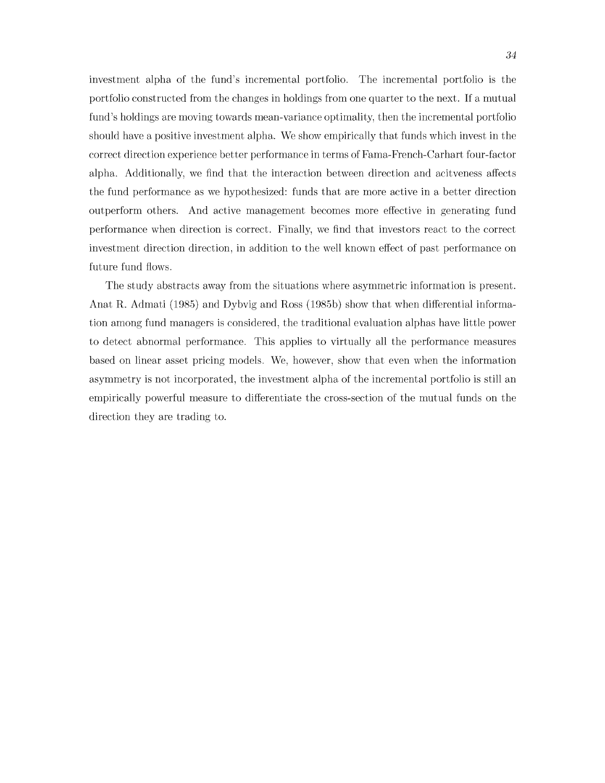investment alpha of the fund's incremental portfolio. The incremental portfolio is the portfolio constructed from the changes in holdings from one quarter to the next. If a mutual fund's holdings are moving towards mean-variance optimality, then the incremental portfolio should have a positive investment alpha. We show empirically that funds which invest in the correct direction experience better performance in terms of Fama-French-Carhart four-factor alpha. Additionally, we find that the interaction between direction and acityeness affects the fund performance as we hypothesized: funds that are more active in a better direction outperform others. And active management becomes more effective in generating fund performance when direction is correct. Finally, we find that investors react to the correct investment direction direction, in addition to the well known effect of past performance on future fund flows.

The study abstracts away from the situations where asymmetric information is present. Anat R. Admati (1985) and Dybvig and Ross (1985b) show that when differential information among fund managers is considered, the traditional evaluation alphas have little power to detect abnormal performance. This applies to virtually all the performance measures based on linear asset pricing models. We, however, show that even when the information asymmetry is not incorporated, the investment alpha of the incremental portfolio is still an empirically powerful measure to differentiate the cross-section of the mutual funds on the direction they are trading to.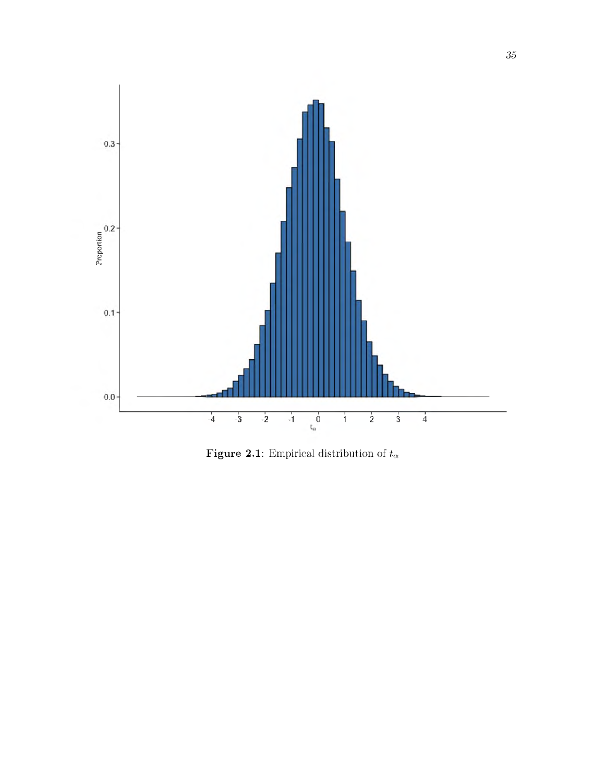

Figure 2.1: Empirical distribution of  $t_\alpha$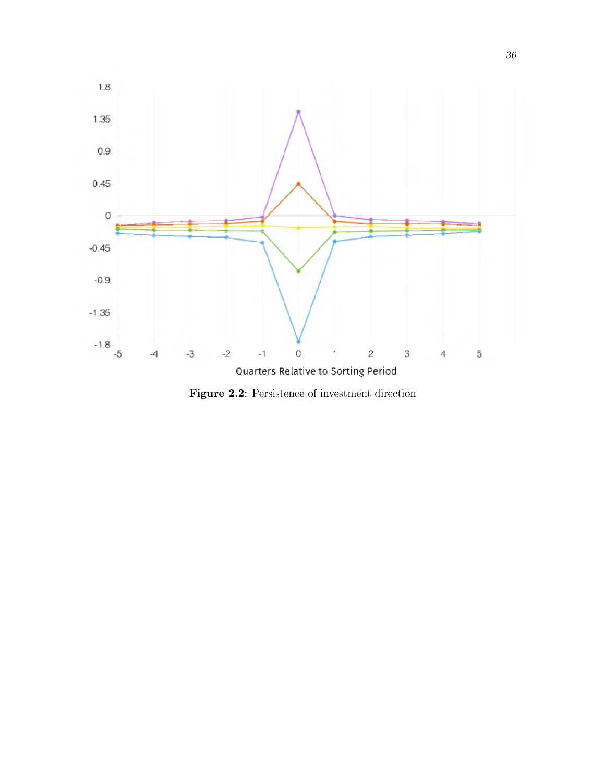

Figure 2.2: Persistence of investment direction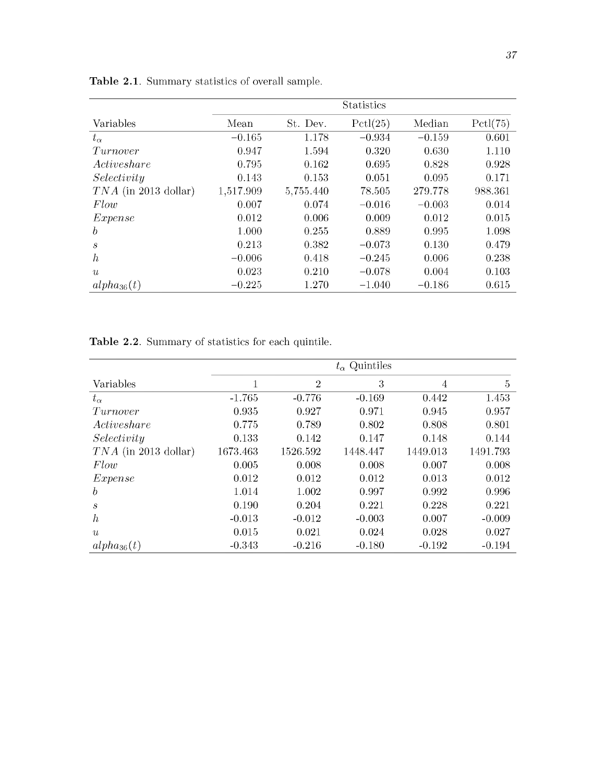|                        | <b>Statistics</b> |           |          |          |          |  |  |  |
|------------------------|-------------------|-----------|----------|----------|----------|--|--|--|
| Variables              | Mean              | St. Dev.  | Pctl(25) | Median   | Pctl(75) |  |  |  |
| $t_{\alpha}$           | $-0.165$          | 1.178     | $-0.934$ | $-0.159$ | 0.601    |  |  |  |
| Turnover               | 0.947             | 1.594     | 0.320    | 0.630    | 1.110    |  |  |  |
| Activeshare            | 0.795             | 0.162     | 0.695    | 0.828    | 0.928    |  |  |  |
| Selectivity            | 0.143             | 0.153     | 0.051    | 0.095    | 0.171    |  |  |  |
| $TNA$ (in 2013 dollar) | 1,517.909         | 5,755.440 | 78.505   | 279.778  | 988.361  |  |  |  |
| Flow                   | 0.007             | 0.074     | $-0.016$ | $-0.003$ | 0.014    |  |  |  |
| Expense                | 0.012             | 0.006     | 0.009    | 0.012    | 0.015    |  |  |  |
| $\boldsymbol{b}$       | 1.000             | 0.255     | 0.889    | 0.995    | 1.098    |  |  |  |
| $\mathcal{S}$          | 0.213             | 0.382     | $-0.073$ | 0.130    | 0.479    |  |  |  |
| $\boldsymbol{h}$       | $-0.006$          | 0.418     | $-0.245$ | 0.006    | 0.238    |  |  |  |
| u                      | 0.023             | 0.210     | $-0.078$ | 0.004    | 0.103    |  |  |  |
| $alpha_{36}(t)$        | $-0.225$          | 1.270     | $-1.040$ | $-0.186$ | 0.615    |  |  |  |

Table 2.1. Summary statistics of overall sample.

Table 2.2. Summary of statistics for each quintile.

|                        | $t_{\alpha}$ Quintiles |                |          |          |                |  |  |  |
|------------------------|------------------------|----------------|----------|----------|----------------|--|--|--|
| Variables              |                        | $\overline{2}$ | 3        | 4        | $\overline{5}$ |  |  |  |
| $t_{\alpha}$           | $-1.765$               | $-0.776$       | $-0.169$ | 0.442    | 1.453          |  |  |  |
| Turnover               | 0.935                  | 0.927          | 0.971    | 0.945    | 0.957          |  |  |  |
| Activeshare            | 0.775                  | 0.789          | 0.802    | 0.808    | 0.801          |  |  |  |
| Selectivity            | 0.133                  | 0.142          | 0.147    | 0.148    | 0.144          |  |  |  |
| $TNA$ (in 2013 dollar) | 1673.463               | 1526.592       | 1448.447 | 1449.013 | 1491.793       |  |  |  |
| Flow                   | 0.005                  | 0.008          | 0.008    | 0.007    | 0.008          |  |  |  |
| Expense                | 0.012                  | 0.012          | 0.012    | 0.013    | 0.012          |  |  |  |
| $\boldsymbol{b}$       | 1.014                  | 1.002          | 0.997    | 0.992    | 0.996          |  |  |  |
| $\boldsymbol{s}$       | 0.190                  | 0.204          | 0.221    | 0.228    | 0.221          |  |  |  |
| $\boldsymbol{h}$       | $-0.013$               | $-0.012$       | $-0.003$ | 0.007    | $-0.009$       |  |  |  |
| u                      | 0.015                  | 0.021          | 0.024    | 0.028    | 0.027          |  |  |  |
| $alpha_{36}(t)$        | $-0.343$               | $-0.216$       | $-0.180$ | $-0.192$ | $-0.194$       |  |  |  |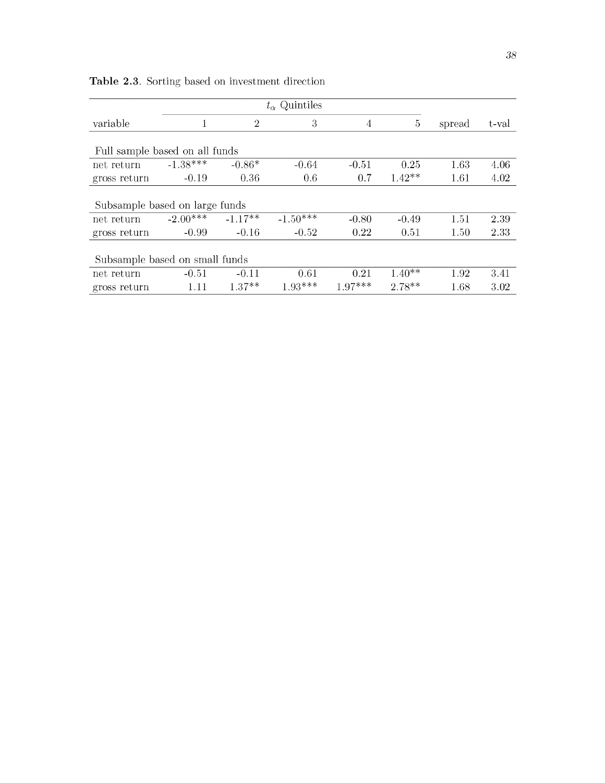|                                |            |                | $t_{\alpha}$ Quintiles |                |          |        |       |
|--------------------------------|------------|----------------|------------------------|----------------|----------|--------|-------|
| variable                       |            | $\overline{2}$ | 3                      | $\overline{4}$ | $\bf 5$  | spread | t-val |
| Full sample based on all funds |            |                |                        |                |          |        |       |
| net return                     | $-1.38***$ | $-0.86*$       | $-0.64$                | $-0.51$        | 0.25     | 1.63   | 4.06  |
| gross return                   | $-0.19$    | 0.36           | 0.6                    | 0.7            | $1.42**$ | 1.61   | 4.02  |
| Subsample based on large funds |            |                |                        |                |          |        |       |
| net return                     | $-2.00***$ | $-1.17**$      | $-1.50***$             | $-0.80$        | $-0.49$  | 1.51   | 2.39  |
| gross return                   | $-0.99$    | $-0.16$        | $-0.52$                | 0.22           | 0.51     | 1.50   | 2.33  |
| Subsample based on small funds |            |                |                        |                |          |        |       |
| net return                     | $-0.51$    | $-0.11$        | 0.61                   | 0.21           | $1.40**$ | 1.92   | 3.41  |
| gross return                   | 1.11       | $1.37**$       | $1.93***$              | $1.97***$      | $2.78**$ | 1.68   | 3.02  |

Table 2.3. Sorting based on investment direction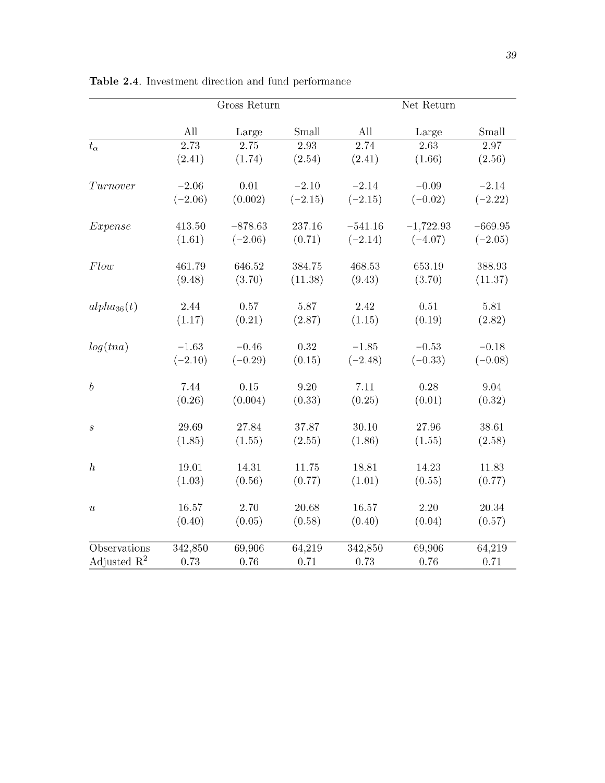|                         | Gross Return |           |           | Net Return |             |           |  |
|-------------------------|--------------|-----------|-----------|------------|-------------|-----------|--|
|                         | All          | Large     | Small     | All        | Large       | Small     |  |
| $t_{\alpha}$            | 2.73         | 2.75      | 2.93      | 2.74       | 2.63        | 2.97      |  |
|                         | (2.41)       | (1.74)    | (2.54)    | (2.41)     | (1.66)      | (2.56)    |  |
| Turnover                | $-2.06$      | 0.01      | $-2.10$   | $-2.14$    | $-0.09$     | $-2.14$   |  |
|                         | $(-2.06)$    | (0.002)   | $(-2.15)$ | $(-2.15)$  | $(-0.02)$   | $(-2.22)$ |  |
| Expense                 | 413.50       | $-878.63$ | 237.16    | $-541.16$  | $-1,722.93$ | $-669.95$ |  |
|                         | (1.61)       | $(-2.06)$ | (0.71)    | $(-2.14)$  | $(-4.07)$   | $(-2.05)$ |  |
| Flow                    | 461.79       | 646.52    | 384.75    | 468.53     | 653.19      | 388.93    |  |
|                         | (9.48)       | (3.70)    | (11.38)   | (9.43)     | (3.70)      | (11.37)   |  |
| $alpha_{36}(t)$         | 2.44         | $0.57\,$  | 5.87      | 2.42       | 0.51        | 5.81      |  |
|                         | (1.17)       | (0.21)    | (2.87)    | (1.15)     | (0.19)      | (2.82)    |  |
| log(tna)                | $-1.63$      | $-0.46$   | 0.32      | $-1.85$    | $-0.53$     | $-0.18$   |  |
|                         | $(-2.10)$    | $(-0.29)$ | (0.15)    | $(-2.48)$  | $(-0.33)$   | $(-0.08)$ |  |
| $\boldsymbol{b}$        | 7.44         | $0.15\,$  | 9.20      | 7.11       | 0.28        | 9.04      |  |
|                         | (0.26)       | (0.004)   | (0.33)    | (0.25)     | (0.01)      | (0.32)    |  |
| $\boldsymbol{s}$        | 29.69        | 27.84     | 37.87     | 30.10      | 27.96       | 38.61     |  |
|                         | (1.85)       | (1.55)    | (2.55)    | (1.86)     | (1.55)      | (2.58)    |  |
| $\boldsymbol{h}$        | 19.01        | 14.31     | 11.75     | 18.81      | 14.23       | 11.83     |  |
|                         | (1.03)       | (0.56)    | (0.77)    | (1.01)     | (0.55)      | (0.77)    |  |
| $\boldsymbol{u}$        | 16.57        | 2.70      | 20.68     | 16.57      | $2.20\,$    | 20.34     |  |
|                         | (0.40)       | (0.05)    | (0.58)    | (0.40)     | (0.04)      | (0.57)    |  |
| Observations            | 342,850      | 69,906    | 64,219    | 342,850    | 69,906      | 64,219    |  |
| Adjusted $\mathbb{R}^2$ | 0.73         | $0.76\,$  | 0.71      | 0.73       | 0.76        | 0.71      |  |

Table 2.4. Investment direction and fund performance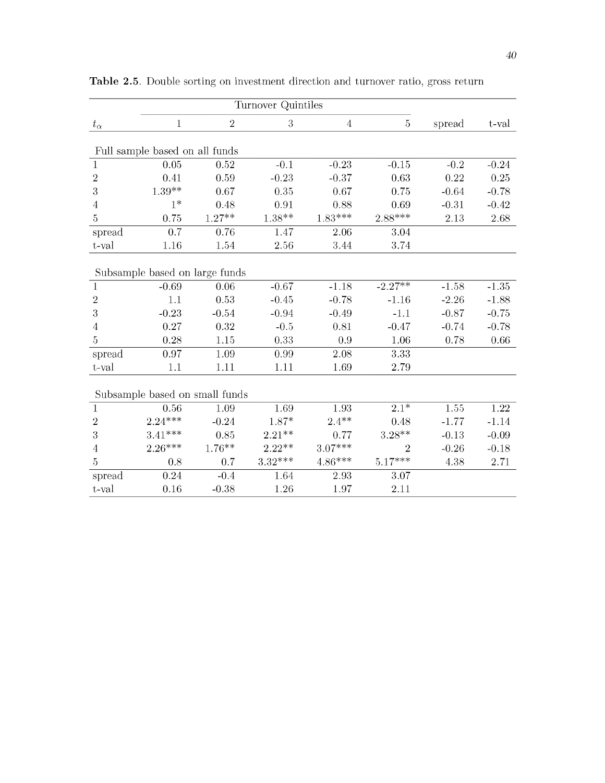| $t_{\alpha}$   | 1                              | $\sqrt{2}$        | 3                 | $\overline{4}$ | $\overline{5}$ | spread  | t-val   |
|----------------|--------------------------------|-------------------|-------------------|----------------|----------------|---------|---------|
|                | Full sample based on all funds |                   |                   |                |                |         |         |
| $\mathbf{1}$   | 0.05                           | 0.52              | $-0.1$            | $-0.23$        | $-0.15$        | $-0.2$  | $-0.24$ |
| $\overline{2}$ | 0.41                           | 0.59              | $-0.23$           | $-0.37$        | 0.63           | 0.22    | 0.25    |
| 3              | $1.39**$                       | 0.67              | 0.35              | 0.67           | 0.75           | $-0.64$ | $-0.78$ |
| $\overline{4}$ | $1*$                           | 0.48              | 0.91              | 0.88           | 0.69           | $-0.31$ | $-0.42$ |
| 5              | 0.75                           | $1.27^{\ast\ast}$ | $1.38^{\ast\ast}$ | $1.83***$      | $2.88***$      | 2.13    | 2.68    |
| spread         | 0.7                            | 0.76              | 1.47              | 2.06           | 3.04           |         |         |
| t-val          | 1.16                           | 1.54              | 2.56              | 3.44           | 3.74           |         |         |
|                | Subsample based on large funds |                   |                   |                |                |         |         |
| $\mathbf{1}$   | $-0.69$                        | 0.06              | $-0.67$           | $-1.18$        | $-2.27**$      | $-1.58$ | $-1.35$ |
| $\sqrt{2}$     | 1.1                            | 0.53              | $-0.45$           | $-0.78$        | $-1.16$        | $-2.26$ | $-1.88$ |
| $\sqrt{3}$     | $-0.23$                        | $-0.54$           | $-0.94$           | $-0.49$        | $-1.1$         | $-0.87$ | $-0.75$ |
| 4              | 0.27                           | 0.32              | $-0.5$            | 0.81           | $-0.47$        | $-0.74$ | $-0.78$ |
| 5              | 0.28                           | 1.15              | 0.33              | 0.9            | 1.06           | 0.78    | 0.66    |
| spread         | 0.97                           | 1.09              | 0.99              | 2.08           | 3.33           |         |         |
| t-val          | 1.1                            | 1.11              | 1.11              | 1.69           | 2.79           |         |         |
|                | Subsample based on small funds |                   |                   |                |                |         |         |
| 1              | 0.56                           | 1.09              | 1.69              | 1.93           | $2.1*$         | 1.55    | 1.22    |
| $\overline{2}$ | $2.24***$                      | $-0.24$           | $1.87*$           | $2.4**$        | 0.48           | $-1.77$ | $-1.14$ |
| 3              | $3.41***$                      | 0.85              | $2.21**$          | 0.77           | $3.28***$      | $-0.13$ | $-0.09$ |
| 4              | $2.26***$                      | $1.76**$          | $2.22**$          | $3.07***$      | $\overline{2}$ | $-0.26$ | $-0.18$ |
| $\overline{5}$ | 0.8                            | 0.7               | $3.32***$         | $4.86***$      | $5.17***$      | 4.38    | 2.71    |
| spread         | 0.24                           | $-0.4$            | 1.64              | 2.93           | 3.07           |         |         |
| t-val          | 0.16                           | $-0.38$           | 1.26              | 1.97           | 2.11           |         |         |

Table 2.5. Double sorting on investment direction and turnover ratio, gross return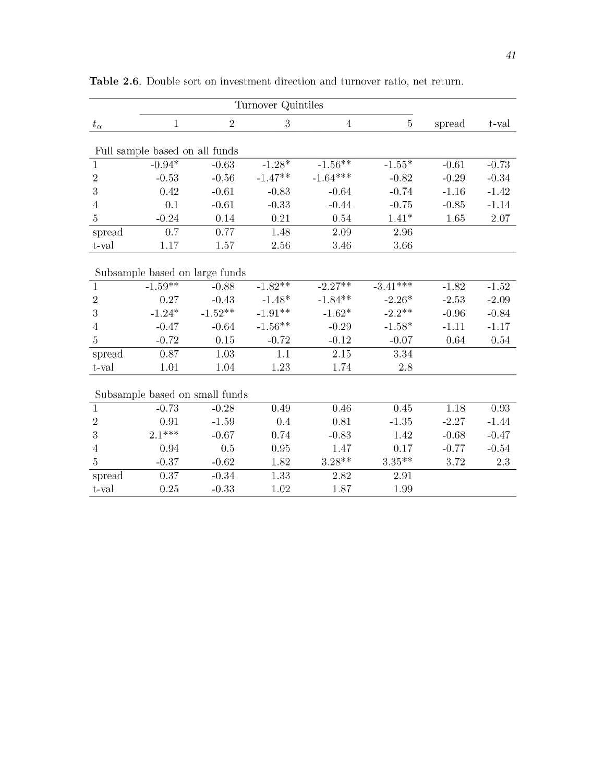|                | Turnover Quintiles             |            |           |                |                |         |         |  |
|----------------|--------------------------------|------------|-----------|----------------|----------------|---------|---------|--|
| $t_{\alpha}$   | $\mathbf{1}$                   | $\sqrt{2}$ | 3         | $\overline{4}$ | $\overline{5}$ | spread  | t-val   |  |
|                | Full sample based on all funds |            |           |                |                |         |         |  |
| $\mathbf{1}$   | $-0.94*$                       | $-0.63$    | $-1.28*$  | $-1.56**$      | $-1.55*$       | $-0.61$ | $-0.73$ |  |
| $\,2$          | $-0.53$                        | $-0.56$    | $-1.47**$ | $-1.64***$     | $-0.82$        | $-0.29$ | $-0.34$ |  |
| $\sqrt{3}$     | 0.42                           | $-0.61$    | $-0.83$   | $-0.64$        | $-0.74$        | $-1.16$ | $-1.42$ |  |
| 4              | 0.1                            | $-0.61$    | $-0.33$   | $-0.44$        | $-0.75$        | $-0.85$ | $-1.14$ |  |
| 5              | $-0.24$                        | 0.14       | 0.21      | 0.54           | $1.41*$        | 1.65    | 2.07    |  |
| spread         | 0.7                            | 0.77       | 1.48      | 2.09           | 2.96           |         |         |  |
| t-val          | 1.17                           | 1.57       | 2.56      | 3.46           | 3.66           |         |         |  |
|                | Subsample based on large funds |            |           |                |                |         |         |  |
| $\mathbf{1}$   | $-1.59***$                     | $-0.88$    | $-1.82**$ | $-2.27**$      | $-3.41***$     | $-1.82$ | $-1.52$ |  |
| $\overline{2}$ | 0.27                           | $-0.43$    | $-1.48*$  | $-1.84**$      | $-2.26*$       | $-2.53$ | $-2.09$ |  |
| 3              | $-1.24*$                       | $-1.52**$  | $-1.91**$ | $-1.62*$       | $-2.2**$       | $-0.96$ | $-0.84$ |  |
| $\overline{4}$ | $-0.47$                        | $-0.64$    | $-1.56**$ | $-0.29$        | $-1.58*$       | $-1.11$ | $-1.17$ |  |
| $\overline{5}$ | $-0.72$                        | 0.15       | $-0.72$   | $-0.12$        | $-0.07$        | 0.64    | 0.54    |  |
| spread         | 0.87                           | 1.03       | 1.1       | 2.15           | 3.34           |         |         |  |
| t-val          | 1.01                           | 1.04       | 1.23      | 1.74           | 2.8            |         |         |  |
|                | Subsample based on small funds |            |           |                |                |         |         |  |
| $\mathbf{1}$   | $-0.73$                        | $-0.28$    | 0.49      | 0.46           | 0.45           | 1.18    | 0.93    |  |
| $\overline{2}$ | 0.91                           | $-1.59$    | 0.4       | 0.81           | $-1.35$        | $-2.27$ | $-1.44$ |  |
| 3              | $2.1***$                       | $-0.67$    | 0.74      | $-0.83$        | 1.42           | $-0.68$ | $-0.47$ |  |
| $\overline{4}$ | 0.94                           | 0.5        | 0.95      | 1.47           | 0.17           | $-0.77$ | $-0.54$ |  |
| $\overline{5}$ | $-0.37$                        | $-0.62$    | 1.82      | $3.28**$       | $3.35***$      | 3.72    | 2.3     |  |
| spread         | 0.37                           | $-0.34$    | 1.33      | 2.82           | 2.91           |         |         |  |
| t-val          | 0.25                           | $-0.33$    | 1.02      | 1.87           | 1.99           |         |         |  |

Table 2.6. Double sort on investment direction and turnover ratio, net return.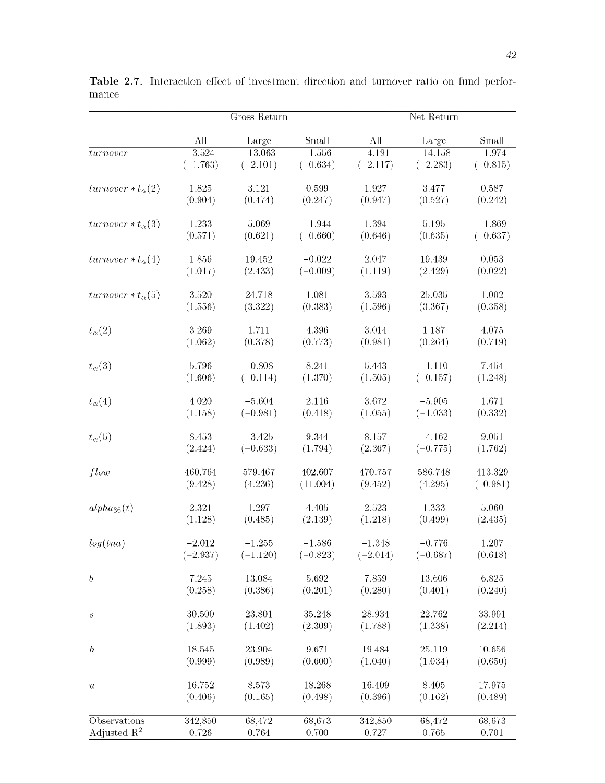|                            |            | Gross Return |            |            |            |            |
|----------------------------|------------|--------------|------------|------------|------------|------------|
|                            | All        | Large        | Small      | All        | Large      | Small      |
| turn over                  | $-3.524$   | $-13.063$    | $-1.556$   | $-4.191$   | $-14.158$  | $-1.974$   |
|                            | $(-1.763)$ | $(-2.101)$   | $(-0.634)$ | $(-2.117)$ | $(-2.283)$ | $(-0.815)$ |
| $turnover * t_{\alpha}(2)$ | 1.825      | 3.121        | 0.599      | 1.927      | 3.477      | 0.587      |
|                            | (0.904)    | (0.474)      | (0.247)    | (0.947)    | (0.527)    | (0.242)    |
| turnover $*t_{\alpha}(3)$  | 1.233      | 5.069        | $-1.944$   | 1.394      | $5.195\,$  | $-1.869$   |
|                            | (0.571)    | (0.621)      | $(-0.660)$ | (0.646)    | (0.635)    | $(-0.637)$ |
| turnover $*t_{\alpha}(4)$  | 1.856      | 19.452       | $-0.022$   | 2.047      | 19.439     | 0.053      |
|                            | (1.017)    | (2.433)      | $(-0.009)$ | (1.119)    | (2.429)    | (0.022)    |
| $turnover * t_{\alpha}(5)$ | 3.520      | 24.718       | 1.081      | 3.593      | 25.035     | 1.002      |
|                            | (1.556)    | (3.322)      | (0.383)    | (1.596)    | (3.367)    | (0.358)    |
| $t_{\alpha}(2)$            | 3.269      | 1.711        | 4.396      | 3.014      | 1.187      | 4.075      |
|                            | (1.062)    | (0.378)      | (0.773)    | (0.981)    | (0.264)    | (0.719)    |
| $t_{\alpha}(3)$            | 5.796      | $-0.808$     | 8.241      | 5.443      | $-1.110$   | 7.454      |
|                            | (1.606)    | $(-0.114)$   | (1.370)    | (1.505)    | $(-0.157)$ | (1.248)    |
| $t_{\alpha}(4)$            | 4.020      | $-5.604$     | 2.116      | 3.672      | $-5.905$   | 1.671      |
|                            | (1.158)    | $(-0.981)$   | (0.418)    | (1.055)    | $(-1.033)$ | (0.332)    |
| $t_{\alpha}(5)$            | 8.453      | $-3.425$     | 9.344      | 8.157      | $-4.162$   | 9.051      |
|                            | (2.424)    | $(-0.633)$   | (1.794)    | (2.367)    | $(-0.775)$ | (1.762)    |
| flow                       | 460.764    | 579.467      | 402.607    | 470.757    | 586.748    | 413.329    |
|                            | (9.428)    | (4.236)      | (11.004)   | (9.452)    | (4.295)    | (10.981)   |
| $alpha_{36}(t)$            | 2.321      | 1.297        | 4.405      | 2.523      | 1.333      | 5.060      |
|                            | (1.128)    | (0.485)      | (2.139)    | (1.218)    | (0.499)    | (2.435)    |
| log(tna)                   | $-2.012$   | $-1.255$     | $-1.586$   | $-1.348$   | $-0.776$   | 1.207      |
|                            | $(-2.937)$ | $(-1.120)$   | $(-0.823)$ | $(-2.014)$ | $(-0.687)$ | (0.618)    |
| $\boldsymbol{b}$           | 7.245      | 13.084       | 5.692      | 7.859      | 13.606     | 6.825      |
|                            | (0.258)    | (0.386)      | (0.201)    | (0.280)    | (0.401)    | (0.240)    |
| $\boldsymbol{s}$           | 30.500     | 23.801       | 35.248     | 28.934     | 22.762     | 33.991     |
|                            | (1.893)    | (1.402)      | (2.309)    | (1.788)    | (1.338)    | (2.214)    |
| $\boldsymbol{h}$           | 18.545     | 23.904       | 9.671      | 19.484     | 25.119     | 10.656     |
|                            | (0.999)    | (0.989)      | (0.600)    | (1.040)    | (1.034)    | (0.650)    |
| $\boldsymbol{u}$           | 16.752     | 8.573        | 18.268     | 16.409     | 8.405      | 17.975     |
|                            | (0.406)    | (0.165)      | (0.498)    | (0.396)    | (0.162)    | (0.489)    |
| Observations               | 342,850    | 68,472       | 68,673     | 342,850    | 68,472     | 68,673     |
| Adjusted $\mathbb{R}^2$    | $0.726\,$  | 0.764        | 0.700      | 0.727      | 0.765      | 0.701      |

Table 2.7. Interaction effect of investment direction and turnover ratio on fund performance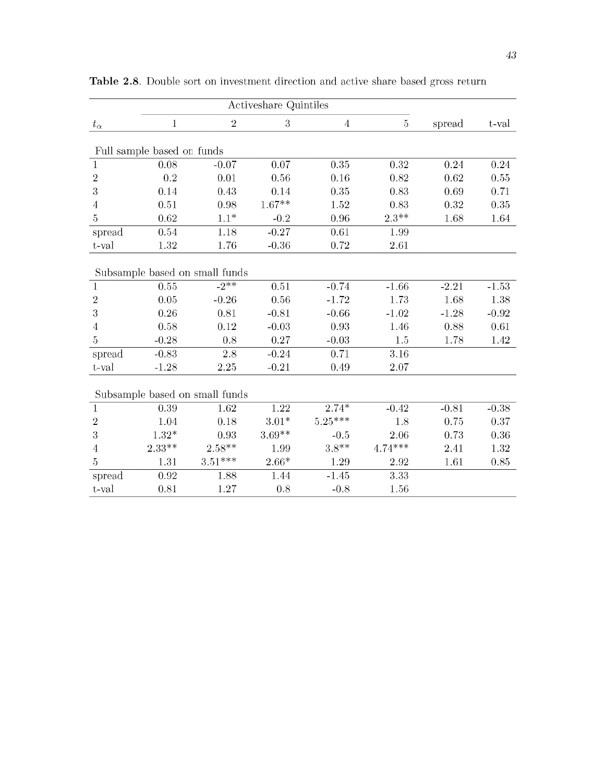|                | Activeshare Quintiles      |                                |          |                |                |         |         |
|----------------|----------------------------|--------------------------------|----------|----------------|----------------|---------|---------|
| $t_{\alpha}$   | $\mathbf{1}$               | $\sqrt{2}$                     | 3        | $\overline{4}$ | $\overline{5}$ | spread  | t-val   |
|                |                            |                                |          |                |                |         |         |
|                | Full sample based on funds |                                |          |                |                |         |         |
| $\mathbf{1}$   | 0.08                       | $-0.07$                        | 0.07     | 0.35           | 0.32           | 0.24    | 0.24    |
| $\sqrt{2}$     | 0.2                        | 0.01                           | 0.56     | 0.16           | 0.82           | 0.62    | 0.55    |
| 3              | 0.14                       | 0.43                           | 0.14     | 0.35           | 0.83           | 0.69    | 0.71    |
| $\overline{4}$ | 0.51                       | 0.98                           | $1.67**$ | 1.52           | 0.83           | 0.32    | 0.35    |
| 5              | 0.62                       | $1.1*$                         | $-0.2$   | 0.96           | $2.3**$        | 1.68    | 1.64    |
| spread         | $\rm 0.54$                 | 1.18                           | $-0.27$  | 0.61           | 1.99           |         |         |
| t-val          | 1.32                       | 1.76                           | $-0.36$  | 0.72           | 2.61           |         |         |
|                |                            | Subsample based on small funds |          |                |                |         |         |
| $\mathbf{1}$   | 0.55                       | $-2$ **                        | 0.51     | $-0.74$        | $-1.66$        | $-2.21$ | $-1.53$ |
| $\sqrt{2}$     | 0.05                       | $-0.26$                        | 0.56     | $-1.72$        | 1.73           | 1.68    | 1.38    |
| $\sqrt{3}$     | 0.26                       | 0.81                           | $-0.81$  | $-0.66$        | $-1.02$        | $-1.28$ | $-0.92$ |
| $\overline{4}$ | 0.58                       | 0.12                           | $-0.03$  | 0.93           | 1.46           | 0.88    | 0.61    |
| $\bf 5$        | $-0.28$                    | 0.8                            | 0.27     | $-0.03$        | 1.5            | 1.78    | 1.42    |
| spread         | $-0.83$                    | 2.8                            | $-0.24$  | 0.71           | 3.16           |         |         |
| t-val          | $-1.28$                    | 2.25                           | $-0.21$  | 0.49           | 2.07           |         |         |
|                |                            | Subsample based on small funds |          |                |                |         |         |
| $\mathbf{1}$   | 0.39                       | 1.62                           | 1.22     | $2.74*$        | $-0.42$        | $-0.81$ | $-0.38$ |
| $\overline{2}$ | 1.04                       | 0.18                           | $3.01*$  | $5.25***$      | 1.8            | 0.75    | 0.37    |
| $\sqrt{3}$     | $1.32*$                    | 0.93                           | $3.69**$ | $-0.5$         | 2.06           | 0.73    | 0.36    |
| $\overline{4}$ | $2.33***$                  | $2.58***$                      | 1.99     | $3.8**$        | $4.74***$      | 2.41    | 1.32    |
| $\overline{5}$ | 1.31                       | $3.51***$                      | $2.66*$  | 1.29           | 2.92           | 1.61    | 0.85    |
| spread         | 0.92                       | 1.88                           | 1.44     | $-1.45$        | 3.33           |         |         |
| t-val          | 0.81                       | 1.27                           | 0.8      | $-0.8$         | 1.56           |         |         |

Table 2.8. Double sort on investment direction and active share based gross return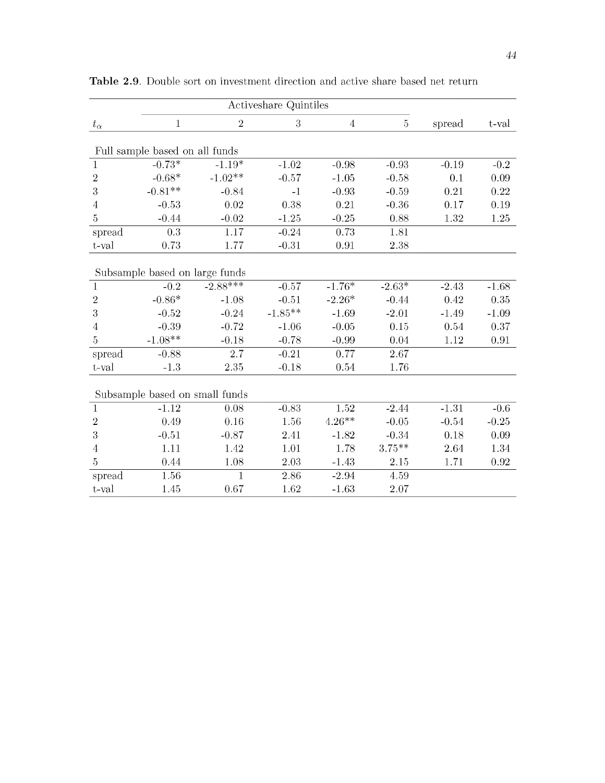|                | Activeshare Quintiles          |                |                |                |           |         |         |
|----------------|--------------------------------|----------------|----------------|----------------|-----------|---------|---------|
| $t_{\alpha}$   | $\mathbf{1}$                   | $\,2$          | $\overline{3}$ | $\overline{4}$ | 5         | spread  | t-val   |
|                | Full sample based on all funds |                |                |                |           |         |         |
| $\mathbf{1}$   | $-0.73*$                       | $-1.19*$       | $-1.02$        | $-0.98$        | $-0.93$   | $-0.19$ | $-0.2$  |
| $\sqrt{2}$     | $-0.68*$                       | $-1.02**$      | $-0.57$        | $-1.05$        | $-0.58$   | 0.1     | 0.09    |
| 3              | $-0.81**$                      | $-0.84$        | $-1$           | $-0.93$        | $-0.59$   | 0.21    | 0.22    |
| $\overline{4}$ | $-0.53$                        | 0.02           | 0.38           | 0.21           | $-0.36$   | 0.17    | 0.19    |
| $\overline{5}$ | $-0.44$                        | $-0.02$        | $-1.25$        | $-0.25$        | 0.88      | 1.32    | 1.25    |
| spread         | 0.3                            | 1.17           | $-0.24$        | 0.73           | 1.81      |         |         |
| t-val          | 0.73                           | 1.77           | $-0.31$        | 0.91           | 2.38      |         |         |
|                | Subsample based on large funds |                |                |                |           |         |         |
| $\mathbf{1}$   | $-0.2$                         | $-2.88***$     | $-0.57$        | $-1.76*$       | $-2.63*$  | $-2.43$ | $-1.68$ |
| $\sqrt{2}$     | $-0.86*$                       | $-1.08$        | $-0.51$        | $-2.26*$       | $-0.44$   | 0.42    | 0.35    |
| 3              | $-0.52$                        | $-0.24$        | $-1.85**$      | $-1.69$        | $-2.01$   | $-1.49$ | $-1.09$ |
| 4              | $-0.39$                        | $-0.72$        | $-1.06$        | $-0.05$        | 0.15      | 0.54    | 0.37    |
| 5              | $-1.08**$                      | $-0.18$        | $-0.78$        | $-0.99$        | 0.04      | 1.12    | 0.91    |
| spread         | $-0.88$                        | 2.7            | $-0.21$        | 0.77           | 2.67      |         |         |
| $t$ -val       | $-1.3$                         | 2.35           | $-0.18$        | 0.54           | 1.76      |         |         |
|                | Subsample based on small funds |                |                |                |           |         |         |
| $\mathbf{1}$   | $-1.12$                        | 0.08           | $-0.83$        | 1.52           | $-2.44$   | $-1.31$ | $-0.6$  |
| $\overline{2}$ | 0.49                           | 0.16           | 1.56           | $4.26***$      | $-0.05$   | $-0.54$ | $-0.25$ |
| 3              | $-0.51$                        | $-0.87$        | 2.41           | $-1.82$        | $-0.34$   | 0.18    | 0.09    |
| $\overline{4}$ | 1.11                           | 1.42           | 1.01           | 1.78           | $3.75***$ | 2.64    | 1.34    |
| $\overline{5}$ | 0.44                           | 1.08           | 2.03           | $-1.43$        | 2.15      | 1.71    | 0.92    |
| spread         | 1.56                           | $\overline{1}$ | 2.86           | $-2.94$        | 4.59      |         |         |
| t-val          | 1.45                           | 0.67           | 1.62           | $-1.63$        | 2.07      |         |         |

Table 2.9. Double sort on investment direction and active share based net return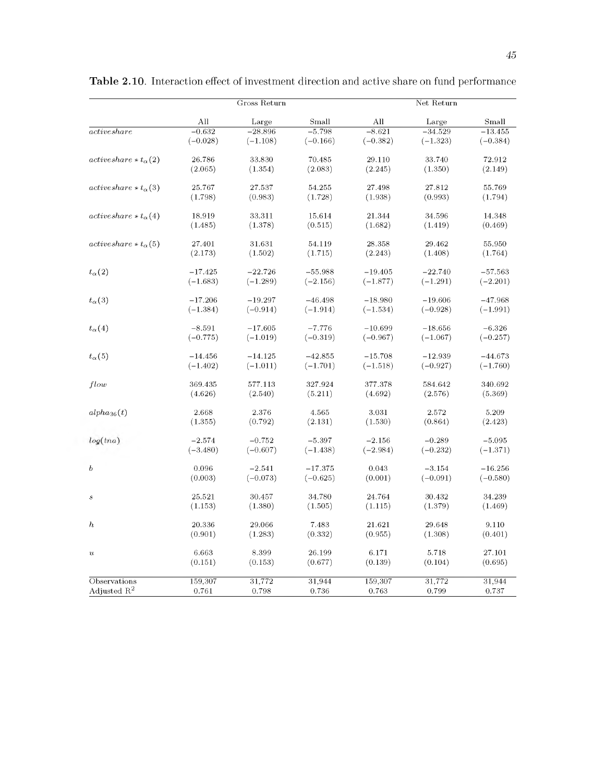|                               |            | Gross Return |            |            | Net Return |            |
|-------------------------------|------------|--------------|------------|------------|------------|------------|
|                               | All        | Large        | Small      | All        | Large      | Small      |
| active share                  | $-0.632$   | $-28.896$    | $-5.798$   | $-8.621$   | $-34.529$  | $-13.455$  |
|                               | $(-0.028)$ | $(-1.108)$   | $(-0.166)$ | $(-0.382)$ | $(-1.323)$ | $(-0.384)$ |
| $activeshare * t_{\alpha}(2)$ | 26.786     | 33.830       | 70.485     | 29.110     | 33.740     | 72.912     |
|                               | (2.065)    | (1.354)      | (2.083)    | (2.245)    | (1.350)    | (2.149)    |
| $activeshare * t_{\alpha}(3)$ | 25.767     | 27.537       | 54.255     | 27.498     | 27.812     | 55.769     |
|                               | (1.798)    | (0.983)      | (1.728)    | (1.938)    | (0.993)    | (1.794)    |
| $activeshare * t_{\alpha}(4)$ | 18.919     | 33.311       | 15.614     | 21.344     | 34.596     | 14.348     |
|                               | (1.485)    | (1.378)      | (0.515)    | (1.682)    | (1.419)    | (0.469)    |
| $activeshare * t_{\alpha}(5)$ | 27.401     | 31.631       | 54.119     | 28.358     | 29.462     | 55.950     |
|                               | (2.173)    | (1.502)      | (1.715)    | (2.243)    | (1.408)    | (1.764)    |
| $t_{\alpha}(2)$               | $-17.425$  | $-22.726$    | $-55.988$  | $-19.405$  | $-22.740$  | $-57.563$  |
|                               | $(-1.683)$ | $(-1.289)$   | $(-2.156)$ | $(-1.877)$ | $(-1.291)$ | $(-2.201)$ |
| $t_{\alpha}(3)$               | $-17.206$  | $-19.297$    | $-46.498$  | $-18.980$  | $-19.606$  | $-47.968$  |
|                               | $(-1.384)$ | $(-0.914)$   | $(-1.914)$ | $(-1.534)$ | $(-0.928)$ | $(-1.991)$ |
| $t_{\alpha}(4)$               | $-8.591$   | $-17.605$    | $-7.776$   | $-10.699$  | $-18.656$  | $-6.326$   |
|                               | $(-0.775)$ | $(-1.019)$   | $(-0.319)$ | $(-0.967)$ | $(-1.067)$ | $(-0.257)$ |
| $t_{\alpha}(5)$               | $-14.456$  | $-14.125$    | $-42.855$  | $-15.708$  | $-12.939$  | $-44.673$  |
|                               | $(-1.402)$ | $(-1.011)$   | $(-1.701)$ | $(-1.518)$ | $(-0.927)$ | $(-1.760)$ |
| flow                          | 369.435    | 577.113      | 327.924    | 377.378    | 584.642    | 340.692    |
|                               | (4.626)    | (2.540)      | (5.211)    | (4.692)    | (2.576)    | (5.369)    |
| $alpha_{36}(t)$               | 2.668      | 2.376        | 4.565      | 3.031      | 2.572      | 5.209      |
|                               | (1.355)    | (0.792)      | (2.131)    | (1.530)    | (0.864)    | (2.423)    |
| log(tna)                      | $-2.574$   | $-0.752$     | $-5.397$   | $-2.156$   | $-0.289$   | $-5.095$   |
|                               | $(-3.480)$ | $(-0.607)$   | $(-1.438)$ | $(-2.984)$ | $(-0.232)$ | $(-1.371)$ |
| $\boldsymbol{b}$              | 0.096      | $-2.541$     | $-17.375$  | 0.043      | $-3.154$   | $-16.256$  |
|                               | (0.003)    | $(-0.073)$   | $(-0.625)$ | (0.001)    | $(-0.091)$ | $(-0.580)$ |
| $\boldsymbol{s}$              | 25.521     | 30.457       | 34.780     | 24.764     | 30.432     | 34.239     |
|                               | (1.153)    | (1.380)      | (1.505)    | (1.115)    | (1.379)    | (1.469)    |
| $\boldsymbol{h}$              | 20.336     | 29.066       | 7.483      | 21.621     | 29.648     | 9.110      |
|                               | (0.901)    | (1.283)      | (0.332)    | (0.955)    | (1.308)    | (0.401)    |
| $\boldsymbol{u}$              | 6.663      | 8.399        | 26.199     | 6.171      | $5.718\,$  | 27.101     |
|                               | (0.151)    | (0.153)      | (0.677)    | (0.139)    | (0.104)    | (0.695)    |
| Observations                  | 159,307    | 31,772       | 31,944     | 159,307    | 31,772     | 31,944     |
| Adjusted $R^2$                | 0.761      | 0.798        | 0.736      | 0.763      | 0.799      | 0.737      |

Table 2.10. Interaction effect of investment direction and active share on fund performance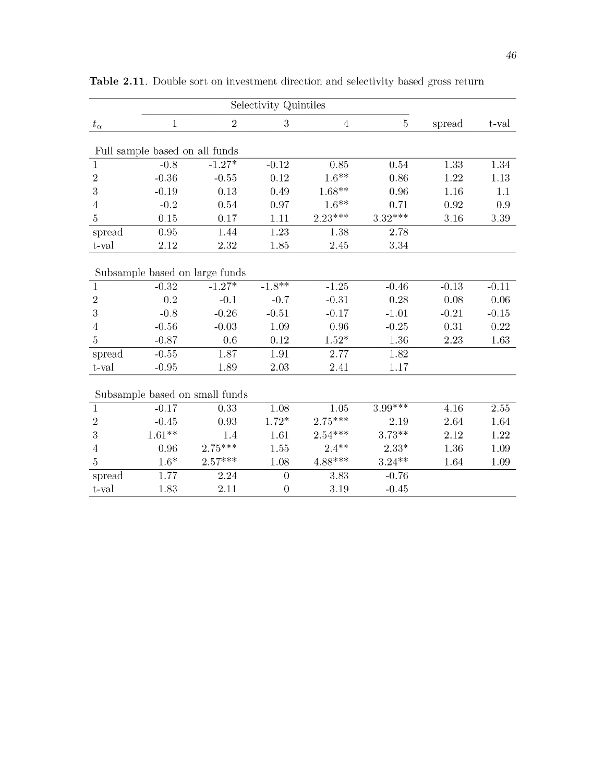|                                | Selectivity Quintiles          |                                |                  |                     |                |         |         |
|--------------------------------|--------------------------------|--------------------------------|------------------|---------------------|----------------|---------|---------|
| $t_{\alpha}$                   | $\mathbf{1}$                   | $\overline{2}$                 | 3                | $\overline{4}$      | $\overline{5}$ | spread  | t-val   |
|                                | Full sample based on all funds |                                |                  |                     |                |         |         |
|                                | $-0.8$                         | $-1.27*$                       | $-0.12$          | 0.85                | 0.54           | 1.33    | 1.34    |
| $\mathbf{1}$<br>$\overline{2}$ | $-0.36$                        |                                | 0.12             | $1.6**$             | 0.86           | 1.22    | 1.13    |
|                                |                                | $-0.55$                        |                  |                     |                |         |         |
| $\sqrt{3}$                     | $-0.19$                        | 0.13                           | 0.49             | $1.68**$<br>$1.6**$ | 0.96           | 1.16    | 1.1     |
| 4                              | $-0.2$                         | 0.54                           | 0.97             |                     | 0.71           | 0.92    | 0.9     |
| $\overline{5}$                 | 0.15                           | 0.17                           | 1.11             | $2.23***$           | $3.32***$      | 3.16    | 3.39    |
| spread                         | 0.95                           | 1.44                           | 1.23             | 1.38                | 2.78           |         |         |
| t-val                          | 2.12                           | 2.32                           | 1.85             | 2.45                | 3.34           |         |         |
|                                |                                | Subsample based on large funds |                  |                     |                |         |         |
| $\mathbf 1$                    | $-0.32$                        | $-1.27*$                       | $-1.8**$         | $-1.25$             | $-0.46$        | $-0.13$ | $-0.11$ |
| $\overline{2}$                 | 0.2                            | $-0.1$                         | $-0.7$           | $-0.31$             | 0.28           | 0.08    | 0.06    |
| 3                              | $-0.8$                         | $-0.26$                        | $-0.51$          | $-0.17$             | $-1.01$        | $-0.21$ | $-0.15$ |
| 4                              | $-0.56$                        | $-0.03$                        | 1.09             | 0.96                | $-0.25$        | 0.31    | 0.22    |
| $\overline{5}$                 | $-0.87$                        | 0.6                            | 0.12             | $1.52^{\ast}$       | 1.36           | 2.23    | 1.63    |
| spread                         | $-0.55$                        | 1.87                           | 1.91             | 2.77                | 1.82           |         |         |
| t-val                          | $-0.95$                        | 1.89                           | 2.03             | 2.41                | 1.17           |         |         |
|                                |                                | Subsample based on small funds |                  |                     |                |         |         |
| $\mathbf{1}$                   | $-0.17$                        | 0.33                           | 1.08             | 1.05                | $3.99***$      | 4.16    | 2.55    |
| $\overline{2}$                 | $-0.45$                        | 0.93                           | $1.72*$          | $2.75***$           | 2.19           | 2.64    | 1.64    |
| 3                              | $1.61**$                       | 1.4                            | 1.61             | $2.54***$           | $3.73***$      | 2.12    | 1.22    |
| 4                              | 0.96                           | $2.75***$                      | 1.55             | $2.4**$             | $2.33*$        | 1.36    | 1.09    |
| $\overline{5}$                 | $1.6*$                         | $2.57***$                      | 1.08             | $4.88***$           | $3.24***$      | 1.64    | 1.09    |
| spread                         | 1.77                           | 2.24                           | $\overline{0}$   | 3.83                | $-0.76$        |         |         |
| t-val                          | 1.83                           | 2.11                           | $\boldsymbol{0}$ | 3.19                | $-0.45$        |         |         |

Table 2.11. Double sort on investment direction and selectivity based gross return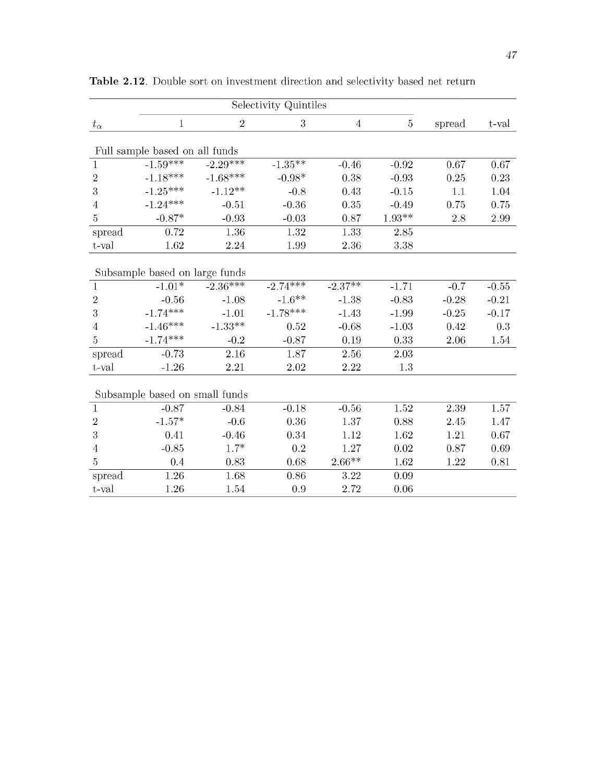|                | Selectivity Quintiles          |             |            |                |                |         |         |
|----------------|--------------------------------|-------------|------------|----------------|----------------|---------|---------|
| $t_{\alpha}$   | $\mathbf 1$                    | $\,2$       | 3          | $\overline{4}$ | $\overline{5}$ | spread  | t-val   |
|                | Full sample based on all funds |             |            |                |                |         |         |
| $\mathbf{1}$   | $-1.59***$                     | $-2.29$ *** | $-1.35**$  | $-0.46$        | $-0.92$        | 0.67    | 0.67    |
| $\sqrt{2}$     | $-1.18***$                     | $-1.68***$  | $-0.98*$   | 0.38           | $-0.93$        | 0.25    | 0.23    |
| 3              | $-1.25***$                     | $-1.12***$  | $-0.8$     | 0.43           | $-0.15$        | 1.1     | 1.04    |
| $\overline{4}$ | $-1.24***$                     | $-0.51$     | $-0.36$    | 0.35           | $-0.49$        | 0.75    | 0.75    |
| 5              | $-0.87*$                       | $-0.93$     | $-0.03$    | 0.87           | $1.93**$       | 2.8     | 2.99    |
| spread         | 0.72                           | 1.36        | 1.32       | 1.33           | 2.85           |         |         |
| t-val          | 1.62                           | 2.24        | 1.99       | 2.36           | 3.38           |         |         |
|                | Subsample based on large funds |             |            |                |                |         |         |
| $\mathbf{1}$   | $-1.01*$                       | $-2.36***$  | $-2.74***$ | $-2.37**$      | $-1.71$        | $-0.7$  | $-0.55$ |
| $\sqrt{2}$     | $-0.56$                        | $-1.08$     | $-1.6**$   | $-1.38$        | $-0.83$        | $-0.28$ | $-0.21$ |
| 3              | $-1.74***$                     | $-1.01$     | $-1.78***$ | $-1.43$        | $-1.99$        | $-0.25$ | $-0.17$ |
| 4              | $-1.46***$                     | $-1.33**$   | 0.52       | $-0.68$        | $-1.03$        | 0.42    | 0.3     |
| 5              | $-1.74***$                     | $-0.2$      | $-0.87$    | 0.19           | 0.33           | 2.06    | 1.54    |
| spread         | $-0.73$                        | 2.16        | 1.87       | 2.56           | 2.03           |         |         |
| t-val          | $-1.26$                        | 2.21        | 2.02       | 2.22           | 1.3            |         |         |
|                | Subsample based on small funds |             |            |                |                |         |         |
| $\mathbf{1}$   | $-0.87$                        | $-0.84$     | $-0.18$    | $-0.56$        | 1.52           | 2.39    | 1.57    |
| $\overline{2}$ | $-1.57*$                       | $-0.6$      | 0.36       | 1.37           | 0.88           | 2.45    | 1.47    |
| 3              | 0.41                           | $-0.46$     | 0.34       | 1.12           | 1.62           | 1.21    | 0.67    |
| $\overline{4}$ | $-0.85$                        | $1.7*$      | 0.2        | 1.27           | 0.02           | 0.87    | 0.69    |
| $\overline{5}$ | 0.4                            | 0.83        | 0.68       | $2.66**$       | 1.62           | 1.22    | 0.81    |
| spread         | $\overline{1.26}$              | 1.68        | 0.86       | 3.22           | 0.09           |         |         |
| t-val          | 1.26                           | 1.54        | 0.9        | 2.72           | 0.06           |         |         |

Table 2.12. Double sort on investment direction and selectivity based net return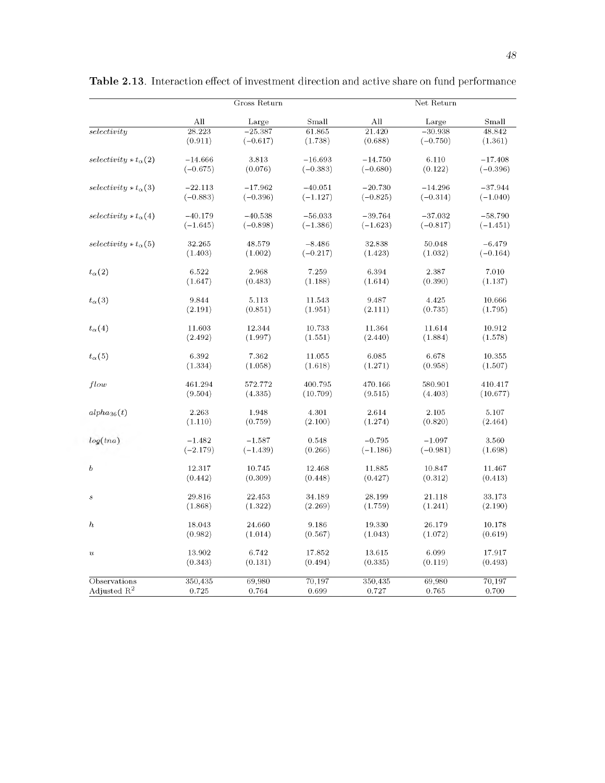|                                   |            | Gross Return |            |            | Net Return |            |
|-----------------------------------|------------|--------------|------------|------------|------------|------------|
|                                   | All        | Large        | Small      | All        | Large      | Small      |
| selectivity                       | 28.223     | $-25.387$    | 61.865     | 21.420     | $-30.938$  | 48.842     |
|                                   | (0.911)    | $(-0.617)$   | (1.738)    | (0.688)    | $(-0.750)$ | (1.361)    |
| selectivity $\star t_{\alpha}(2)$ | $-14.666$  | 3.813        | $-16.693$  | $-14.750$  | 6.110      | $-17.408$  |
|                                   | $(-0.675)$ | (0.076)      | $(-0.383)$ | $(-0.680)$ | (0.122)    | $(-0.396)$ |
| $selectivity * t_{\alpha}(3)$     | $-22.113$  | $-17.962$    | $-40.051$  | $-20.730$  | $-14.296$  | $-37.944$  |
|                                   | $(-0.883)$ | $(-0.396)$   | $(-1.127)$ | $(-0.825)$ | $(-0.314)$ | $(-1.040)$ |
| $selectivity * t_{\alpha}(4)$     | $-40.179$  | $-40.538$    | $-56.033$  | $-39.764$  | $-37.032$  | $-58.790$  |
|                                   | $(-1.645)$ | $(-0.898)$   | $(-1.386)$ | $(-1.623)$ | $(-0.817)$ | $(-1.451)$ |
| $selectivity * t_{\alpha}(5)$     | 32.265     | 48.579       | $-8.486$   | 32.838     | 50.048     | $-6.479$   |
|                                   | (1.403)    | (1.002)      | $(-0.217)$ | (1.423)    | (1.032)    | $(-0.164)$ |
| $t_{\alpha}(2)$                   | 6.522      | 2.968        | 7.259      | 6.394      | 2.387      | 7.010      |
|                                   | (1.647)    | (0.483)      | (1.188)    | (1.614)    | (0.390)    | (1.137)    |
| $t_{\alpha}(3)$                   | 9.844      | 5.113        | 11.543     | 9.487      | 4.425      | 10.666     |
|                                   | (2.191)    | (0.851)      | (1.951)    | (2.111)    | (0.735)    | (1.795)    |
| $t_{\alpha}(4)$                   | 11.603     | 12.344       | 10.733     | 11.364     | 11.614     | 10.912     |
|                                   | (2.492)    | (1.997)      | (1.551)    | (2.440)    | (1.884)    | (1.578)    |
| $t_{\alpha}(5)$                   | 6.392      | 7.362        | 11.055     | 6.085      | 6.678      | 10.355     |
|                                   | (1.334)    | (1.058)      | (1.618)    | (1.271)    | (0.958)    | (1.507)    |
| flow                              | 461.294    | 572.772      | 400.795    | 470.166    | 580.901    | 410.417    |
|                                   | (9.504)    | (4.335)      | (10.709)   | (9.515)    | (4.403)    | (10.677)   |
| $alpha_{36}(t)$                   | 2.263      | 1.948        | 4.301      | 2.614      | 2.105      | 5.107      |
|                                   | (1.110)    | (0.759)      | (2.100)    | (1.274)    | (0.820)    | (2.464)    |
| log(tna)                          | $-1.482$   | $-1.587$     | 0.548      | $-0.795$   | $-1.097$   | 3.560      |
|                                   | $(-2.179)$ | $(-1.439)$   | (0.266)    | $(-1.186)$ | $(-0.981)$ | (1.698)    |
| $\boldsymbol{b}$                  | 12.317     | 10.745       | 12.468     | 11.885     | 10.847     | 11.467     |
|                                   | (0.442)    | (0.309)      | (0.448)    | (0.427)    | (0.312)    | (0.413)    |
| $\boldsymbol{s}$                  | 29.816     | 22.453       | 34.189     | 28.199     | 21.118     | 33.173     |
|                                   | (1.868)    | (1.322)      | (2.269)    | (1.759)    | (1.241)    | (2.190)    |
| $\boldsymbol{h}$                  | 18.043     | 24.660       | 9.186      | 19.330     | 26.179     | 10.178     |
|                                   | (0.982)    | (1.014)      | (0.567)    | (1.043)    | (1.072)    | (0.619)    |
| $\boldsymbol{u}$                  | 13.902     | 6.742        | 17.852     | 13.615     | 6.099      | 17.917     |
|                                   | (0.343)    | (0.131)      | (0.494)    | (0.335)    | (0.119)    | (0.493)    |
| Observations                      | 350,435    | 69,980       | 70,197     | 350,435    | 69,980     | 70,197     |
| Adjusted $R^2$                    | 0.725      | 0.764        | 0.699      | 0.727      | 0.765      | 0.700      |

Table 2.13. Interaction effect of investment direction and active share on fund performance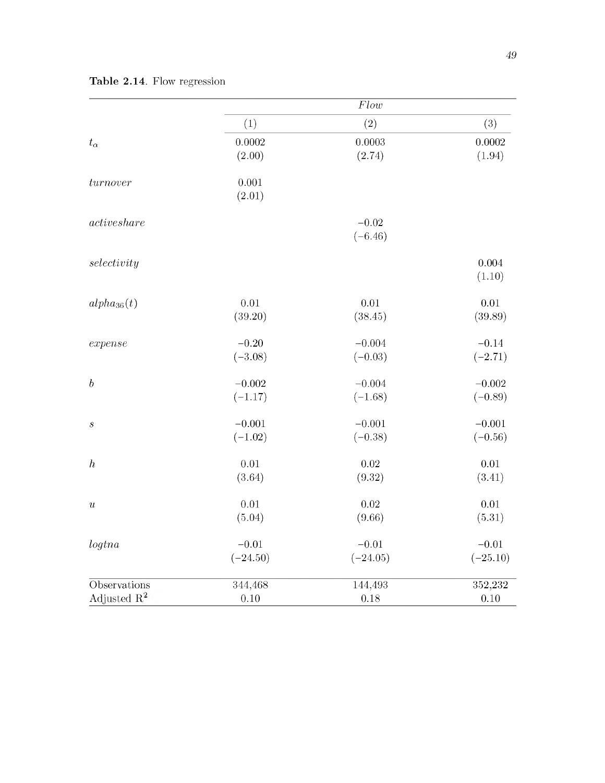|                         |                 | Flow       |                 |
|-------------------------|-----------------|------------|-----------------|
|                         | (1)             | (2)        | (3)             |
| $t_{\alpha}$            | 0.0002          | 0.0003     | 0.0002          |
|                         | (2.00)          | (2.74)     | (1.94)          |
| turnover                | 0.001<br>(2.01) |            |                 |
| active share            |                 | $-0.02$    |                 |
|                         |                 | $(-6.46)$  |                 |
| selectivity             |                 |            | 0.004<br>(1.10) |
| $alpha_{36}(t)$         | $0.01\,$        | $0.01\,$   | $0.01\,$        |
|                         | (39.20)         | (38.45)    | (39.89)         |
| expense                 | $-0.20$         | $-0.004$   | $-0.14$         |
|                         | $(-3.08)$       | $(-0.03)$  | $(-2.71)$       |
| $\boldsymbol{b}$        | $-0.002$        | $-0.004$   | $-0.002$        |
|                         | $(-1.17)$       | $(-1.68)$  | $(-0.89)$       |
| $\boldsymbol{s}$        | $-0.001$        | $-0.001$   | $-0.001$        |
|                         | $(-1.02)$       | $(-0.38)$  | $(-0.56)$       |
| $\boldsymbol{h}$        | $0.01\,$        | 0.02       | $0.01\,$        |
|                         | (3.64)          | (9.32)     | (3.41)          |
| $\boldsymbol{u}$        | $0.01\,$        | 0.02       | $0.01\,$        |
|                         | (5.04)          | (9.66)     | (5.31)          |
| logtna                  | $-0.01$         | $-0.01$    | $-0.01$         |
|                         | $(-24.50)$      | $(-24.05)$ | $(-25.10)$      |
| Observations            | 344,468         | 144,493    | 352,232         |
| Adjusted $\mathbb{R}^2$ | 0.10            | 0.18       | 0.10            |

Table 2.14. Flow regression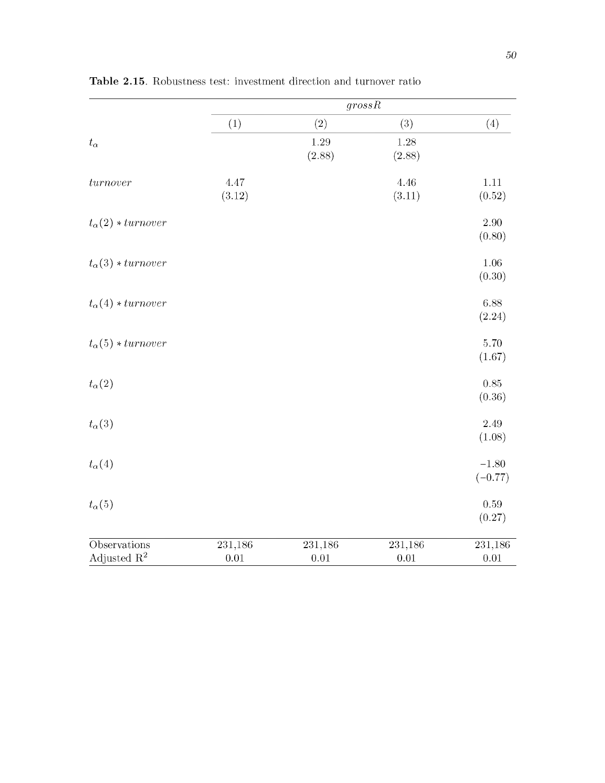|                                         | $\overline{grossR}$ |                     |                     |                      |  |  |  |
|-----------------------------------------|---------------------|---------------------|---------------------|----------------------|--|--|--|
|                                         | (1)                 | (2)                 | (3)                 | (4)                  |  |  |  |
| $t_{\alpha}$                            |                     | 1.29<br>(2.88)      | 1.28<br>(2.88)      |                      |  |  |  |
| turnover                                | 4.47<br>(3.12)      |                     | 4.46<br>(3.11)      | $1.11\,$<br>(0.52)   |  |  |  |
| $t_{\alpha}(2) * turnover$              |                     |                     |                     | $2.90\,$<br>(0.80)   |  |  |  |
| $t_{\alpha}(3) * turnover$              |                     |                     |                     | 1.06<br>(0.30)       |  |  |  |
| $t_{\alpha}(4) * turnover$              |                     |                     |                     | 6.88<br>(2.24)       |  |  |  |
| $t_{\alpha}(5) * turnover$              |                     |                     |                     | 5.70<br>(1.67)       |  |  |  |
| $t_{\alpha}(2)$                         |                     |                     |                     | $0.85\,$<br>(0.36)   |  |  |  |
| $t_{\alpha}(3)$                         |                     |                     |                     | 2.49<br>(1.08)       |  |  |  |
| $t_{\alpha}(4)$                         |                     |                     |                     | $-1.80$<br>$(-0.77)$ |  |  |  |
| $t_{\alpha}(5)$                         |                     |                     |                     | 0.59<br>(0.27)       |  |  |  |
| Observations<br>Adjusted $\mathbb{R}^2$ | 231,186<br>$0.01\,$ | 231,186<br>$0.01\,$ | 231,186<br>$0.01\,$ | 231,186<br>$0.01\,$  |  |  |  |

Table  $2.15$ . Robustness test: investment direction and turnover ratio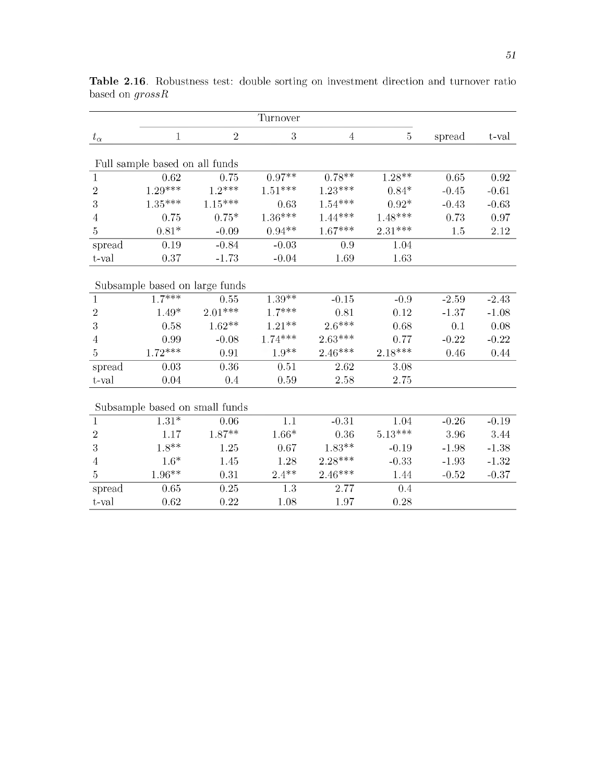|                  |                                |                                | Turnover  |           |           |         |         |
|------------------|--------------------------------|--------------------------------|-----------|-----------|-----------|---------|---------|
| $t_{\alpha}$     | 1                              | $\sqrt{2}$                     | 3         | 4         | 5         | spread  | t-val   |
|                  |                                |                                |           |           |           |         |         |
|                  | Full sample based on all funds |                                |           |           |           |         |         |
| $\mathbf{1}$     | 0.62                           | 0.75                           | $0.97**$  | $0.78**$  | $1.28**$  | 0.65    | 0.92    |
| $\overline{2}$   | $1.29***$                      | $1.2***$                       | $1.51***$ | $1.23***$ | $0.84*$   | $-0.45$ | $-0.61$ |
| $\sqrt{3}$       | $1.35***$                      | $1.15***$                      | 0.63      | $1.54***$ | $0.92*$   | $-0.43$ | $-0.63$ |
| 4                | 0.75                           | $0.75*$                        | $1.36***$ | $1.44***$ | $1.48***$ | 0.73    | 0.97    |
| $\overline{5}$   | $0.81*$                        | $-0.09$                        | $0.94**$  | $1.67***$ | $2.31***$ | 1.5     | 2.12    |
| spread           | 0.19                           | $-0.84$                        | $-0.03$   | 0.9       | 1.04      |         |         |
| t-val            | 0.37                           | $-1.73$                        | $-0.04$   | 1.69      | 1.63      |         |         |
|                  |                                | Subsample based on large funds |           |           |           |         |         |
| $\mathbf{1}$     | $1.7***$                       | 0.55                           | $1.39**$  | $-0.15$   | $-0.9$    | $-2.59$ | $-2.43$ |
| $\boldsymbol{2}$ | $1.49*$                        | $2.01^{\ast\ast\ast}$          | $1.7***$  | 0.81      | 0.12      | $-1.37$ | $-1.08$ |
| 3                | 0.58                           | $1.62^{\ast\ast}$              | $1.21**$  | $2.6***$  | 0.68      | 0.1     | 0.08    |
| 4                | 0.99                           | $-0.08$                        | $1.74***$ | $2.63***$ | 0.77      | $-0.22$ | $-0.22$ |
| $\overline{5}$   | $1.72***$                      | 0.91                           | $1.9**$   | $2.46***$ | $2.18***$ | 0.46    | 0.44    |
| spread           | 0.03                           | 0.36                           | 0.51      | 2.62      | 3.08      |         |         |
| t-val            | 0.04                           | 0.4                            | 0.59      | 2.58      | 2.75      |         |         |
|                  |                                | Subsample based on small funds |           |           |           |         |         |
| $\mathbf{1}$     | $1.31*$                        | 0.06                           | 1.1       | $-0.31$   | 1.04      | $-0.26$ | $-0.19$ |
| $\boldsymbol{2}$ | 1.17                           | $1.87**$                       | $1.66*$   | 0.36      | $5.13***$ | 3.96    | 3.44    |
| 3                | $1.8^{\ast\ast}$               | 1.25                           | 0.67      | $1.83**$  | $-0.19$   | $-1.98$ | $-1.38$ |
| 4                | $1.6*$                         | 1.45                           | 1.28      | $2.28***$ | $-0.33$   | $-1.93$ | $-1.32$ |
| $\overline{5}$   | $1.96^{\ast\ast}$              | 0.31                           | $2.4***$  | $2.46***$ | 1.44      | $-0.52$ | $-0.37$ |
| spread           | 0.65                           | 0.25                           | 1.3       | 2.77      | 0.4       |         |         |
| t-val            | 0.62                           | 0.22                           | 1.08      | 1.97      | 0.28      |         |         |

Table 2.16. Robustness test: double sorting on investment direction and turnover ratio based on *grossR*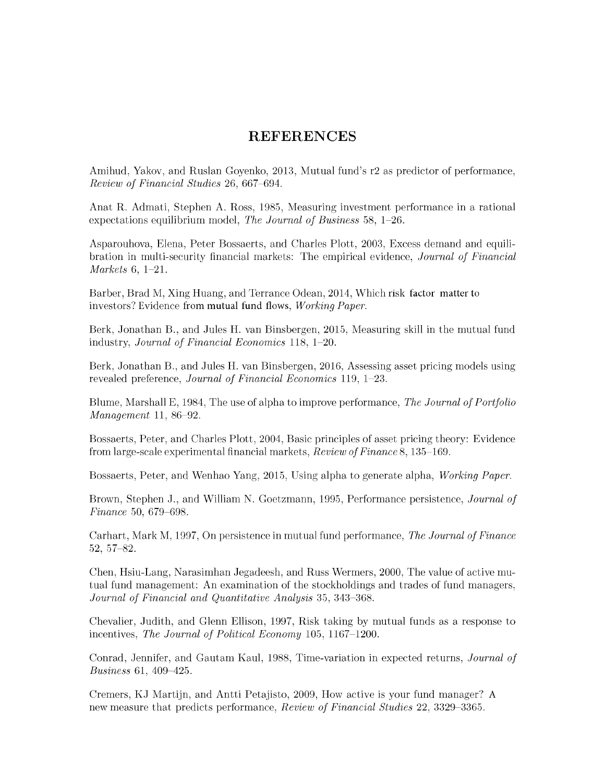## **REFERENCES**

Amihud, Yakov, and Ruslan Goyenko, 2013, Mutual fund's r2 as predictor of performance, *Review of Financial Studies* 26, 667-694.

Anat R. Admati, Stephen A. Ross, 1985, Measuring investment performance in a rational expectations equilibrium model, *The Journal of Business* 58, 1–26.

Asparouhova, Elena, Peter Bossaerts, and Charles Plott, 2003, Excess demand and equilibration in multi-security financial markets: The empirical evidence, *Journal of Financial M arkets* 6, 1-21.

Barber, Brad M, Xing Huang, and Terrance Odean, 2014, W hich risk factor matter to investors? Evidence from mutual fund flows, *Working Paper.*

Berk, Jonathan B., and Jules H. van Binsbergen, 2015, Measuring skill in the mutual fund industry, *Journal of Financial Economics* 118, 1-20.

Berk, Jonathan B., and Jules H. van Binsbergen, 2016, Assessing asset pricing models using revealed preference, *Journal of Financial Economics* 119, 1-23.

Blume, M arshall E, 1984, The use of alpha to improve performance, *The Journal of Portfolio M anagement* 11, 86-92.

Bossaerts, Peter, and Charles Plott, 2004, Basic principles of asset pricing theory: Evidence from large-scale experim ental financial m arkets, *Review of Finance* 8, 135-169.

Bossaerts, Peter, and Wenhao Yang, 2015, Using alpha to generate alpha, *Working Paper*.

Brown, Stephen J., and W illiam N. Goetzmann, 1995, Performance persistence, *Journal of Finance* 50, 679-698.

Carhart, Mark M, 1997, On persistence in mutual fund performance, *The Journal of Finance* 52, 57-82.

Chen, Hsiu-Lang, Narasimhan Jegadeesh, and Russ Wermers, 2000, The value of active mutual fund management: An examination of the stockholdings and trades of fund managers, *Journal of Financial and Quantitative Analysis* 35, 343-368.

Chevalier, Judith, and Glenn Ellison, 1997, Risk taking by mutual funds as a response to incentives, *The Journal of Political Economy* 105, 1167–1200.

Conrad, Jennifer, and Gautam Kaul, 1988, Time-variation in expected returns, *Journal of Business* 61, 409-425.

Cremers, KJ Martijn, and Antti Petajisto, 2009, How active is your fund manager? A new measure that predicts performance, *Review of Financial Studies* 22, 3329-3365.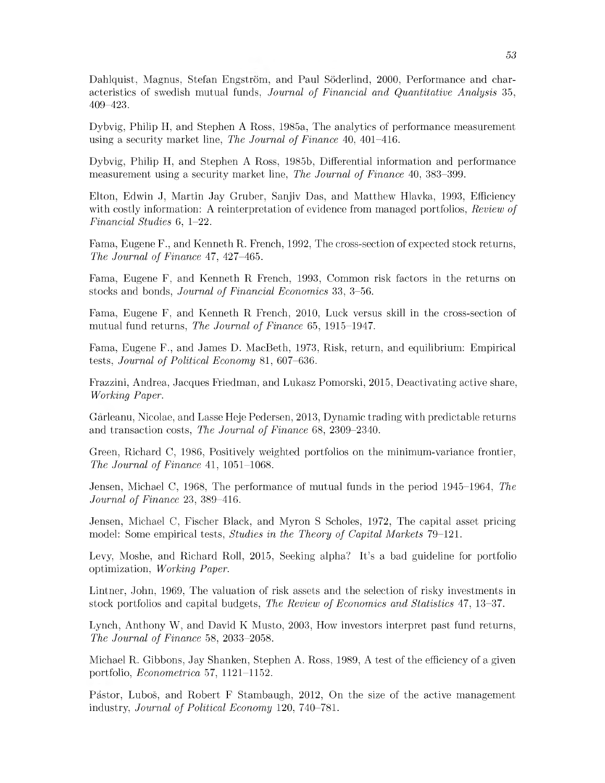Dahlquist, Magnus, Stefan Engström, and Paul Söderlind, 2000, Performance and characteristics of swedish mutual funds, *Journal of Financial and Quantitative Analysis* 35, 409-423.

Dybvig, Philip H, and Stephen A Ross, 1985a, The analytics of performance measurement using a security market line, *The Journal of Finance* 40, 401–416.

Dybvig, Philip H, and Stephen A Ross, 1985b, Differential information and performance measurement using a security market line, *The Journal of Finance* 40, 383–399.

Elton, Edwin J, Martin Jay Gruber, Sanjiv Das, and Matthew Hlavka, 1993, Efficiency with costly information: A reinterpretation of evidence from managed portfolios, *Review of Financial Studies* 6, 1-22.

Fama, Eugene F., and Kenneth R. French, 1992, The cross-section of expected stock returns, *The Journal of Finance* 47, 427-465.

Fama, Eugene F, and Kenneth R French, 1993, Common risk factors in the returns on stocks and bonds, *Journal of Financial Economics* 33, 3–56.

Fama, Eugene F, and Kenneth R French, 2010, Luck versus skill in the cross-section of mutual fund returns, *The Journal of Finance* 65, 1915-1947.

Fama, Eugene F., and James D. MacBeth, 1973, Risk, return, and equilibrium: Empirical tests, *Journal of Political Economy* 81, 607-636.

Frazzini, Andrea, Jacques Friedman, and Lukasz Pomorski, 2015, Deactivating active share, *Working Paper.*

Garleanu, Nicolae, and Lasse Heje Pedersen, 2013, Dynamic trading with predictable returns and transaction costs, *The Journal of Finance* 68, 2309-2340.

Green, Richard C, 1986, Positively weighted portfolios on the minimum-variance frontier, *The Journal of Finance* 41, 1051-1068.

Jensen, Michael C, 1968, The performance of mutual funds in the period 1945-1964, The *Journal of Finance* 23, 389-416.

Jensen, Michael C, Fischer Black, and Myron S Scholes, 1972, The capital asset pricing model: Some empirical tests, *Studies in the Theory of Capital Markets* 79–121.

Levy, Moshe, and Richard Roll, 2015, Seeking alpha? It's a bad guideline for portfolio optim ization, *W orking Paper.*

Lintner, John, 1969, The valuation of risk assets and the selection of risky investments in stock portfolios and capital budgets, *The Review of Economics and Statistics* 47, 13-37.

Lynch, Anthony W, and David K Musto,  $2003$ , How investors interpret past fund returns, *The Journal of Finance* 58, 2033-2058.

Michael R. Gibbons, Jay Shanken, Stephen A. Ross, 1989, A test of the efficiency of a given portfolio, *Econometrica* 57, 1121-1152.

Pástor, Luboš, and Robert F Stambaugh, 2012, On the size of the active management industry, *Journal of Political Economy* 120, 740-781.